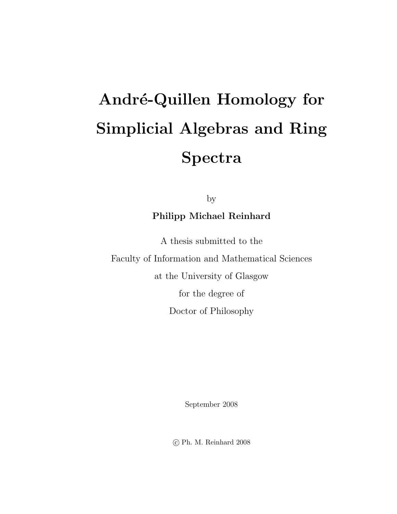# André-Quillen Homology for Simplicial Algebras and Ring Spectra

by

### Philipp Michael Reinhard

A thesis submitted to the Faculty of Information and Mathematical Sciences at the University of Glasgow for the degree of Doctor of Philosophy

September 2008

c Ph. M. Reinhard 2008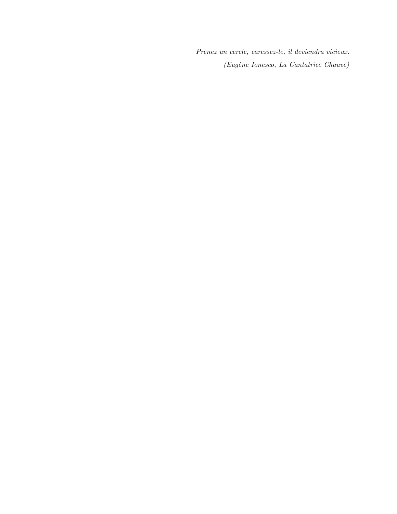Prenez un cercle, caressez-le, il deviendra vicieux. (Eug`ene Ionesco, La Cantatrice Chauve)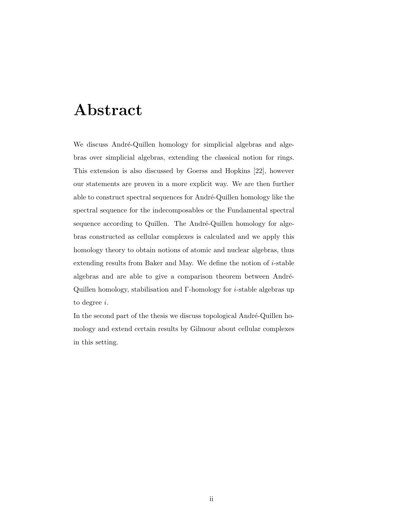### Abstract

We discuss André-Quillen homology for simplicial algebras and algebras over simplicial algebras, extending the classical notion for rings. This extension is also discussed by Goerss and Hopkins [22], however our statements are proven in a more explicit way. We are then further able to construct spectral sequences for André-Quillen homology like the spectral sequence for the indecomposables or the Fundamental spectral sequence according to Quillen. The André-Quillen homology for algebras constructed as cellular complexes is calculated and we apply this homology theory to obtain notions of atomic and nuclear algebras, thus extending results from Baker and May. We define the notion of i-stable algebras and are able to give a comparison theorem between André-Quillen homology, stabilisation and Γ-homology for i-stable algebras up to degree i.

In the second part of the thesis we discuss topological André-Quillen homology and extend certain results by Gilmour about cellular complexes in this setting.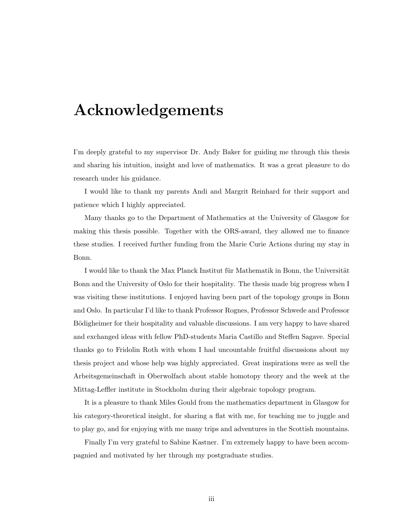### Acknowledgements

I'm deeply grateful to my supervisor Dr. Andy Baker for guiding me through this thesis and sharing his intuition, insight and love of mathematics. It was a great pleasure to do research under his guidance.

I would like to thank my parents Andi and Margrit Reinhard for their support and patience which I highly appreciated.

Many thanks go to the Department of Mathematics at the University of Glasgow for making this thesis possible. Together with the ORS-award, they allowed me to finance these studies. I received further funding from the Marie Curie Actions during my stay in Bonn.

I would like to thank the Max Planck Institut für Mathematik in Bonn, the Universität Bonn and the University of Oslo for their hospitality. The thesis made big progress when I was visiting these institutions. I enjoyed having been part of the topology groups in Bonn and Oslo. In particular I'd like to thank Professor Rognes, Professor Schwede and Professor Bödigheimer for their hospitality and valuable discussions. I am very happy to have shared and exchanged ideas with fellow PhD-students Maria Castillo and Steffen Sagave. Special thanks go to Fridolin Roth with whom I had uncountable fruitful discussions about my thesis project and whose help was highly appreciated. Great inspirations were as well the Arbeitsgemeinschaft in Oberwolfach about stable homotopy theory and the week at the Mittag-Leffler institute in Stockholm during their algebraic topology program.

It is a pleasure to thank Miles Gould from the mathematics department in Glasgow for his category-theoretical insight, for sharing a flat with me, for teaching me to juggle and to play go, and for enjoying with me many trips and adventures in the Scottish mountains.

Finally I'm very grateful to Sabine Kastner. I'm extremely happy to have been accompagnied and motivated by her through my postgraduate studies.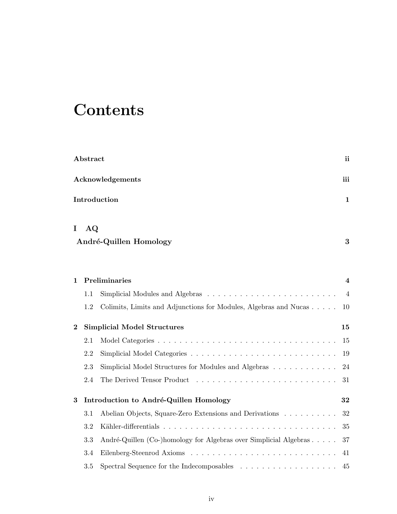## **Contents**

| Abstract         |                                          |                                                                                 |    |  |  |
|------------------|------------------------------------------|---------------------------------------------------------------------------------|----|--|--|
|                  | Acknowledgements<br>iii                  |                                                                                 |    |  |  |
|                  | Introduction                             |                                                                                 |    |  |  |
| I                | AQ                                       | André-Quillen Homology                                                          | 3  |  |  |
| $\mathbf{1}$     |                                          | Preliminaries                                                                   | 4  |  |  |
|                  | 1.1                                      |                                                                                 | 4  |  |  |
|                  | 1.2                                      | Colimits, Limits and Adjunctions for Modules, Algebras and Nucas                | 10 |  |  |
| $\bf{2}$         | <b>Simplicial Model Structures</b><br>15 |                                                                                 |    |  |  |
|                  | 2.1                                      |                                                                                 | 15 |  |  |
|                  | 2.2                                      |                                                                                 | 19 |  |  |
|                  | 2.3                                      | Simplicial Model Structures for Modules and Algebras                            | 24 |  |  |
|                  | 2.4                                      |                                                                                 | 31 |  |  |
| $\boldsymbol{3}$ | Introduction to André-Quillen Homology   |                                                                                 |    |  |  |
|                  | 3.1                                      | Abelian Objects, Square-Zero Extensions and Derivations                         | 32 |  |  |
|                  | 3.2                                      |                                                                                 | 35 |  |  |
|                  | 3.3                                      | André-Quillen (Co-)homology for Algebras over Simplicial Algebras               | 37 |  |  |
|                  | 3.4                                      |                                                                                 | 41 |  |  |
|                  | 3.5                                      | Spectral Sequence for the Indecomposables $\dots \dots \dots \dots \dots \dots$ | 45 |  |  |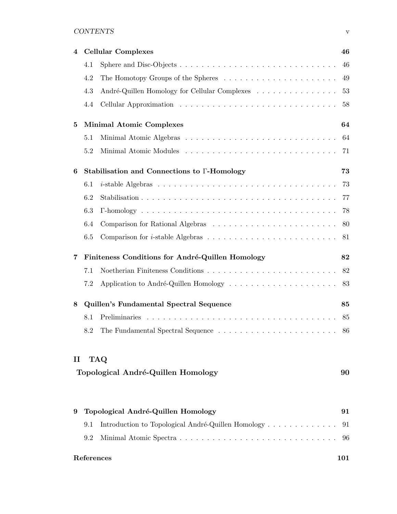#### CONTENTS v

| 4        | <b>Cellular Complexes</b>                        |                                                    |    |
|----------|--------------------------------------------------|----------------------------------------------------|----|
|          | 4.1                                              |                                                    | 46 |
|          | 4.2                                              |                                                    | 49 |
|          | 4.3                                              | André-Quillen Homology for Cellular Complexes      | 53 |
|          | 4.4                                              |                                                    | 58 |
| 5        |                                                  | <b>Minimal Atomic Complexes</b>                    | 64 |
|          | 5.1                                              |                                                    | 64 |
|          | 5.2                                              |                                                    | 71 |
| 6        |                                                  | Stabilisation and Connections to F-Homology        | 73 |
|          | 6.1                                              |                                                    | 73 |
|          | 6.2                                              |                                                    | 77 |
|          | 6.3                                              |                                                    | 78 |
|          | 6.4                                              |                                                    |    |
|          | 6.5                                              |                                                    |    |
| 7        | Finiteness Conditions for André-Quillen Homology |                                                    |    |
|          | 7.1                                              |                                                    |    |
|          | 7.2                                              |                                                    |    |
| 8        | Quillen's Fundamental Spectral Sequence          |                                                    |    |
|          | 8.1                                              |                                                    |    |
|          | 8.2                                              |                                                    |    |
| $\rm II$ |                                                  | <b>TAQ</b>                                         |    |
|          |                                                  | Topological André-Quillen Homology                 | 90 |
|          |                                                  |                                                    |    |
| 9        |                                                  | Topological André-Quillen Homology                 | 91 |
|          | 9.1                                              | Introduction to Topological André-Quillen Homology | 91 |
|          | 9.2                                              |                                                    | 96 |

#### References 101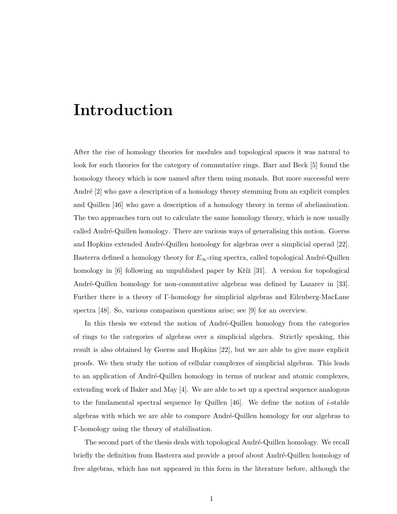### Introduction

After the rise of homology theories for modules and topological spaces it was natural to look for such theories for the category of commutative rings. Barr and Beck [5] found the homology theory which is now named after them using monads. But more successful were André [2] who gave a description of a homology theory stemming from an explicit complex and Quillen [46] who gave a description of a homology theory in terms of abelianisation. The two approaches turn out to calculate the same homology theory, which is now usually called André-Quillen homology. There are various ways of generalising this notion. Goerss and Hopkins extended André-Quillen homology for algebras over a simplicial operad [22]. Basterra defined a homology theory for  $E_{\infty}$ -ring spectra, called topological André-Quillen homology in  $[6]$  following an unpublished paper by Kříž  $[31]$ . A version for topological André-Quillen homology for non-commutative algebras was defined by Lazarev in [33]. Further there is a theory of Γ-homology for simplicial algebras and Eilenberg-MacLane spectra [48]. So, various comparison questions arise; see [9] for an overview.

In this thesis we extend the notion of André-Quillen homology from the categories of rings to the categories of algebras over a simplicial algebra. Strictly speaking, this result is also obtained by Goerss and Hopkins [22], but we are able to give more explicit proofs. We then study the notion of cellular complexes of simplicial algebras. This leads to an application of André-Quillen homology in terms of nuclear and atomic complexes, extending work of Baker and May [4]. We are able to set up a spectral sequence analogous to the fundamental spectral sequence by Quillen  $[46]$ . We define the notion of *i*-stable algebras with which we are able to compare André-Quillen homology for our algebras to Γ-homology using the theory of stabilisation.

The second part of the thesis deals with topological André-Quillen homology. We recall briefly the definition from Basterra and provide a proof about André-Quillen homology of free algebras, which has not appeared in this form in the literature before, although the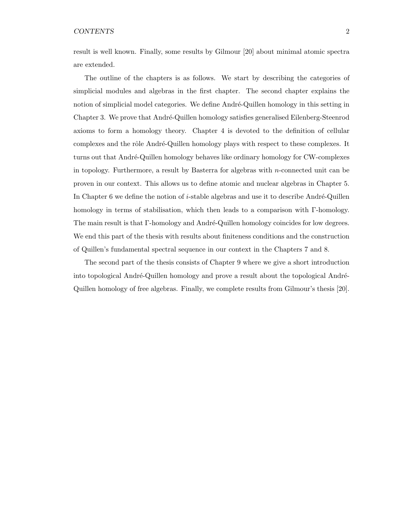result is well known. Finally, some results by Gilmour [20] about minimal atomic spectra are extended.

The outline of the chapters is as follows. We start by describing the categories of simplicial modules and algebras in the first chapter. The second chapter explains the notion of simplicial model categories. We define André-Quillen homology in this setting in Chapter 3. We prove that André-Quillen homology satisfies generalised Eilenberg-Steenrod axioms to form a homology theory. Chapter 4 is devoted to the definition of cellular complexes and the rôle André-Quillen homology plays with respect to these complexes. It turns out that André-Quillen homology behaves like ordinary homology for CW-complexes in topology. Furthermore, a result by Basterra for algebras with n-connected unit can be proven in our context. This allows us to define atomic and nuclear algebras in Chapter 5. In Chapter 6 we define the notion of *i*-stable algebras and use it to describe André-Quillen homology in terms of stabilisation, which then leads to a comparison with Γ-homology. The main result is that Γ-homology and André-Quillen homology coincides for low degrees. We end this part of the thesis with results about finiteness conditions and the construction of Quillen's fundamental spectral sequence in our context in the Chapters 7 and 8.

The second part of the thesis consists of Chapter 9 where we give a short introduction into topological André-Quillen homology and prove a result about the topological André-Quillen homology of free algebras. Finally, we complete results from Gilmour's thesis [20].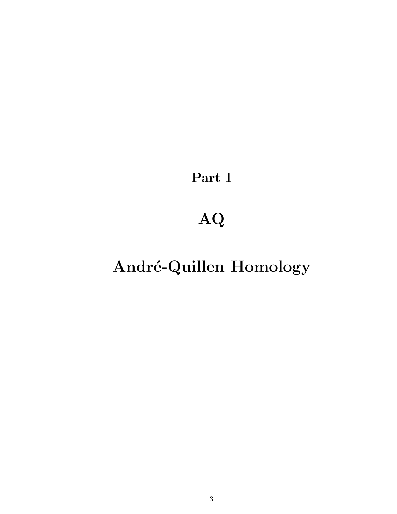Part I

## AQ

## André-Quillen Homology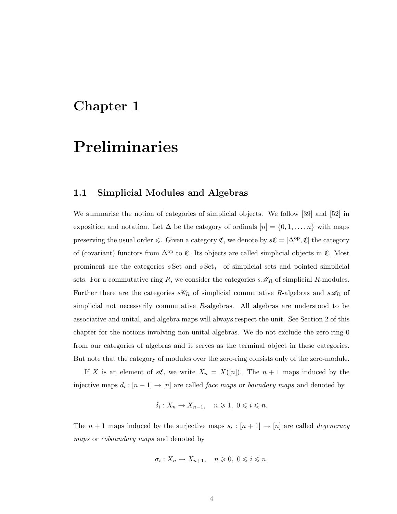### Chapter 1

### Preliminaries

#### 1.1 Simplicial Modules and Algebras

We summarise the notion of categories of simplicial objects. We follow [39] and [52] in exposition and notation. Let  $\Delta$  be the category of ordinals  $[n] = \{0, 1, \ldots, n\}$  with maps preserving the usual order  $\leq$ . Given a category  $\mathfrak{C}$ , we denote by  $s\mathfrak{C} = [\Delta^{\mathrm{op}}, \mathfrak{C}]$  the category of (covariant) functors from  $\Delta^{op}$  to  $\mathfrak{C}$ . Its objects are called simplicial objects in  $\mathfrak{C}$ . Most prominent are the categories  $s$  Set and  $s$  Set<sub>\*</sub> of simplicial sets and pointed simplicial sets. For a commutative ring R, we consider the categories  $s\mathcal{M}_R$  of simplicial R-modules. Further there are the categories  $sC_R$  of simplicial commutative R-algebras and  $s\mathcal{A}_R$  of simplicial not necessarily commutative R-algebras. All algebras are understood to be associative and unital, and algebra maps will always respect the unit. See Section 2 of this chapter for the notions involving non-unital algebras. We do not exclude the zero-ring 0 from our categories of algebras and it serves as the terminal object in these categories. But note that the category of modules over the zero-ring consists only of the zero-module.

If X is an element of  $s\mathfrak{C}$ , we write  $X_n = X([n])$ . The  $n + 1$  maps induced by the injective maps  $d_i : [n-1] \to [n]$  are called *face maps* or *boundary maps* and denoted by

$$
\delta_i: X_n \to X_{n-1}, \quad n \geqslant 1, \ 0 \leqslant i \leqslant n.
$$

The  $n+1$  maps induced by the surjective maps  $s_i : [n+1] \rightarrow [n]$  are called *degeneracy* maps or coboundary maps and denoted by

$$
\sigma_i: X_n \to X_{n+1}, \quad n \geqslant 0, \ 0 \leqslant i \leqslant n.
$$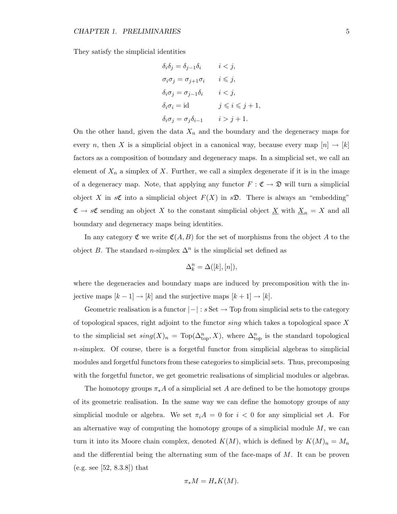They satisfy the simplicial identities

$$
\delta_i \delta_j = \delta_{j-1} \delta_i \qquad i < j,
$$
  
\n
$$
\sigma_i \sigma_j = \sigma_{j+1} \sigma_i \qquad i \leq j,
$$
  
\n
$$
\delta_i \sigma_j = \sigma_{j-1} \delta_i \qquad i < j,
$$
  
\n
$$
\delta_i \sigma_i = id \qquad j \leq i \leq j+1,
$$
  
\n
$$
\delta_i \sigma_j = \sigma_j \delta_{i-1} \qquad i > j+1.
$$

On the other hand, given the data  $X_n$  and the boundary and the degeneracy maps for every n, then X is a simplicial object in a canonical way, because every map  $[n] \to [k]$ factors as a composition of boundary and degeneracy maps. In a simplicial set, we call an element of  $X_n$  a simplex of X. Further, we call a simplex degenerate if it is in the image of a degeneracy map. Note, that applying any functor  $F : \mathfrak{C} \to \mathfrak{D}$  will turn a simplicial object X in  $s\mathfrak{C}$  into a simplicial object  $F(X)$  in  $s\mathfrak{D}$ . There is always an "embedding"  $\mathfrak{C} \to s\mathfrak{C}$  sending an object X to the constant simplicial object  $\underline{X}$  with  $\underline{X}_n = X$  and all boundary and degeneracy maps being identities.

In any category  $\mathfrak C$  we write  $\mathfrak C(A, B)$  for the set of morphisms from the object A to the object B. The standard n-simplex  $\Delta^n$  is the simplicial set defined as

$$
\Delta_k^n = \Delta([k],[n]),
$$

where the degeneracies and boundary maps are induced by precomposition with the injective maps  $[k-1] \rightarrow [k]$  and the surjective maps  $[k+1] \rightarrow [k]$ .

Geometric realisation is a functor  $|-|: s \text{ Set } \to \text{Top}$  from simplicial sets to the category of topological spaces, right adjoint to the functor sing which takes a topological space X to the simplicial set  $sing(X)_n = Top(\Delta_{\text{top}}^n, X)$ , where  $\Delta_{\text{top}}^n$  is the standard topological  $n$ -simplex. Of course, there is a forgetful functor from simplicial algebras to simplicial modules and forgetful functors from these categories to simplicial sets. Thus, precomposing with the forgetful functor, we get geometric realisations of simplicial modules or algebras.

The homotopy groups  $\pi_* A$  of a simplicial set A are defined to be the homotopy groups of its geometric realisation. In the same way we can define the homotopy groups of any simplicial module or algebra. We set  $\pi_i A = 0$  for  $i < 0$  for any simplicial set A. For an alternative way of computing the homotopy groups of a simplicial module  $M$ , we can turn it into its Moore chain complex, denoted  $K(M)$ , which is defined by  $K(M)_n = M_n$ and the differential being the alternating sum of the face-maps of  $M$ . It can be proven (e.g. see [52, 8.3.8]) that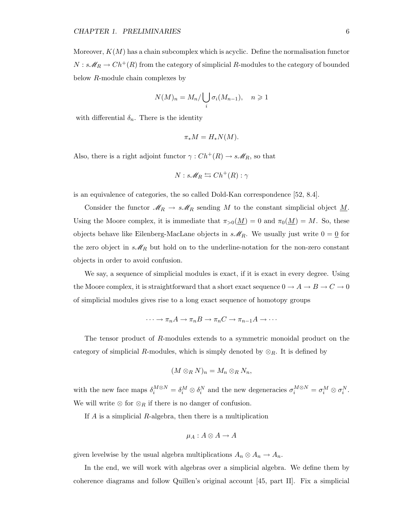Moreover,  $K(M)$  has a chain subcomplex which is acyclic. Define the normalisation functor  $N: s\mathscr{M}_R \to Ch^+(R)$  from the category of simplicial  $R\text{-modules}$  to the category of bounded below R-module chain complexes by

$$
N(M)_n = M_n / \bigcup_i \sigma_i(M_{n-1}), \quad n \geqslant 1
$$

with differential  $\delta_n$ . There is the identity

$$
\pi_* M = H_* N(M).
$$

Also, there is a right adjoint functor  $\gamma: Ch^+(R) \to s\mathcal{M}_R$ , so that

$$
N: s\mathscr{M}_R \leftrightarrows Ch^+(R): \gamma
$$

is an equivalence of categories, the so called Dold-Kan correspondence [52, 8.4].

Consider the functor  $\mathcal{M}_R \to s\mathcal{M}_R$  sending M to the constant simplicial object  $\underline{M}$ . Using the Moore complex, it is immediate that  $\pi_{>0}(\underline{M}) = 0$  and  $\pi_0(\underline{M}) = M$ . So, these objects behave like Eilenberg-MacLane objects in  $s\mathcal{M}_R$ . We usually just write  $0 = 0$  for the zero object in  $s\mathcal{M}_R$  but hold on to the underline-notation for the non-zero constant objects in order to avoid confusion.

We say, a sequence of simplicial modules is exact, if it is exact in every degree. Using the Moore complex, it is straightforward that a short exact sequence  $0\to A\to B\to C\to 0$ of simplicial modules gives rise to a long exact sequence of homotopy groups

$$
\cdots \to \pi_n A \to \pi_n B \to \pi_n C \to \pi_{n-1} A \to \cdots
$$

The tensor product of R-modules extends to a symmetric monoidal product on the category of simplicial R-modules, which is simply denoted by  $\otimes_R$ . It is defined by

$$
(M\otimes_R N)_n = M_n\otimes_R N_n,
$$

with the new face maps  $\delta_i^{M \otimes N} = \delta_i^M \otimes \delta_i^N$  and the new degeneracies  $\sigma_i^{M \otimes N} = \sigma_i^M \otimes \sigma_i^N$ . We will write  $\otimes$  for  $\otimes_R$  if there is no danger of confusion.

If  $A$  is a simplicial  $R$ -algebra, then there is a multiplication

$$
\mu_A: A \otimes A \to A
$$

given levelwise by the usual algebra multiplications  $A_n \otimes A_n \to A_n$ .

In the end, we will work with algebras over a simplicial algebra. We define them by coherence diagrams and follow Quillen's original account [45, part II]. Fix a simplicial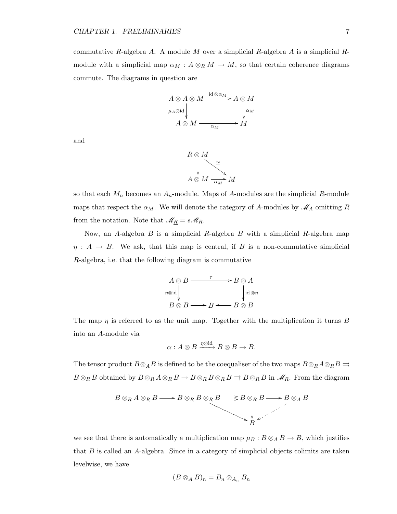commutative R-algebra A. A module M over a simplicial R-algebra A is a simplicial Rmodule with a simplicial map  $\alpha_M : A \otimes_R M \to M$ , so that certain coherence diagrams commute. The diagrams in question are



and



so that each  $M_n$  becomes an  $A_n$ -module. Maps of A-modules are the simplicial R-module maps that respect the  $\alpha_M$ . We will denote the category of A-modules by  $\mathcal{M}_A$  omitting R from the notation. Note that  $\mathcal{M}_R = s\mathcal{M}_R$ .

Now, an A-algebra  $B$  is a simplicial  $R$ -algebra  $B$  with a simplicial  $R$ -algebra map  $\eta: A \to B$ . We ask, that this map is central, if B is a non-commutative simplicial R-algebra, i.e. that the following diagram is commutative

$$
A \otimes B \xrightarrow{\tau} B \otimes A
$$
  
\n
$$
\eta \otimes id \downarrow \qquad \qquad \downarrow id \otimes \eta
$$
  
\n
$$
B \otimes B \longrightarrow B \longleftarrow B \otimes B
$$

The map  $\eta$  is referred to as the unit map. Together with the multiplication it turns B into an A-module via

$$
\alpha: A \otimes B \xrightarrow{\eta \otimes \mathrm{id}} B \otimes B \to B.
$$

The tensor product  $B \otimes_A B$  is defined to be the coequaliser of the two maps  $B \otimes_R A \otimes_R B \rightrightarrows$  $B \otimes_R B$  obtained by  $B \otimes_R A \otimes_R B \to B \otimes_R B \otimes_R B \rightrightarrows B \otimes_R B$  in  $\mathscr{M}_{R}$ . From the diagram



we see that there is automatically a multiplication map  $\mu_B : B \otimes_A B \to B$ , which justifies that B is called an A-algebra. Since in a category of simplicial objects colimits are taken levelwise, we have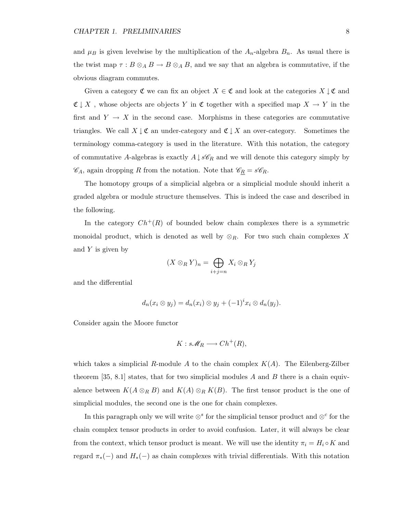and  $\mu_B$  is given levelwise by the multiplication of the  $A_n$ -algebra  $B_n$ . As usual there is the twist map  $\tau : B \otimes_A B \to B \otimes_A B$ , and we say that an algebra is commutative, if the obvious diagram commutes.

Given a category  $\mathfrak{C}$  we can fix an object  $X \in \mathfrak{C}$  and look at the categories  $X \downarrow \mathfrak{C}$  and  $\mathfrak{C} \downarrow X$ , whose objects are objects Y in  $\mathfrak{C}$  together with a specified map  $X \to Y$  in the first and  $Y \to X$  in the second case. Morphisms in these categories are commutative triangles. We call  $X \downarrow \mathfrak{C}$  an under-category and  $\mathfrak{C} \downarrow X$  an over-category. Sometimes the terminology comma-category is used in the literature. With this notation, the category of commutative A-algebras is exactly  $A \downarrow s\mathscr{C}_R$  and we will denote this category simply by  $\mathscr{C}_A$ , again dropping R from the notation. Note that  $\mathscr{C}_R = s\mathscr{C}_R$ .

The homotopy groups of a simplicial algebra or a simplicial module should inherit a graded algebra or module structure themselves. This is indeed the case and described in the following.

In the category  $Ch^+(R)$  of bounded below chain complexes there is a symmetric monoidal product, which is denoted as well by  $\otimes_R$ . For two such chain complexes X and  $Y$  is given by

$$
(X\otimes_R Y)_n = \bigoplus_{i+j=n} X_i \otimes_R Y_j
$$

and the differential

$$
d_n(x_i \otimes y_j) = d_n(x_i) \otimes y_j + (-1)^i x_i \otimes d_n(y_j).
$$

Consider again the Moore functor

$$
K: s\mathscr{M}_R \longrightarrow Ch^+(R),
$$

which takes a simplicial R-module A to the chain complex  $K(A)$ . The Eilenberg-Zilber theorem [35, 8.1] states, that for two simplicial modules A and B there is a chain equivalence between  $K(A \otimes_R B)$  and  $K(A) \otimes_R K(B)$ . The first tensor product is the one of simplicial modules, the second one is the one for chain complexes.

In this paragraph only we will write  $\otimes^s$  for the simplicial tensor product and  $\otimes^c$  for the chain complex tensor products in order to avoid confusion. Later, it will always be clear from the context, which tensor product is meant. We will use the identity  $\pi_i = H_i \circ K$  and regard  $\pi_*(-)$  and  $H_*(-)$  as chain complexes with trivial differentials. With this notation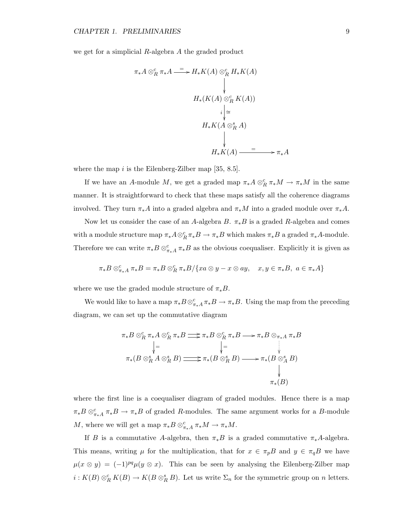we get for a simplicial R-algebra A the graded product

$$
\pi_* A \otimes_R^c \pi_* A \xrightarrow{=} H_* K(A) \otimes_R^c H_* K(A)
$$
\n
$$
\downarrow
$$
\n
$$
H_*(K(A) \otimes_R^c K(A))
$$
\n
$$
i \downarrow \cong
$$
\n
$$
H_* K(A \otimes_R^s A)
$$
\n
$$
\downarrow
$$
\n
$$
H_* K(A) \xrightarrow{=} \pi_* A
$$

where the map i is the Eilenberg-Zilber map  $[35, 8.5]$ .

If we have an A-module M, we get a graded map  $\pi_* A \otimes_R^c \pi_* M \to \pi_* M$  in the same manner. It is straightforward to check that these maps satisfy all the coherence diagrams involved. They turn  $\pi_* A$  into a graded algebra and  $\pi_* M$  into a graded module over  $\pi_* A$ .

Now let us consider the case of an A-algebra B.  $\pi_* B$  is a graded R-algebra and comes with a module structure map  $\pi_*A\otimes_R^c \pi_*B \to \pi_*B$  which makes  $\pi_*B$  a graded  $\pi_*A$ -module. Therefore we can write  $\pi_* B \otimes_{\pi_* A}^c \pi_* B$  as the obvious coequaliser. Explicitly it is given as

$$
\pi_*B\otimes_{\pi_*A}^c\pi_*B=\pi_*B\otimes_R^c\pi_*B/\{xa\otimes y-x\otimes ay,\quad x,y\in\pi_*B,\ a\in\pi_*A\}
$$

where we use the graded module structure of  $\pi_* B$ .

We would like to have a map  $\pi_* B \otimes_{\pi_* A}^c \pi_* B \to \pi_* B$ . Using the map from the preceding diagram, we can set up the commutative diagram

$$
\pi_* B \otimes_R^c \pi_* A \otimes_R^c \pi_* B \Longrightarrow \pi_* B \otimes_R^c \pi_* B \longrightarrow \pi_* B \otimes_{\pi_* A}^c \pi_* B
$$
\n
$$
\downarrow = \qquad \qquad \downarrow =
$$
\n
$$
\pi_*(B \otimes_R^s A \otimes_R^s B) \Longrightarrow \pi_*(B \otimes_R^s B) \longrightarrow \pi_*(B \otimes_A^s B)
$$
\n
$$
\downarrow
$$
\n
$$
\pi_*(B)
$$

where the first line is a coequaliser diagram of graded modules. Hence there is a map  $\pi_*B\otimes_{\pi_*A}^c \pi_*B \to \pi_*B$  of graded R-modules. The same argument works for a B-module M, where we will get a map  $\pi_* B \otimes_{\pi_* A}^c \pi_* M \to \pi_* M$ .

If B is a commutative A-algebra, then  $\pi_* B$  is a graded commutative  $\pi_* A$ -algebra. This means, writing  $\mu$  for the multiplication, that for  $x \in \pi_p B$  and  $y \in \pi_q B$  we have  $\mu(x \otimes y) = (-1)^{pq} \mu(y \otimes x)$ . This can be seen by analysing the Eilenberg-Zilber map  $i: K(B) \otimes_R^c K(B) \to K(B \otimes_R^s B)$ . Let us write  $\Sigma_n$  for the symmetric group on n letters.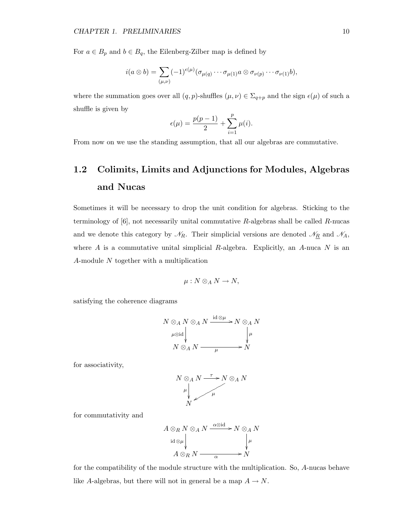For  $a \in B_p$  and  $b \in B_q$ , the Eilenberg-Zilber map is defined by

$$
i(a\otimes b)=\sum_{(\mu,\nu)}(-1)^{\epsilon(\mu)}(\sigma_{\mu(q)}\cdots\sigma_{\mu(1)}a\otimes\sigma_{\nu(p)}\cdots\sigma_{\nu(1)}b),
$$

where the summation goes over all  $(q, p)$ -shuffles  $(\mu, \nu) \in \Sigma_{q+p}$  and the sign  $\epsilon(\mu)$  of such a shuffle is given by

$$
\epsilon(\mu) = \frac{p(p-1)}{2} + \sum_{i=1}^{p} \mu(i).
$$

From now on we use the standing assumption, that all our algebras are commutative.

### 1.2 Colimits, Limits and Adjunctions for Modules, Algebras and Nucas

Sometimes it will be necessary to drop the unit condition for algebras. Sticking to the terminology of  $[6]$ , not necessarily unital commutative  $R$ -algebras shall be called  $R$ -nucas and we denote this category by  $\mathcal{N}_R$ . Their simplicial versions are denoted  $\mathcal{N}_R$  and  $\mathcal{N}_A$ , where  $A$  is a commutative unital simplicial  $R$ -algebra. Explicitly, an  $A$ -nuca  $N$  is an A-module N together with a multiplication

$$
\mu: N\otimes_A N\to N,
$$

satisfying the coherence diagrams

$$
N \otimes_A N \otimes_A N \xrightarrow{\text{id} \otimes \mu} N \otimes_A N
$$
  
\n
$$
\mu \otimes \text{id} \downarrow \qquad \qquad \downarrow \mu
$$
  
\n
$$
N \otimes_A N \xrightarrow{\text{id} \otimes \mu} N
$$

for associativity,

$$
N \otimes_A N \xrightarrow{\tau} N \otimes_A N
$$
  
\n
$$
\mu \downarrow \qquad \qquad \mu
$$
  
\n
$$
N
$$

for commutativity and

$$
A \otimes_R N \otimes_A N \xrightarrow{\alpha \otimes \text{id}} N \otimes_A N
$$
  
id  $\otimes \mu$   

$$
A \otimes_R N \xrightarrow{\alpha \otimes \text{id}} N
$$

for the compatibility of the module structure with the multiplication. So, A-nucas behave like A-algebras, but there will not in general be a map  $A \to N$ .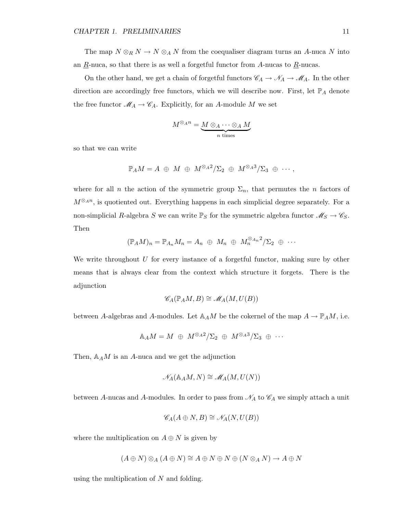The map  $N \otimes_R N \to N \otimes_A N$  from the coequaliser diagram turns an A-nuca N into an  $\underline{R}$ -nuca, so that there is as well a forgetful functor from A-nucas to  $\underline{R}$ -nucas.

On the other hand, we get a chain of forgetful functors  $\mathscr{C}_A \to \mathscr{N}_A \to \mathscr{M}_A$ . In the other direction are accordingly free functors, which we will describe now. First, let  $\mathbb{P}_A$  denote the free functor  $\mathcal{M}_A \to \mathcal{C}_A$ . Explicitly, for an A-module M we set

$$
M^{\otimes_A n} = \underbrace{M \otimes_A \cdots \otimes_A M}_{n \text{ times}}
$$

so that we can write

$$
\mathbb{P}_AM = A \; \oplus \; M \; \oplus \; M^{\otimes_A 2}/\Sigma_2 \; \oplus \; M^{\otimes_A 3}/\Sigma_3 \; \oplus \; \cdots,
$$

where for all *n* the action of the symmetric group  $\Sigma_n$ , that permutes the *n* factors of  $M^{\otimes_A n}$ , is quotiented out. Everything happens in each simplicial degree separately. For a non-simplicial R-algebra  $S$  we can write  $\mathbb{P}_S$  for the symmetric algebra functor  $\mathscr{M}_S \to \mathscr{C}_S.$ Then

$$
(\mathbb{P}_A M)_n = \mathbb{P}_{A_n} M_n = A_n \oplus M_n \oplus M_n^{\otimes_{A_n} 2}/\Sigma_2 \oplus \cdots
$$

We write throughout  $U$  for every instance of a forgetful functor, making sure by other means that is always clear from the context which structure it forgets. There is the adjunction

$$
\mathscr{C}_A(\mathbb{P}_AM, B) \cong \mathscr{M}_A(M, U(B))
$$

between A-algebras and A-modules. Let  $\mathbb{A}_A M$  be the cokernel of the map  $A \to \mathbb{P}_A M$ , i.e.

$$
\mathbb{A}_AM=M\;\oplus\; M^{\otimes_A 2}/\Sigma_2\;\oplus\; M^{\otimes_A 3}/\Sigma_3\;\oplus\;\cdots
$$

Then,  $\mathbb{A}_A M$  is an A-nuca and we get the adjunction

$$
\mathcal{N}_A(\mathbb{A}_A M, N) \cong \mathcal{M}_A(M, U(N))
$$

between A-nucas and A-modules. In order to pass from  $\mathcal{N}_A$  to  $\mathcal{C}_A$  we simply attach a unit

$$
\mathscr{C}_A(A \oplus N, B) \cong \mathscr{N}_A(N, U(B))
$$

where the multiplication on  $A \oplus N$  is given by

$$
(A \oplus N) \otimes_A (A \oplus N) \cong A \oplus N \oplus N \oplus (N \otimes_A N) \to A \oplus N
$$

using the multiplication of  $N$  and folding.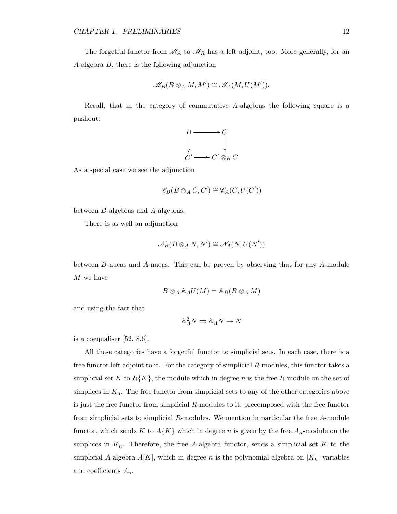The forgetful functor from  $\mathcal{M}_A$  to  $\mathcal{M}_{R}$  has a left adjoint, too. More generally, for an A-algebra B, there is the following adjunction

$$
\mathscr{M}_B(B\otimes_A M, M') \cong \mathscr{M}_A(M, U(M')).
$$

Recall, that in the category of commutative A-algebras the following square is a pushout:



As a special case we see the adjunction

$$
\mathscr{C}_B(B \otimes_A C, C') \cong \mathscr{C}_A(C, U(C'))
$$

between B-algebras and A-algebras.

There is as well an adjunction

$$
\mathscr{N}_B(B\otimes_A N, N') \cong \mathscr{N}_A(N, U(N'))
$$

between B-nucas and A-nucas. This can be proven by observing that for any A-module M we have

$$
B\otimes_A \mathbb{A}_A U(M)=\mathbb{A}_B(B\otimes_A M)
$$

and using the fact that

$$
\mathbb{A}^2_A N \rightrightarrows \mathbb{A}_A N \to N
$$

is a coequaliser [52, 8.6].

All these categories have a forgetful functor to simplicial sets. In each case, there is a free functor left adjoint to it. For the category of simplicial R-modules, this functor takes a simplicial set K to  $R\{K\}$ , the module which in degree n is the free R-module on the set of simplices in  $K_n$ . The free functor from simplicial sets to any of the other categories above is just the free functor from simplicial R-modules to it, precomposed with the free functor from simplicial sets to simplicial R-modules. We mention in particular the free A-module functor, which sends K to  $A\{K\}$  which in degree n is given by the free  $A_n$ -module on the simplices in  $K_n$ . Therefore, the free A-algebra functor, sends a simplicial set K to the simplicial A-algebra  $A[K]$ , which in degree n is the polynomial algebra on  $|K_n|$  variables and coefficients  $A_n$ .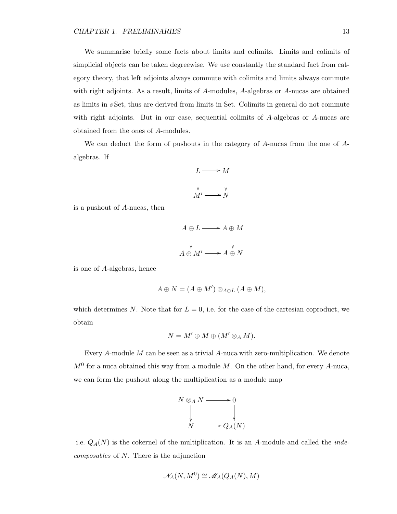We summarise briefly some facts about limits and colimits. Limits and colimits of simplicial objects can be taken degreewise. We use constantly the standard fact from category theory, that left adjoints always commute with colimits and limits always commute with right adjoints. As a result, limits of A-modules, A-algebras or A-nucas are obtained as limits in s Set, thus are derived from limits in Set. Colimits in general do not commute with right adjoints. But in our case, sequential colimits of A-algebras or A-nucas are obtained from the ones of A-modules.

We can deduct the form of pushouts in the category of A-nucas from the one of Aalgebras. If



is a pushout of A-nucas, then

$$
A \oplus L \longrightarrow A \oplus M
$$
  
\n
$$
A \oplus M' \longrightarrow A \oplus N
$$

is one of A-algebras, hence

$$
A\oplus N=(A\oplus M')\otimes_{A\oplus L}(A\oplus M),
$$

which determines N. Note that for  $L = 0$ , i.e. for the case of the cartesian coproduct, we obtain

$$
N = M' \oplus M \oplus (M' \otimes_A M).
$$

Every A-module M can be seen as a trivial A-nuca with zero-multiplication. We denote  $M<sup>0</sup>$  for a nuca obtained this way from a module M. On the other hand, for every A-nuca, we can form the pushout along the multiplication as a module map



i.e.  $Q_A(N)$  is the cokernel of the multiplication. It is an A-module and called the *inde*composables of N. There is the adjunction

$$
\mathcal{N}_A(N, M^0) \cong \mathcal{M}_A(Q_A(N), M)
$$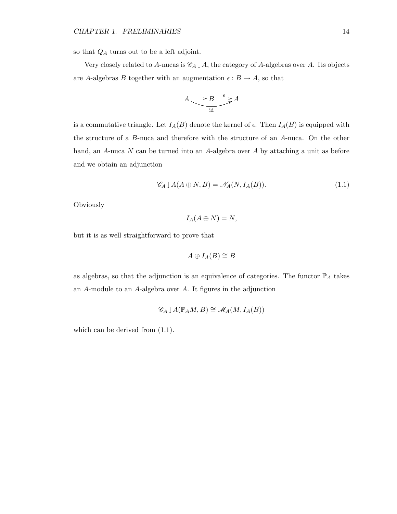so that  $Q_A$  turns out to be a left adjoint.

Very closely related to A-nucas is  $\mathscr{C}_A \downarrow A$ , the category of A-algebras over A. Its objects are A-algebras  $B$  together with an augmentation  $\epsilon:B\to A,$  so that

$$
A \underbrace{\longrightarrow B \stackrel{\epsilon}{\longrightarrow} A}_{\text{id}}
$$

is a commutative triangle. Let  $I_A(B)$  denote the kernel of  $\epsilon$ . Then  $I_A(B)$  is equipped with the structure of a B-nuca and therefore with the structure of an A-nuca. On the other hand, an A-nuca N can be turned into an A-algebra over A by attaching a unit as before and we obtain an adjunction

$$
\mathcal{C}_A \downarrow A(A \oplus N, B) = \mathcal{N}_A(N, I_A(B)). \tag{1.1}
$$

Obviously

$$
I_A(A \oplus N) = N,
$$

but it is as well straightforward to prove that

$$
A\oplus I_A(B)\cong B
$$

as algebras, so that the adjunction is an equivalence of categories. The functor  $\mathbb{P}_A$  takes an A-module to an A-algebra over A. It figures in the adjunction

$$
\mathscr{C}_A \downarrow A(\mathbb{P}_A M, B) \cong \mathscr{M}_A (M, I_A (B))
$$

which can be derived from  $(1.1)$ .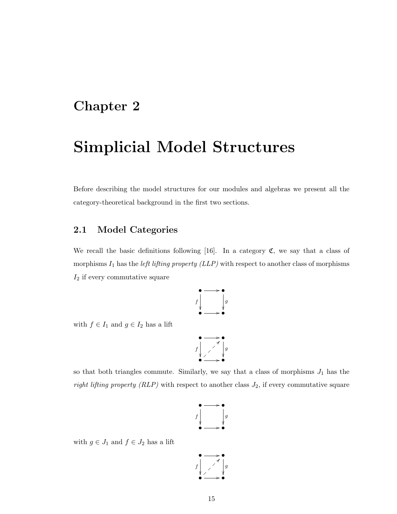### Chapter 2

### Simplicial Model Structures

Before describing the model structures for our modules and algebras we present all the category-theoretical background in the first two sections.

#### 2.1 Model Categories

We recall the basic definitions following [16]. In a category  $\mathfrak{C}$ , we say that a class of morphisms  $I_1$  has the *left lifting property (LLP)* with respect to another class of morphisms  $I_2$  if every commutative square



with  $f \in I_1$  and  $g \in I_2$  has a lift

$$
\begin{array}{c}\n\bullet \longrightarrow \bullet \\
f \downarrow \nearrow \downarrow g \\
\bullet \longrightarrow \bullet\n\end{array}
$$

so that both triangles commute. Similarly, we say that a class of morphisms  $J_1$  has the right lifting property (RLP) with respect to another class  $J_2$ , if every commutative square



with  $g \in J_1$  and  $f \in J_2$  has a lift

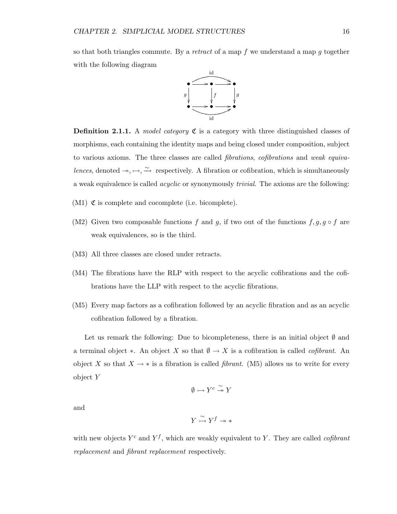so that both triangles commute. By a retract of a map f we understand a map g together with the following diagram



**Definition 2.1.1.** A model category  $\mathfrak{C}$  is a category with three distinguished classes of morphisms, each containing the identity maps and being closed under composition, subject to various axioms. The three classes are called fibrations, cofibrations and weak equivalences, denoted  $\rightarrow, \rightarrow, \stackrel{\sim}{\rightarrow}$  respectively. A fibration or cofibration, which is simultaneously a weak equivalence is called acyclic or synonymously trivial. The axioms are the following:

- $(M1)$   $\mathfrak C$  is complete and cocomplete (i.e. bicomplete).
- (M2) Given two composable functions f and g, if two out of the functions  $f, g, g \circ f$  are weak equivalences, so is the third.
- (M3) All three classes are closed under retracts.
- (M4) The fibrations have the RLP with respect to the acyclic cofibrations and the cofibrations have the LLP with respect to the acyclic fibrations.
- (M5) Every map factors as a cofibration followed by an acyclic fibration and as an acyclic cofibration followed by a fibration.

Let us remark the following: Due to bicompleteness, there is an initial object  $\emptyset$  and a terminal object  $\ast$ . An object X so that  $\emptyset \to X$  is a cofibration is called *cofibrant*. An object X so that  $X \to *$  is a fibration is called *fibrant*. (M5) allows us to write for every object Y

$$
\emptyset \rightarrowtail Y^c \xrightarrow{\sim} Y
$$

and

$$
Y \overset{\sim}{\rightarrowtail} Y^f \twoheadrightarrow *
$$

with new objects  $Y^c$  and  $Y^f$ , which are weakly equivalent to Y. They are called *cofibrant* replacement and fibrant replacement respectively.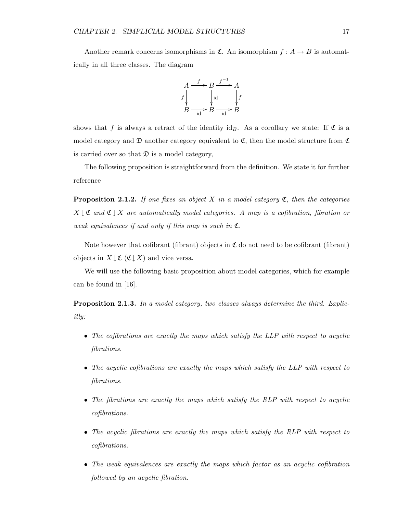Another remark concerns isomorphisms in  $\mathfrak{C}$ . An isomorphism  $f : A \rightarrow B$  is automatically in all three classes. The diagram



shows that f is always a retract of the identity id<sub>B</sub>. As a corollary we state: If  $\mathfrak C$  is a model category and  $\mathfrak D$  another category equivalent to  $\mathfrak C$ , then the model structure from  $\mathfrak C$ is carried over so that  $\mathfrak D$  is a model category,

The following proposition is straightforward from the definition. We state it for further reference

**Proposition 2.1.2.** If one fixes an object X in a model category  $\mathfrak{C}$ , then the categories  $X \downarrow \mathfrak{C}$  and  $\mathfrak{C} \downarrow X$  are automatically model categories. A map is a cofibration, fibration or weak equivalences if and only if this map is such in  $\mathfrak{C}$ .

Note however that cofibrant (fibrant) objects in  $\mathfrak C$  do not need to be cofibrant (fibrant) objects in  $X \downarrow \mathfrak{C} (\mathfrak{C} \downarrow X)$  and vice versa.

We will use the following basic proposition about model categories, which for example can be found in [16].

Proposition 2.1.3. In a model category, two classes always determine the third. Explicitly:

- The cofibrations are exactly the maps which satisfy the LLP with respect to acyclic fibrations.
- The acyclic cofibrations are exactly the maps which satisfy the LLP with respect to fibrations.
- The fibrations are exactly the maps which satisfy the RLP with respect to acyclic cofibrations.
- The acyclic fibrations are exactly the maps which satisfy the RLP with respect to cofibrations.
- The weak equivalences are exactly the maps which factor as an acyclic cofibration followed by an acyclic fibration.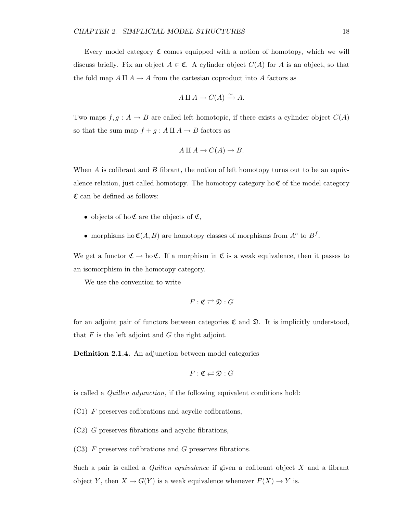Every model category  $\mathfrak C$  comes equipped with a notion of homotopy, which we will discuss briefly. Fix an object  $A \in \mathfrak{C}$ . A cylinder object  $C(A)$  for A is an object, so that the fold map  $A \amalg A \to A$  from the cartesian coproduct into A factors as

$$
A \amalg A \to C(A) \xrightarrow{\sim} A.
$$

Two maps  $f, g: A \to B$  are called left homotopic, if there exists a cylinder object  $C(A)$ so that the sum map  $f + g : A \amalg A \to B$  factors as

$$
A \amalg A \to C(A) \to B.
$$

When  $A$  is cofibrant and  $B$  fibrant, the notion of left homotopy turns out to be an equivalence relation, just called homotopy. The homotopy category ho  $\mathfrak C$  of the model category  $\mathfrak C$  can be defined as follows:

- objects of ho  $\mathfrak C$  are the objects of  $\mathfrak C$ ,
- morphisms ho  $\mathfrak{C}(A, B)$  are homotopy classes of morphisms from  $A^c$  to  $B^f$ .

We get a functor  $\mathfrak{C} \to$  ho  $\mathfrak{C}$ . If a morphism in  $\mathfrak{C}$  is a weak equivalence, then it passes to an isomorphism in the homotopy category.

We use the convention to write

$$
F:\mathfrak{C}\rightleftarrows\mathfrak{D}:G
$$

for an adjoint pair of functors between categories  $\mathfrak C$  and  $\mathfrak D$ . It is implicitly understood, that  $F$  is the left adjoint and  $G$  the right adjoint.

Definition 2.1.4. An adjunction between model categories

$$
F:\mathfrak{C}\rightleftarrows\mathfrak{D}:G
$$

is called a Quillen adjunction, if the following equivalent conditions hold:

(C1) F preserves cofibrations and acyclic cofibrations,

(C2) G preserves fibrations and acyclic fibrations,

(C3) F preserves cofibrations and G preserves fibrations.

Such a pair is called a *Quillen equivalence* if given a cofibrant object  $X$  and a fibrant object Y, then  $X \to G(Y)$  is a weak equivalence whenever  $F(X) \to Y$  is.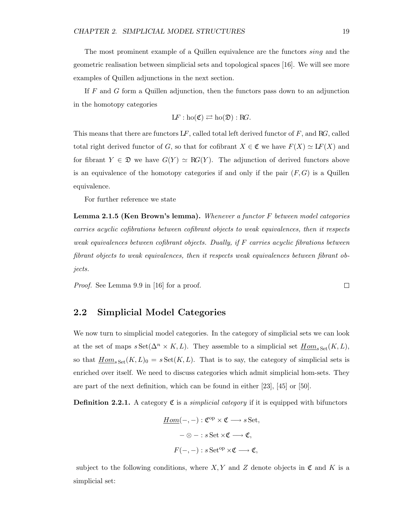The most prominent example of a Quillen equivalence are the functors sing and the geometric realisation between simplicial sets and topological spaces [16]. We will see more examples of Quillen adjunctions in the next section.

If F and G form a Quillen adjunction, then the functors pass down to an adjunction in the homotopy categories

$$
LF: ho(\mathfrak{C}) \rightleftarrows ho(\mathfrak{D}): RG.
$$

This means that there are functors  $LF$ , called total left derived functor of  $F$ , and RG, called total right derived functor of G, so that for cofibrant  $X \in \mathfrak{C}$  we have  $F(X) \simeq LF(X)$  and for fibrant  $Y \in \mathfrak{D}$  we have  $G(Y) \simeq RG(Y)$ . The adjunction of derived functors above is an equivalence of the homotopy categories if and only if the pair  $(F, G)$  is a Quillen equivalence.

For further reference we state

Lemma 2.1.5 (Ken Brown's lemma). Whenever a functor F between model categories carries acyclic cofibrations between cofibrant objects to weak equivalences, then it respects weak equivalences between cofibrant objects. Dually, if F carries acyclic fibrations between fibrant objects to weak equivalences, then it respects weak equivalences between fibrant objects.

Proof. See Lemma 9.9 in [16] for a proof.

#### 2.2 Simplicial Model Categories

We now turn to simplicial model categories. In the category of simplicial sets we can look at the set of maps  $s\operatorname{Set}(\Delta^n \times K, L)$ . They assemble to a simplicial set  $\underline{Hom}_{s\operatorname{Set}}(K, L)$ , so that  $\underline{Hom}_{s\,Set}(K, L)_0 = s\,Set(K, L)$ . That is to say, the category of simplicial sets is enriched over itself. We need to discuss categories which admit simplicial hom-sets. They are part of the next definition, which can be found in either [23], [45] or [50].

**Definition 2.2.1.** A category  $\mathfrak{C}$  is a *simplicial category* if it is equipped with bifunctors

$$
\underline{Hom}(-,-): \mathfrak{C}^{\mathrm{op}} \times \mathfrak{C} \longrightarrow s \,\mathrm{Set},
$$

$$
-\otimes - : s \,\mathrm{Set} \times \mathfrak{C} \longrightarrow \mathfrak{C},
$$

$$
F(-,-) : s \,\mathrm{Set}^{\mathrm{op}} \times \mathfrak{C} \longrightarrow \mathfrak{C},
$$

subject to the following conditions, where  $X, Y$  and Z denote objects in  $\mathfrak{C}$  and K is a simplicial set:

 $\Box$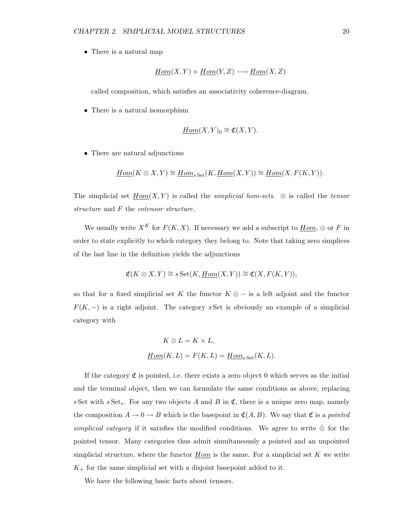• There is a natural map

$$
Hom(X, Y) \times Hom(Y, Z) \longrightarrow Hom(X, Z)
$$

called composition, which satisfies an associativity coherence-diagram.

• There is a natural isomorphism

$$
\underline{Hom}(X,Y)_0 \cong \mathfrak{C}(X,Y).
$$

• There are natural adjunctions

$$
\underline{Hom}(K \otimes X, Y) \cong \underline{Hom}_{s \cdot \text{Set}}(K, \underline{Hom}(X, Y)) \cong \underline{Hom}(X, F(K, Y)).
$$

The simplicial set  $Hom(X, Y)$  is called the *simplicial hom-sets*.  $\otimes$  is called the *tensor* structure and F the cotensor structure.

We usually write  $X^K$  for  $F(K, X)$ . If necessary we add a subscript to  $\underline{Hom}$ ,  $\otimes$  or F in order to state explicitly to which category they belong to. Note that taking zero simplices of the last line in the definition yields the adjunctions

$$
\mathfrak{C}(K \otimes X, Y) \cong s \operatorname{Set}(K, \underline{Hom}(X, Y)) \cong \mathfrak{C}(X, F(K, Y)),
$$

so that for a fixed simplicial set K the functor  $K \otimes -$  is a left adjoint and the functor  $F(K, -)$  is a right adjoint. The category s Set is obviously an example of a simplicial category with

$$
K\otimes L=K\times L,
$$
  

$$
\underline{Hom}(K,L)=F(K,L)=\underline{Hom}_{s\,\rm Set}(K,L).
$$

If the category  $\mathfrak C$  is pointed, i.e. there exists a zero object 0 which serves as the initial and the terminal object, then we can formulate the same conditions as above, replacing s Set with s Set<sub>\*</sub>. For any two objects A and B in  $\mathfrak{C}$ , there is a unique zero map, namely the composition  $A \to 0 \to B$  which is the basepoint in  $\mathfrak{C}(A, B)$ . We say that  $\mathfrak{C}$  is a pointed simplicial category if it satisfies the modified conditions. We agree to write  $\hat{\otimes}$  for the pointed tensor. Many categories thus admit simultaneously a pointed and an unpointed simplicial structure, where the functor  $Hom$  is the same. For a simplicial set K we write  $K_{+}$  for the same simplicial set with a disjoint basepoint added to it.

We have the following basic facts about tensors.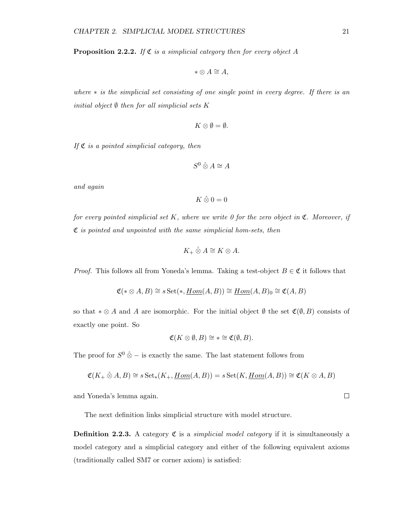**Proposition 2.2.2.** If  $\mathfrak{C}$  is a simplicial category then for every object A

$$
* \otimes A \cong A,
$$

where  $*$  is the simplicial set consisting of one single point in every degree. If there is an initial object  $\emptyset$  then for all simplicial sets K

$$
K\otimes\emptyset=\emptyset.
$$

If  $\mathfrak C$  is a pointed simplicial category, then

$$
S^0\mathbin{\hat{\otimes}} A\cong A
$$

and again

$$
K\mathbin{\hat{\otimes}} 0=0
$$

for every pointed simplicial set  $K$ , where we write 0 for the zero object in  $\mathfrak{C}$ . Moreover, if  $\mathfrak C$  is pointed and unpointed with the same simplicial hom-sets, then

$$
K_+ \hat{\otimes} A \cong K \otimes A.
$$

*Proof.* This follows all from Yoneda's lemma. Taking a test-object  $B \in \mathfrak{C}$  it follows that

$$
\mathfrak{C}(*\otimes A,B)\cong s\,\mathrm{Set}(*,\underline{Hom}(A,B))\cong\underline{Hom}(A,B)_0\cong\mathfrak{C}(A,B)
$$

so that  $* \otimes A$  and A are isomorphic. For the initial object  $\emptyset$  the set  $\mathfrak{C}(\emptyset, B)$  consists of exactly one point. So

$$
\mathfrak{C}(K\otimes\emptyset,B)\cong\ast\cong\mathfrak{C}(\emptyset,B).
$$

The proof for  $S^0$   $\hat{\otimes}$  – is exactly the same. The last statement follows from

$$
\mathfrak{C}(K_+\hat{\otimes}A,B)\cong s\operatorname{Set}_*(K_+, \underline{Hom}(A,B))=s\operatorname{Set}(K, \underline{Hom}(A,B))\cong \mathfrak{C}(K\otimes A,B)
$$

and Yoneda's lemma again.

The next definition links simplicial structure with model structure.

**Definition 2.2.3.** A category  $\mathfrak{C}$  is a *simplicial model category* if it is simultaneously a model category and a simplicial category and either of the following equivalent axioms (traditionally called SM7 or corner axiom) is satisfied:

 $\Box$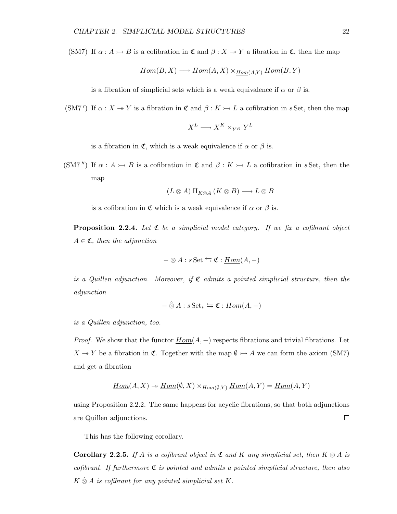(SM7) If  $\alpha : A \rightarrow B$  is a cofibration in  $\mathfrak{C}$  and  $\beta : X \rightarrow Y$  a fibration in  $\mathfrak{C}$ , then the map

$$
\underline{Hom}(B, X) \longrightarrow \underline{Hom}(A, X) \times_{\underline{Hom}(A, Y)} \underline{Hom}(B, Y)
$$

is a fibration of simplicial sets which is a weak equivalence if  $\alpha$  or  $\beta$  is.

(SM7') If  $\alpha: X \to Y$  is a fibration in  $\mathfrak{C}$  and  $\beta: K \to L$  a cofibration in s Set, then the map

$$
X^L \longrightarrow X^K \times_{Y^K} Y^L
$$

is a fibration in  $\mathfrak{C}$ , which is a weak equivalence if  $\alpha$  or  $\beta$  is.

(SM7") If  $\alpha : A \rightarrow B$  is a cofibration in  $\mathfrak{C}$  and  $\beta : K \rightarrow L$  a cofibration in s Set, then the map

$$
(L \otimes A) \amalg_{K \otimes A} (K \otimes B) \longrightarrow L \otimes B
$$

is a cofibration in  $\mathfrak C$  which is a weak equivalence if  $\alpha$  or  $\beta$  is.

**Proposition 2.2.4.** Let  $\mathfrak C$  be a simplicial model category. If we fix a cofibrant object  $A \in \mathfrak{C}$ , then the adjunction

$$
-\otimes A : s \operatorname{Set} \leftrightarrows \mathfrak{C} : \underline{Hom}(A, -)
$$

is a Quillen adjunction. Moreover, if  $\mathfrak C$  admits a pointed simplicial structure, then the adjunction

$$
-\hat{\otimes} A : s\operatorname{Set}_* \leftrightarrows \mathfrak{C} : \underline{Hom}(A,-)
$$

is a Quillen adjunction, too.

*Proof.* We show that the functor  $Hom(A, -)$  respects fibrations and trivial fibrations. Let  $X \rightarrow Y$  be a fibration in C. Together with the map  $\emptyset \rightarrow A$  we can form the axiom (SM7) and get a fibration

$$
\underline{Hom}(A, X) \twoheadrightarrow \underline{Hom}(\emptyset, X) \times_{\underline{Hom}(\emptyset, Y)} \underline{Hom}(A, Y) = \underline{Hom}(A, Y)
$$

using Proposition 2.2.2. The same happens for acyclic fibrations, so that both adjunctions are Quillen adjunctions.  $\Box$ 

This has the following corollary.

**Corollary 2.2.5.** If A is a cofibrant object in  $\mathfrak{C}$  and K any simplicial set, then  $K \otimes A$  is cofibrant. If furthermore  $\mathfrak C$  is pointed and admits a pointed simplicial structure, then also  $K \hat{\otimes} A$  is cofibrant for any pointed simplicial set K.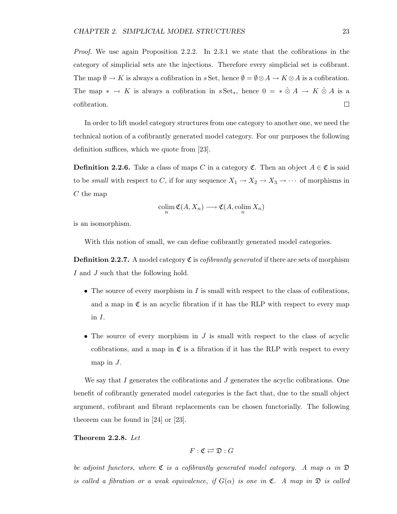Proof. We use again Proposition 2.2.2. In 2.3.1 we state that the cofibrations in the category of simplicial sets are the injections. Therefore every simplicial set is cofibrant. The map  $\emptyset \to K$  is always a cofibration in s Set, hence  $\emptyset = \emptyset \otimes A \to K \otimes A$  is a cofibration. The map  $* \to K$  is always a cofibration in  $sSet_*,$  hence  $0 = * \hat{\otimes} A \to K \hat{\otimes} A$  is a cofibration.  $\Box$ 

In order to lift model category structures from one category to another one, we need the technical notion of a cofibrantly generated model category. For our purposes the following definition suffices, which we quote from [23].

**Definition 2.2.6.** Take a class of maps C in a category  $\mathfrak{C}$ . Then an object  $A \in \mathfrak{C}$  is said to be *small* with respect to C, if for any sequence  $X_1 \to X_2 \to X_3 \to \cdots$  of morphisms in  $C$  the map

$$
\operatornamewithlimits{colim}_n {\mathfrak C}(A,X_n) \longrightarrow {\mathfrak C}(A,\operatornamewithlimits{colim}_n X_n)
$$

is an isomorphism.

With this notion of small, we can define cofibrantly generated model categories.

**Definition 2.2.7.** A model category  $\mathfrak{C}$  is *cofibrantly generated* if there are sets of morphism I and J such that the following hold.

- The source of every morphism in  $I$  is small with respect to the class of cofibrations, and a map in  $\mathfrak C$  is an acyclic fibration if it has the RLP with respect to every map in I.
- The source of every morphism in  $J$  is small with respect to the class of acyclic cofibrations, and a map in  $\mathfrak C$  is a fibration if it has the RLP with respect to every map in  $J$ .

We say that I generates the cofibrations and J generates the acyclic cofibrations. One benefit of cofibrantly generated model categories is the fact that, due to the small object argument, cofibrant and fibrant replacements can be chosen functorially. The following theorem can be found in [24] or [23].

#### Theorem 2.2.8. Let

$$
F:\mathfrak{C}\rightleftarrows\mathfrak{D}:G
$$

be adjoint functors, where  $\mathfrak C$  is a cofibrantly generated model category. A map  $\alpha$  in  $\mathfrak D$ is called a fibration or a weak equivalence, if  $G(\alpha)$  is one in  $\mathfrak{C}$ . A map in  $\mathfrak{D}$  is called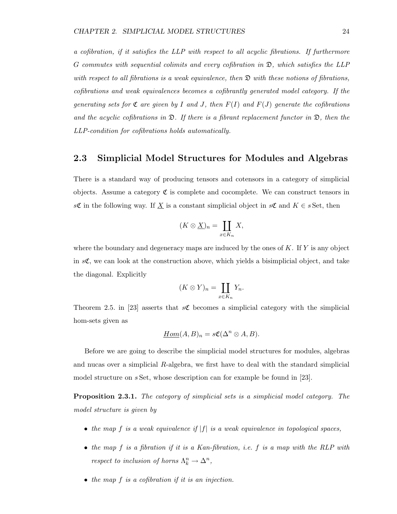a cofibration, if it satisfies the LLP with respect to all acyclic fibrations. If furthermore G commutes with sequential colimits and every cofibration in  $\mathfrak{D}$ , which satisfies the LLP with respect to all fibrations is a weak equivalence, then  $\mathfrak D$  with these notions of fibrations, cofibrations and weak equivalences becomes a cofibrantly generated model category. If the generating sets for  $\mathfrak C$  are given by I and J, then  $F(I)$  and  $F(J)$  generate the cofibrations and the acyclic cofibrations in  $\mathfrak{D}$ . If there is a fibrant replacement functor in  $\mathfrak{D}$ , then the LLP-condition for cofibrations holds automatically.

#### 2.3 Simplicial Model Structures for Modules and Algebras

There is a standard way of producing tensors and cotensors in a category of simplicial objects. Assume a category  $\mathfrak C$  is complete and cocomplete. We can construct tensors in sC in the following way. If  $\underline{X}$  is a constant simplicial object in sC and  $K \in s$  Set, then

$$
(K\otimes \underline{X})_n=\coprod_{x\in K_n}X,
$$

where the boundary and degeneracy maps are induced by the ones of  $K$ . If  $Y$  is any object in  $s\mathfrak{C}$ , we can look at the construction above, which yields a bisimplicial object, and take the diagonal. Explicitly

$$
(K \otimes Y)_n = \coprod_{x \in K_n} Y_n.
$$

Theorem 2.5. in [23] asserts that  $s\mathfrak{C}$  becomes a simplicial category with the simplicial hom-sets given as

$$
\underline{Hom}(A, B)_n = s\mathfrak{C}(\Delta^n \otimes A, B).
$$

Before we are going to describe the simplicial model structures for modules, algebras and nucas over a simplicial R-algebra, we first have to deal with the standard simplicial model structure on s Set, whose description can for example be found in [23].

Proposition 2.3.1. The category of simplicial sets is a simplicial model category. The model structure is given by

- the map f is a weak equivalence if  $|f|$  is a weak equivalence in topological spaces,
- the map  $f$  is a fibration if it is a Kan-fibration, i.e.  $f$  is a map with the RLP with respect to inclusion of horns  $\Lambda_k^n \to \Delta^n$ ,
- the map f is a cofibration if it is an injection.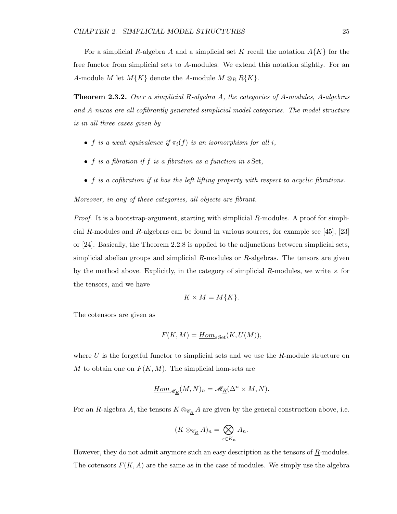For a simplicial R-algebra A and a simplicial set K recall the notation  $A\{K\}$  for the free functor from simplicial sets to A-modules. We extend this notation slightly. For an A-module M let  $M\{K\}$  denote the A-module  $M \otimes_R R\{K\}.$ 

Theorem 2.3.2. Over a simplicial R-algebra A, the categories of A-modules, A-algebras and A-nucas are all cofibrantly generated simplicial model categories. The model structure is in all three cases given by

- f is a weak equivalence if  $\pi_i(f)$  is an isomorphism for all i,
- $\bullet$  f is a fibration if f is a fibration as a function in  $s$  Set,
- f is a cofibration if it has the left lifting property with respect to acyclic fibrations.

Moreover, in any of these categories, all objects are fibrant.

Proof. It is a bootstrap-argument, starting with simplicial R-modules. A proof for simplicial R-modules and R-algebras can be found in various sources, for example see [45], [23] or [24]. Basically, the Theorem 2.2.8 is applied to the adjunctions between simplicial sets, simplicial abelian groups and simplicial  $R$ -modules or  $R$ -algebras. The tensors are given by the method above. Explicitly, in the category of simplicial R-modules, we write  $\times$  for the tensors, and we have

$$
K \times M = M\{K\}.
$$

The cotensors are given as

$$
F(K, M) = \underline{Hom}_{s \, \text{Set}}(K, U(M)),
$$

where U is the forgetful functor to simplicial sets and we use the  $\underline{R}$ -module structure on M to obtain one on  $F(K, M)$ . The simplicial hom-sets are

$$
\underline{Hom}_{\mathcal{M}_R}(M,N)_n = \mathcal{M}_R(\Delta^n \times M,N).
$$

For an R-algebra A, the tensors  $K \otimes_{\mathscr{C}_R} A$  are given by the general construction above, i.e.

$$
(K \otimes_{\mathscr{C}_{\underline{R}}} A)_n = \bigotimes_{x \in K_n} A_n.
$$

However, they do not admit anymore such an easy description as the tensors of  $R$ -modules. The cotensors  $F(K, A)$  are the same as in the case of modules. We simply use the algebra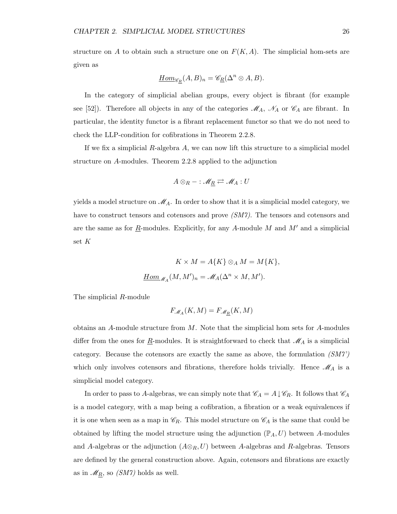structure on A to obtain such a structure one on  $F(K, A)$ . The simplicial hom-sets are given as

$$
\underline{Hom}_{\mathscr{C}_R}(A,B)_n=\mathscr{C}_R(\Delta^n\otimes A,B).
$$

In the category of simplicial abelian groups, every object is fibrant (for example see [52]). Therefore all objects in any of the categories  $\mathcal{M}_A$ ,  $\mathcal{N}_A$  or  $\mathcal{C}_A$  are fibrant. In particular, the identity functor is a fibrant replacement functor so that we do not need to check the LLP-condition for cofibrations in Theorem 2.2.8.

If we fix a simplicial  $R$ -algebra  $A$ , we can now lift this structure to a simplicial model structure on A-modules. Theorem 2.2.8 applied to the adjunction

$$
A\otimes_R - : \mathscr{M}_R \rightleftarrows \mathscr{M}_A : U
$$

yields a model structure on  $\mathcal{M}_A$ . In order to show that it is a simplicial model category, we have to construct tensors and cotensors and prove *(SM7)*. The tensors and cotensors and are the same as for  $\underline{R}$ -modules. Explicitly, for any A-module M and M' and a simplicial set K

$$
K \times M = A\{K\} \otimes_A M = M\{K\},
$$
  

$$
\underline{Hom}_{\mathcal{M}_A}(M, M')_n = \mathcal{M}_A(\Delta^n \times M, M').
$$

The simplicial R-module

$$
F_{\mathcal{M}_A}(K,M) = F_{\mathcal{M}_R}(K,M)
$$

obtains an A-module structure from M. Note that the simplicial hom sets for A-modules differ from the ones for  $\underline{R}$ -modules. It is straightforward to check that  $\mathcal{M}_A$  is a simplicial category. Because the cotensors are exactly the same as above, the formulation  $(SMT)$ which only involves cotensors and fibrations, therefore holds trivially. Hence  $\mathcal{M}_A$  is a simplicial model category.

In order to pass to A-algebras, we can simply note that  $\mathscr{C}_A = A \downarrow \mathscr{C}_R$ . It follows that  $\mathscr{C}_A$ is a model category, with a map being a cofibration, a fibration or a weak equivalences if it is one when seen as a map in  $\mathcal{C}_R$ . This model structure on  $\mathcal{C}_A$  is the same that could be obtained by lifting the model structure using the adjunction  $(\mathbb{P}_A, U)$  between A-modules and A-algebras or the adjunction  $(A \otimes_R U)$  between A-algebras and R-algebras. Tensors are defined by the general construction above. Again, cotensors and fibrations are exactly as in  $\mathcal{M}_R$ , so (SM7) holds as well.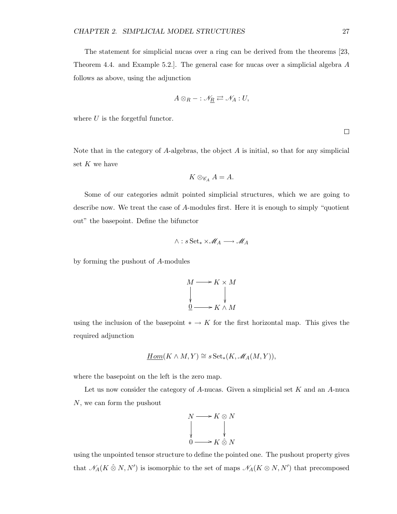The statement for simplicial nucas over a ring can be derived from the theorems [23, Theorem 4.4. and Example 5.2.]. The general case for nucas over a simplicial algebra A follows as above, using the adjunction

$$
A\otimes_R - : \mathscr{N}_R \rightleftarrows \mathscr{N}_A : U,
$$

where  $U$  is the forgetful functor.

 $\Box$ 

Note that in the category of  $A$ -algebras, the object  $A$  is initial, so that for any simplicial set  $K$  we have

$$
K \otimes_{\mathscr{C}_A} A = A.
$$

Some of our categories admit pointed simplicial structures, which we are going to describe now. We treat the case of A-modules first. Here it is enough to simply "quotient out" the basepoint. Define the bifunctor

$$
\wedge:s\operatorname{Set}_*\times{\mathscr M}_A\longrightarrow{\mathscr M}_A
$$

by forming the pushout of A-modules

$$
M \longrightarrow K \times M
$$
  
\n
$$
\downarrow \qquad \qquad \downarrow
$$
  
\n
$$
\underline{0} \longrightarrow K \wedge M
$$

using the inclusion of the basepoint  $* \to K$  for the first horizontal map. This gives the required adjunction

$$
\underline{Hom}(K \wedge M, Y) \cong s\operatorname{Set}_*(K, \mathscr{M}_A(M, Y)),
$$

where the basepoint on the left is the zero map.

Let us now consider the category of  $A$ -nucas. Given a simplicial set  $K$  and an  $A$ -nuca N, we can form the pushout



using the unpointed tensor structure to define the pointed one. The pushout property gives that  $\mathcal{N}_A(K \otimes N, N')$  is isomorphic to the set of maps  $\mathcal{N}_A(K \otimes N, N')$  that precomposed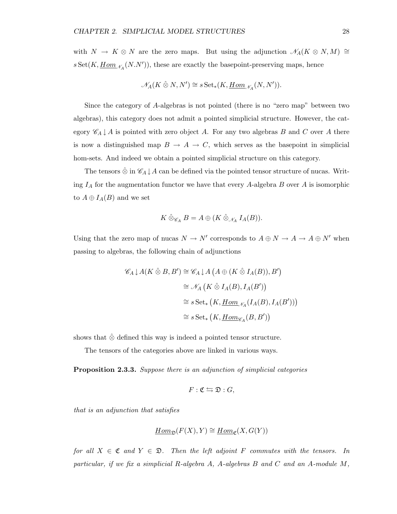with  $N \to K \otimes N$  are the zero maps. But using the adjunction  $\mathscr{N}_A(K \otimes N, M) \cong$  $s \, \text{Set}(K, \underline{Hom}_{\mathcal{M}_A}(N.N'))$ , these are exactly the basepoint-preserving maps, hence

$$
\mathscr{N}_A(K\mathbin{\hat{\otimes}} N, N')\cong s\operatorname{Set}_*(K,\operatorname{\underline{Hom}}_{\mathscr{N}_A}(N,N')).
$$

Since the category of A-algebras is not pointed (there is no "zero map" between two algebras), this category does not admit a pointed simplicial structure. However, the category  $\mathscr{C}_A \downarrow A$  is pointed with zero object A. For any two algebras B and C over A there is now a distinguished map  $B \to A \to C$ , which serves as the basepoint in simplicial hom-sets. And indeed we obtain a pointed simplicial structure on this category.

The tensors  $\hat{\otimes}$  in  $\mathscr{C}_A \downarrow A$  can be defined via the pointed tensor structure of nucas. Writing  $I_A$  for the augmentation functor we have that every A-algebra B over A is isomorphic to  $A \oplus I_A(B)$  and we set

$$
K \hat{\otimes}_{\mathscr{C}_A} B = A \oplus (K \hat{\otimes}_{\mathscr{N}_A} I_A(B)).
$$

Using that the zero map of nucas  $N \to N'$  corresponds to  $A \oplus N \to A \to A \oplus N'$  when passing to algebras, the following chain of adjunctions

$$
\mathscr{C}_A \downarrow A(K \hat{\otimes} B, B') \cong \mathscr{C}_A \downarrow A(A \oplus (K \hat{\otimes} I_A(B)), B')
$$
  
\n
$$
\cong \mathscr{N}_A(K \hat{\otimes} I_A(B), I_A(B'))
$$
  
\n
$$
\cong s \operatorname{Set}_* (K, \underline{Hom}_{\mathscr{N}_A}(I_A(B), I_A(B')))
$$
  
\n
$$
\cong s \operatorname{Set}_* (K, \underline{Hom}_{\mathscr{C}_A}(B, B'))
$$

shows that  $\hat{\otimes}$  defined this way is indeed a pointed tensor structure.

The tensors of the categories above are linked in various ways.

Proposition 2.3.3. Suppose there is an adjunction of simplicial categories

$$
F:\mathfrak{C}\leftrightarrows \mathfrak{D}:G,
$$

that is an adjunction that satisfies

$$
\underline{Hom}_{\mathfrak{D}}(F(X),Y)\cong\underline{Hom}_{\mathfrak{C}}(X,G(Y))
$$

for all  $X \in \mathfrak{C}$  and  $Y \in \mathfrak{D}$ . Then the left adjoint F commutes with the tensors. In particular, if we fix a simplicial R-algebra A, A-algebras B and C and an A-module M,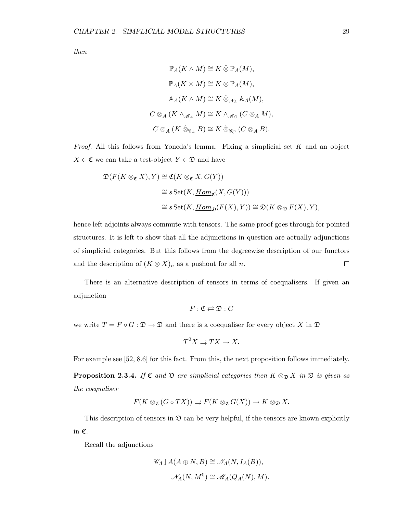then

$$
\mathbb{P}_A(K \wedge M) \cong K \hat{\otimes} \mathbb{P}_A(M),
$$
  
\n
$$
\mathbb{P}_A(K \times M) \cong K \otimes \mathbb{P}_A(M),
$$
  
\n
$$
\mathbb{A}_A(K \wedge M) \cong K \hat{\otimes}_{\mathcal{N}_A} \mathbb{A}_A(M),
$$
  
\n
$$
C \otimes_A (K \wedge_{\mathcal{M}_A} M) \cong K \wedge_{\mathcal{M}_C} (C \otimes_A M),
$$
  
\n
$$
C \otimes_A (K \hat{\otimes}_{\mathcal{C}_A} B) \cong K \hat{\otimes}_{\mathcal{C}_C} (C \otimes_A B).
$$

*Proof.* All this follows from Yoneda's lemma. Fixing a simplicial set  $K$  and an object  $X \in \mathfrak{C}$  we can take a test-object  $Y \in \mathfrak{D}$  and have

$$
\mathfrak{D}(F(K \otimes_{\mathfrak{C}} X), Y) \cong \mathfrak{C}(K \otimes_{\mathfrak{C}} X, G(Y))
$$
  
\n
$$
\cong s \operatorname{Set}(K, \underline{Hom}_{\mathfrak{C}}(X, G(Y)))
$$
  
\n
$$
\cong s \operatorname{Set}(K, \underline{Hom}_{\mathfrak{D}}(F(X), Y)) \cong \mathfrak{D}(K \otimes_{\mathfrak{D}} F(X), Y),
$$

hence left adjoints always commute with tensors. The same proof goes through for pointed structures. It is left to show that all the adjunctions in question are actually adjunctions of simplicial categories. But this follows from the degreewise description of our functors and the description of  $(K \otimes X)<sub>n</sub>$  as a pushout for all n.  $\Box$ 

There is an alternative description of tensors in terms of coequalisers. If given an adjunction

$$
F:\mathfrak{C}\rightleftarrows\mathfrak{D}:G
$$

we write  $T = F \circ G : \mathfrak{D} \to \mathfrak{D}$  and there is a coequaliser for every object X in  $\mathfrak D$ 

$$
T^2 X \rightrightarrows TX \to X.
$$

For example see [52, 8.6] for this fact. From this, the next proposition follows immediately.

**Proposition 2.3.4.** If  $\mathfrak{C}$  and  $\mathfrak{D}$  are simplicial categories then  $K \otimes_{\mathfrak{D}} X$  in  $\mathfrak{D}$  is given as the coequaliser

$$
F(K\otimes_{\mathfrak{C}} (G\circ TX))\rightrightarrows F(K\otimes_{\mathfrak{C}} G(X))\to K\otimes_{\mathfrak{D}} X.
$$

This description of tensors in  $\mathfrak D$  can be very helpful, if the tensors are known explicitly in C.

Recall the adjunctions

$$
\mathscr{C}_A \downarrow A(A \oplus N, B) \cong \mathscr{N}_A(N, I_A(B)),
$$
  

$$
\mathscr{N}_A(N, M^0) \cong \mathscr{M}_A(Q_A(N), M).
$$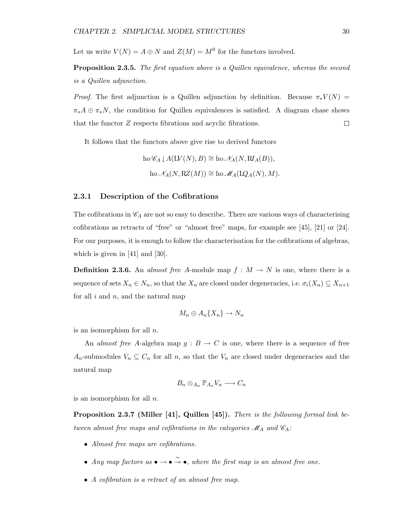Let us write  $V(N) = A \oplus N$  and  $Z(M) = M^0$  for the functors involved.

Proposition 2.3.5. The first equation above is a Quillen equivalence, whereas the second is a Quillen adjunction.

*Proof.* The first adjunction is a Quillen adjunction by definition. Because  $\pi_* V(N)$  =  $\pi_*A \oplus \pi_*N$ , the condition for Quillen equivalences is satisfied. A diagram chase shows that the functor Z respects fibrations and acyclic fibrations.  $\Box$ 

It follows that the functors above give rise to derived functors

$$
\text{ho }\mathscr{C}_A \downarrow A(\mathcal{L}V(N), B) \cong \text{ho }\mathscr{N}_A(N, \mathcal{R}I_A(B)),
$$
  

$$
\text{ho }\mathscr{N}_A(N, \mathcal{R}Z(M)) \cong \text{ho }\mathscr{M}_A(\mathcal{L}Q_A(N), M).
$$

#### 2.3.1 Description of the Cofibrations

The cofibrations in  $\mathcal{C}_A$  are not so easy to describe. There are various ways of characterising cofibrations as retracts of "free" or "almost free" maps, for example see [45], [21] or [24]. For our purposes, it is enough to follow the characterisation for the cofibrations of algebras, which is given in [41] and [30].

**Definition 2.3.6.** An almost free A-module map  $f : M \to N$  is one, where there is a sequence of sets  $X_n \in N_n$ , so that the  $X_n$  are closed under degeneracies, i.e.  $\sigma_i(X_n) \subseteq X_{n+1}$ for all  $i$  and  $n$ , and the natural map

$$
M_n \oplus A_n\{X_n\} \to N_n
$$

is an isomorphism for all  $n$ .

An almost free A-algebra map  $g : B \to C$  is one, where there is a sequence of free  $A_n$ -submodules  $V_n \subseteq C_n$  for all n, so that the  $V_n$  are closed under degeneracies and the natural map

$$
B_n \otimes_{A_n} \mathbb{P}_{A_n} V_n \longrightarrow C_n
$$

is an isomorphism for all n.

Proposition 2.3.7 (Miller [41], Quillen [45]). There is the following formal link between almost free maps and cofibrations in the categories  $\mathcal{M}_A$  and  $\mathcal{C}_A$ :

- Almost free maps are cofibrations.
- Any map factors as  $\bullet \rightarrow \bullet \rightarrow \bullet$ , where the first map is an almost free one.
- A cofibration is a retract of an almost free map.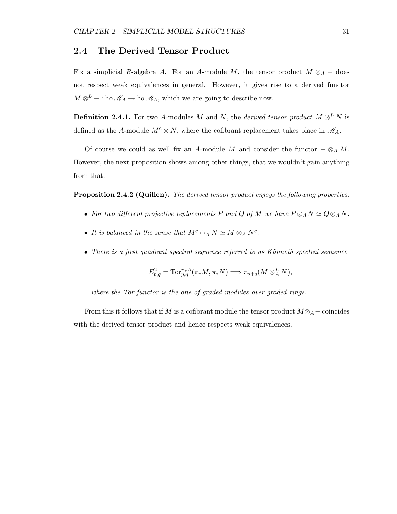#### 2.4 The Derived Tensor Product

Fix a simplicial R-algebra A. For an A-module M, the tensor product  $M \otimes_A -$  does not respect weak equivalences in general. However, it gives rise to a derived functor  $M \otimes^L - :$  ho  $\mathscr{M}_A \to$  ho  $\mathscr{M}_A$ , which we are going to describe now.

**Definition 2.4.1.** For two A-modules M and N, the derived tensor product  $M \otimes^L N$  is defined as the A-module  $M^c \otimes N$ , where the cofibrant replacement takes place in  $\mathcal{M}_A$ .

Of course we could as well fix an A-module M and consider the functor  $-\otimes_A M$ . However, the next proposition shows among other things, that we wouldn't gain anything from that.

Proposition 2.4.2 (Quillen). The derived tensor product enjoys the following properties:

- For two different projective replacements P and Q of M we have  $P \otimes_A N \simeq Q \otimes_A N$ .
- It is balanced in the sense that  $M^c \otimes_A N \simeq M \otimes_A N^c$ .
- There is a first quadrant spectral sequence referred to as Künneth spectral sequence

$$
E_{p,q}^2 = \text{Tor}_{p,q}^{\pi_*A}(\pi_*M, \pi_*N) \Longrightarrow \pi_{p+q}(M \otimes_A^L N),
$$

where the Tor-functor is the one of graded modules over graded rings.

From this it follows that if M is a cofibrant module the tensor product  $M \otimes_A -$  coincides with the derived tensor product and hence respects weak equivalences.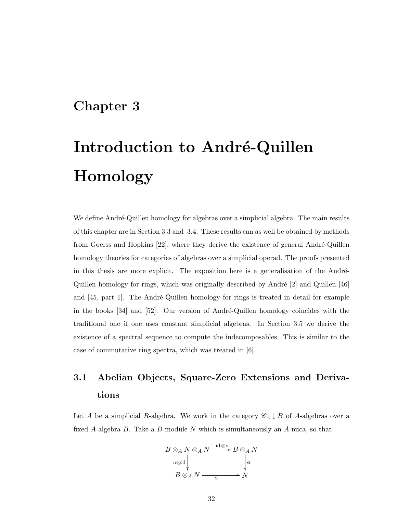### Chapter 3

# Introduction to André-Quillen Homology

We define André-Quillen homology for algebras over a simplicial algebra. The main results of this chapter are in Section 3.3 and 3.4. These results can as well be obtained by methods from Goerss and Hopkins  $[22]$ , where they derive the existence of general André-Quillen homology theories for categories of algebras over a simplicial operad. The proofs presented in this thesis are more explicit. The exposition here is a generalisation of the André-Quillen homology for rings, which was originally described by André  $[2]$  and Quillen  $[46]$ and  $[45, part 1]$ . The André-Quillen homology for rings is treated in detail for example in the books  $[34]$  and  $[52]$ . Our version of André-Quillen homology coincides with the traditional one if one uses constant simplicial algebras. In Section 3.5 we derive the existence of a spectral sequence to compute the indecomposables. This is similar to the case of commutative ring spectra, which was treated in [6].

### 3.1 Abelian Objects, Square-Zero Extensions and Derivations

Let A be a simplicial R-algebra. We work in the category  $\mathscr{C}_A \downarrow B$  of A-algebras over a fixed A-algebra B. Take a B-module N which is simultaneously an A-nuca, so that

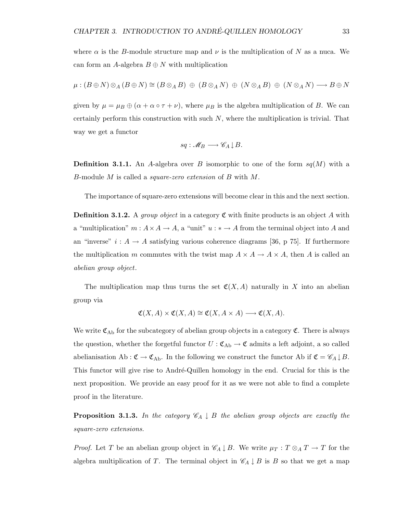where  $\alpha$  is the B-module structure map and  $\nu$  is the multiplication of N as a nuca. We can form an A-algebra  $B \oplus N$  with multiplication

$$
\mu: (B \oplus N) \otimes_A (B \oplus N) \cong (B \otimes_A B) \oplus (B \otimes_A N) \oplus (N \otimes_A B) \oplus (N \otimes_A N) \longrightarrow B \oplus N
$$

given by  $\mu = \mu_B \oplus (\alpha + \alpha \circ \tau + \nu)$ , where  $\mu_B$  is the algebra multiplication of B. We can certainly perform this construction with such  $N$ , where the multiplication is trivial. That way we get a functor

$$
sq: \mathscr{M}_B \longrightarrow \mathscr{C}_A \downarrow B.
$$

**Definition 3.1.1.** An A-algebra over B isomorphic to one of the form  $sq(M)$  with a B-module M is called a square-zero extension of B with M.

The importance of square-zero extensions will become clear in this and the next section.

**Definition 3.1.2.** A group object in a category  $\mathfrak C$  with finite products is an object A with a "multiplication"  $m: A \times A \rightarrow A$ , a "unit"  $u: * \rightarrow A$  from the terminal object into A and an "inverse"  $i : A \rightarrow A$  satisfying various coherence diagrams [36, p 75]. If furthermore the multiplication m commutes with the twist map  $A \times A \rightarrow A \times A$ , then A is called an abelian group object.

The multiplication map thus turns the set  $\mathfrak{C}(X, A)$  naturally in X into an abelian group via

$$
\mathfrak{C}(X, A) \times \mathfrak{C}(X, A) \cong \mathfrak{C}(X, A \times A) \longrightarrow \mathfrak{C}(X, A).
$$

We write  $\mathfrak{C}_{\mathrm{Ab}}$  for the subcategory of abelian group objects in a category  $\mathfrak{C}$ . There is always the question, whether the forgetful functor  $U : \mathfrak{C}_{Ab} \to \mathfrak{C}$  admits a left adjoint, a so called abelianisation Ab :  $\mathfrak{C} \to \mathfrak{C}_{\mathrm{Ab}}$ . In the following we construct the functor Ab if  $\mathfrak{C} = \mathscr{C}_A \downarrow B$ . This functor will give rise to André-Quillen homology in the end. Crucial for this is the next proposition. We provide an easy proof for it as we were not able to find a complete proof in the literature.

**Proposition 3.1.3.** In the category  $\mathscr{C}_A \downarrow B$  the abelian group objects are exactly the square-zero extensions.

*Proof.* Let T be an abelian group object in  $\mathscr{C}_A \downarrow B$ . We write  $\mu_T : T \otimes_A T \to T$  for the algebra multiplication of T. The terminal object in  $\mathscr{C}_A \downarrow B$  is B so that we get a map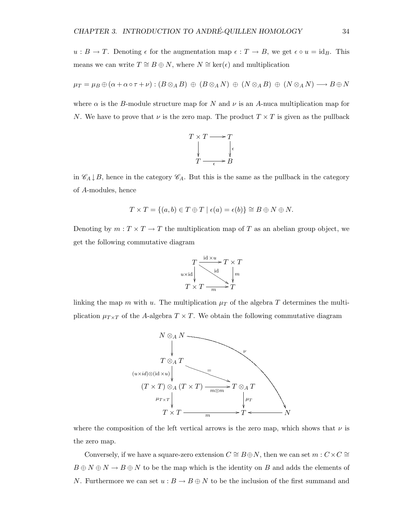$u : B \to T$ . Denoting  $\epsilon$  for the augmentation map  $\epsilon : T \to B$ , we get  $\epsilon \circ u = id_B$ . This means we can write  $T \cong B \oplus N$ , where  $N \cong \text{ker}(\epsilon)$  and multiplication

$$
\mu_T = \mu_B \oplus (\alpha + \alpha \circ \tau + \nu) : (B \otimes_A B) \oplus (B \otimes_A N) \oplus (N \otimes_A B) \oplus (N \otimes_A N) \longrightarrow B \oplus N
$$

where  $\alpha$  is the B-module structure map for N and  $\nu$  is an A-nuca multiplication map for N. We have to prove that  $\nu$  is the zero map. The product  $T \times T$  is given as the pullback



in  $\mathscr{C}_A \downarrow B$ , hence in the category  $\mathscr{C}_A$ . But this is the same as the pullback in the category of A-modules, hence

$$
T \times T = \{(a, b) \in T \oplus T \mid \epsilon(a) = \epsilon(b)\} \cong B \oplus N \oplus N.
$$

Denoting by  $m: T \times T \to T$  the multiplication map of T as an abelian group object, we get the following commutative diagram



linking the map m with u. The multiplication  $\mu_T$  of the algebra T determines the multiplication  $\mu_{T\times T}$  of the A-algebra  $T\times T$ . We obtain the following commutative diagram



where the composition of the left vertical arrows is the zero map, which shows that  $\nu$  is the zero map.

Conversely, if we have a square-zero extension  $C \cong B \oplus N$ , then we can set  $m : C \times C \cong$  $B \oplus N \oplus N \to B \oplus N$  to be the map which is the identity on B and adds the elements of N. Furthermore we can set  $u : B \to B \oplus N$  to be the inclusion of the first summand and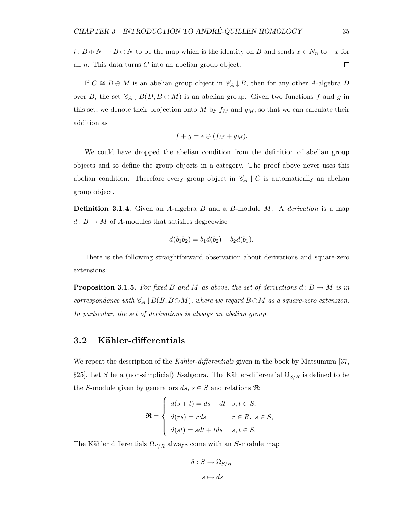$i: B \oplus N \to B \oplus N$  to be the map which is the identity on B and sends  $x \in N_n$  to  $-x$  for all  $n$ . This data turns  $C$  into an abelian group object.  $\Box$ 

If  $C \cong B \oplus M$  is an abelian group object in  $\mathscr{C}_A \downarrow B$ , then for any other A-algebra D over B, the set  $\mathscr{C}_A \downarrow B(D, B \oplus M)$  is an abelian group. Given two functions f and g in this set, we denote their projection onto M by  $f_M$  and  $g_M$ , so that we can calculate their addition as

$$
f+g=\epsilon\oplus (f_M+g_M).
$$

We could have dropped the abelian condition from the definition of abelian group objects and so define the group objects in a category. The proof above never uses this abelian condition. Therefore every group object in  $\mathscr{C}_A \downarrow C$  is automatically an abelian group object.

**Definition 3.1.4.** Given an A-algebra B and a B-module M. A derivation is a map  $d : B \to M$  of A-modules that satisfies degreewise

$$
d(b_1b_2) = b_1d(b_2) + b_2d(b_1).
$$

There is the following straightforward observation about derivations and square-zero extensions:

**Proposition 3.1.5.** For fixed B and M as above, the set of derivations  $d : B \to M$  is in correspondence with  $\mathscr{C}_A \downarrow B(B, B \oplus M)$ , where we regard  $B \oplus M$  as a square-zero extension. In particular, the set of derivations is always an abelian group.

#### 3.2 Kähler-differentials

We repeat the description of the Kähler-differentials given in the book by Matsumura [37, §25]. Let S be a (non-simplicial) R-algebra. The Kähler-differential  $\Omega_{S/R}$  is defined to be the S-module given by generators  $ds, s \in S$  and relations  $\Re$ :

$$
\mathfrak{R} = \begin{cases} d(s+t) = ds + dt & s, t \in S, \\ d(rs) = rds & r \in R, \ s \in S, \\ d(st) = sdt + tds & s, t \in S. \end{cases}
$$

The Kähler differentials  $\Omega_{S/R}$  always come with an S-module map

$$
\delta: S \to \Omega_{S/R}
$$

$$
s \mapsto ds
$$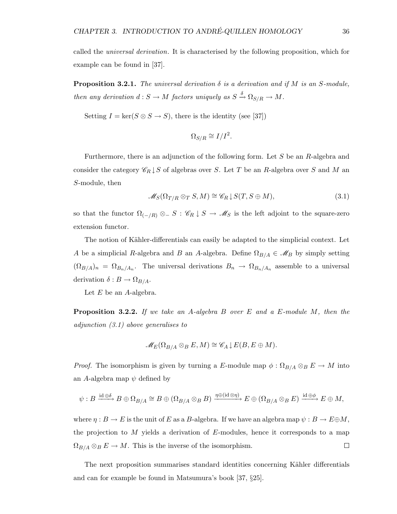called the universal derivation. It is characterised by the following proposition, which for example can be found in [37].

**Proposition 3.2.1.** The universal derivation  $\delta$  is a derivation and if M is an S-module, then any derivation  $d: S \to M$  factors uniquely as  $S \xrightarrow{\delta} \Omega_{S/R} \to M$ .

Setting  $I = \ker(S \otimes S \to S)$ , there is the identity (see [37])

$$
\Omega_{S/R} \cong I/I^2.
$$

Furthermore, there is an adjunction of the following form. Let S be an R-algebra and consider the category  $\mathscr{C}_R \downarrow S$  of algebras over S. Let T be an R-algebra over S and M an S-module, then

$$
\mathcal{M}_S(\Omega_{T/R} \otimes_T S, M) \cong \mathcal{C}_R \downarrow S(T, S \oplus M), \tag{3.1}
$$

so that the functor  $\Omega_{(-/R)} \otimes S : \mathscr{C}_R \downarrow S \to \mathscr{M}_S$  is the left adjoint to the square-zero extension functor.

The notion of Kähler-differentials can easily be adapted to the simplicial context. Let A be a simplicial R-algebra and B an A-algebra. Define  $\Omega_{B/A} \in \mathcal{M}_B$  by simply setting  $(\Omega_{B/A})_n = \Omega_{B_n/A_n}$ . The universal derivations  $B_n \to \Omega_{B_n/A_n}$  assemble to a universal derivation  $\delta: B \to \Omega_{B/A}$ .

Let  $E$  be an  $A$ -algebra.

Proposition 3.2.2. If we take an A-algebra B over E and a E-module M, then the adjunction (3.1) above generalises to

$$
\mathscr{M}_E(\Omega_{B/A}\otimes_B E,M)\cong \mathscr{C}_A\downarrow E(B,E\oplus M).
$$

*Proof.* The isomorphism is given by turning a E-module map  $\phi : \Omega_{B/A} \otimes_B E \to M$  into an A-algebra map  $\psi$  defined by

$$
\psi: B \xrightarrow{\mathrm{id} \oplus \delta} B \oplus \Omega_{B/A} \cong B \oplus (\Omega_{B/A} \otimes_B B) \xrightarrow{\eta \oplus (\mathrm{id} \otimes \eta)} E \oplus (\Omega_{B/A} \otimes_B E) \xrightarrow{\mathrm{id} \oplus \phi} E \oplus M,
$$

where  $\eta : B \to E$  is the unit of E as a B-algebra. If we have an algebra map  $\psi : B \to E \oplus M$ , the projection to  $M$  yields a derivation of  $E$ -modules, hence it corresponds to a map  $\Omega_{B/A} \otimes_B E \to M$ . This is the inverse of the isomorphism.  $\Box$ 

The next proposition summarises standard identities concerning Kähler differentials and can for example be found in Matsumura's book [37, §25].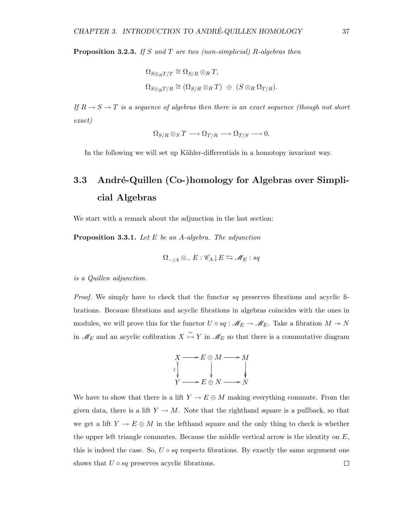**Proposition 3.2.3.** If S and T are two (non-simplicial) R-algebras then

$$
\Omega_{S \otimes_R T/T} \cong \Omega_{S/R} \otimes_R T,
$$
  

$$
\Omega_{S \otimes_R T/R} \cong (\Omega_{S/R} \otimes_R T) \oplus (S \otimes_R \Omega_{T/R}).
$$

If  $R \to S \to T$  is a sequence of algebras then there is an exact sequence (though not short exact)

$$
\Omega_{S/R} \otimes_S T \longrightarrow \Omega_{T/R} \longrightarrow \Omega_{T/S} \longrightarrow 0.
$$

In the following we will set up Kähler-differentials in a homotopy invariant way.

### 3.3 André-Quillen (Co-)homology for Algebras over Simplicial Algebras

We start with a remark about the adjunction in the last section:

**Proposition 3.3.1.** Let  $E$  be an A-algebra. The adjunction

$$
\Omega_{-/A}\otimes_{-}E:\mathscr{C}_A\downarrow E\leftrightarrows \mathscr{M}_E:sq
$$

is a Quillen adjunction.

*Proof.* We simply have to check that the functor  $sq$  preserves fibrations and acyclic fibrations. Because fibrations and acyclic fibrations in algebras coincides with the ones in modules, we will prove this for the functor  $U \circ sq : \mathscr{M}_E \to \mathscr{M}_E$ . Take a fibration  $M \to N$ in  $\mathscr{M}_E$  and an acyclic cofibration  $X \overset{\sim}{\hookrightarrow} Y$  in  $\mathscr{M}_E$  so that there is a commutative diagram



We have to show that there is a lift  $Y \to E \oplus M$  making everything commute. From the given data, there is a lift  $Y \to M$ . Note that the righthand square is a pullback, so that we get a lift  $Y \to E \oplus M$  in the lefthand square and the only thing to check is whether the upper left triangle commutes. Because the middle vertical arrow is the identity on  $E$ , this is indeed the case. So,  $U \circ sq$  respects fibrations. By exactly the same argument one shows that  $U \circ sq$  preserves acyclic fibrations.  $\Box$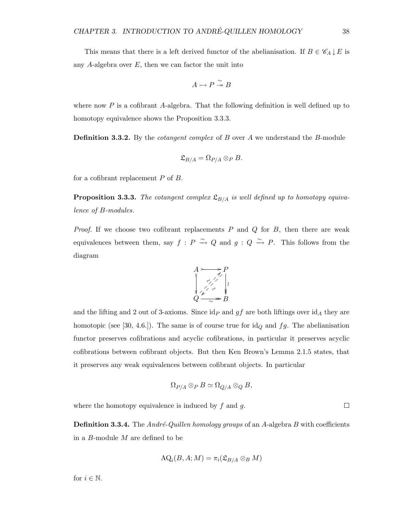This means that there is a left derived functor of the abelianisation. If  $B \in \mathscr{C}_A \downarrow E$  is any A-algebra over  $E$ , then we can factor the unit into

$$
A \rightarrowtail P \overset{\sim}{\twoheadrightarrow} B
$$

where now  $P$  is a cofibrant A-algebra. That the following definition is well defined up to homotopy equivalence shows the Proposition 3.3.3.

**Definition 3.3.2.** By the *cotangent complex* of B over A we understand the B-module

$$
\mathfrak{L}_{B/A} = \Omega_{P/A} \otimes_P B.
$$

for a cofibrant replacement  $P$  of  $B$ .

**Proposition 3.3.3.** The cotangent complex  $\mathfrak{L}_{B/A}$  is well defined up to homotopy equivalence of B-modules.

*Proof.* If we choose two cofibrant replacements  $P$  and  $Q$  for  $B$ , then there are weak equivalences between them, say  $f : P \to Q$  and  $g : Q \to P$ . This follows from the diagram



and the lifting and 2 out of 3-axioms. Since  $\mathrm{id}_P$  and gf are both liftings over  $\mathrm{id}_A$  they are homotopic (see [30, 4.6.]). The same is of course true for  $\mathrm{id}_Q$  and  $fg$ . The abelianisation functor preserves cofibrations and acyclic cofibrations, in particular it preserves acyclic cofibrations between cofibrant objects. But then Ken Brown's Lemma 2.1.5 states, that it preserves any weak equivalences between cofibrant objects. In particular

$$
\Omega_{P/A} \otimes_P B \simeq \Omega_{Q/A} \otimes_Q B,
$$

where the homotopy equivalence is induced by  $f$  and  $g$ .

**Definition 3.3.4.** The *André-Quillen homology groups* of an *A*-algebra *B* with coefficients in a B-module M are defined to be

$$
\mathrm{AQ}_i(B, A; M) = \pi_i(\mathfrak{L}_{B/A} \otimes_B M)
$$

for  $i \in \mathbb{N}$ .

 $\Box$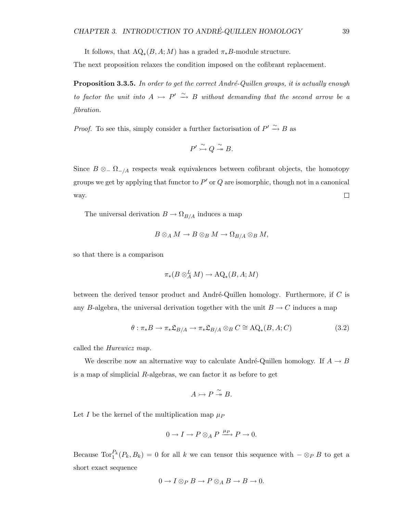It follows, that  $\text{AQ}_*(B, A; M)$  has a graded  $\pi_*B$ -module structure.

The next proposition relaxes the condition imposed on the cofibrant replacement.

**Proposition 3.3.5.** In order to get the correct André-Quillen groups, it is actually enough to factor the unit into  $A \rightarrow P' \stackrel{\sim}{\rightarrow} B$  without demanding that the second arrow be a fibration.

*Proof.* To see this, simply consider a further factorisation of  $P' \xrightarrow{\sim} B$  as

$$
P' \xrightarrow{\sim} Q \xrightarrow{\sim} B.
$$

Since  $B \otimes_{-} \Omega_{-}/A$  respects weak equivalences between cofibrant objects, the homotopy groups we get by applying that functor to  $P'$  or  $Q$  are isomorphic, though not in a canonical way.  $\Box$ 

The universal derivation  $B \to \Omega_{B/A}$  induces a map

$$
B\otimes_A M\to B\otimes_B M\to \Omega_{B/A}\otimes_B M,
$$

so that there is a comparison

$$
\pi_*(B\otimes^L_A M)\to \mathrm{AQ}_*(B,A;M)
$$

between the derived tensor product and André-Quillen homology. Furthermore, if  $C$  is any B-algebra, the universal derivation together with the unit  $B \to C$  induces a map

$$
\theta: \pi_* B \to \pi_* \mathfrak{L}_{B/A} \to \pi_* \mathfrak{L}_{B/A} \otimes_B C \cong \mathrm{AQ}_*(B, A; C) \tag{3.2}
$$

called the Hurewicz map.

We describe now an alternative way to calculate André-Quillen homology. If  $A \rightarrow B$ is a map of simplicial  $R$ -algebras, we can factor it as before to get

$$
A \rightarrowtail P \stackrel{\sim}{\twoheadrightarrow} B.
$$

Let I be the kernel of the multiplication map  $\mu_P$ 

$$
0 \to I \to P \otimes_A P \xrightarrow{\mu_P} P \to 0.
$$

Because  $\text{Tor}_1^{P_k}(P_k, B_k) = 0$  for all k we can tensor this sequence with  $-\otimes_P B$  to get a short exact sequence

$$
0 \to I \otimes_P B \to P \otimes_A B \to B \to 0.
$$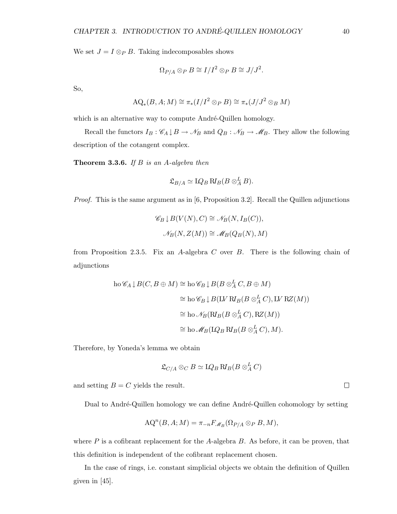We set  $J = I \otimes_P B$ . Taking indecomposables shows

$$
\Omega_{P/A}\otimes_P B\cong I/I^2\otimes_P B\cong J/J^2.
$$

So,

$$
AQ_*(B, A; M) \cong \pi_*(I/I^2 \otimes_P B) \cong \pi_*(J/J^2 \otimes_B M)
$$

which is an alternative way to compute André-Quillen homology.

Recall the functors  $I_B: \mathscr{C}_A \downarrow B \to \mathscr{N}_B$  and  $Q_B: \mathscr{N}_B \to \mathscr{M}_B$ . They allow the following description of the cotangent complex.

**Theorem 3.3.6.** If  $B$  is an  $A$ -algebra then

$$
\mathfrak{L}_{B/A} \simeq \mathop{\rm LQ}\nolimits_B \mathop{\rm R\nolimits^{\mathop{\rm L}\nolimits}}\nolimits_B (B\otimes_A^L B).
$$

Proof. This is the same argument as in [6, Proposition 3.2]. Recall the Quillen adjunctions

$$
\mathscr{C}_B \downarrow B(V(N), C) \cong \mathscr{N}_B(N, I_B(C)),
$$
  

$$
\mathscr{N}_B(N, Z(M)) \cong \mathscr{M}_B(Q_B(N), M)
$$

from Proposition 2.3.5. Fix an A-algebra C over B. There is the following chain of adjunctions

$$
\begin{aligned} \text{ho} \,\mathscr{C}_A \, \downarrow \, & B(C, B \oplus M) \cong \text{ho} \,\mathscr{C}_B \, \downarrow \, B(B \otimes_A^L C, B \oplus M) \\ &\cong \text{ho} \,\mathscr{C}_B \, \downarrow \, B(\text{LV } \text{RJ}_B(B \otimes_A^L C), \text{LV } \text{RZ}(M)) \\ &\cong \text{ho} \,\mathscr{N}_B(\text{RJ}_B(B \otimes_A^L C), \text{RZ}(M)) \\ &\cong \text{ho} \,\mathscr{M}_B(\text{LQ}_B \, \text{RJ}_B(B \otimes_A^L C), M). \end{aligned}
$$

Therefore, by Yoneda's lemma we obtain

$$
\mathfrak{L}_{C/A}\otimes_C B\simeq \mathop{\rm LQ}\nolimits_B\mathop{\rm R\nolimits}\nolimits_B(B\otimes_A^L C)
$$

and setting  $B = C$  yields the result.

Dual to André-Quillen homology we can define André-Quillen cohomology by setting

$$
AQ^{n}(B, A; M) = \pi_{-n} F_{\mathcal{M}_{B}}(\Omega_{P/A} \otimes_{P} B, M),
$$

where  $P$  is a cofibrant replacement for the A-algebra  $B$ . As before, it can be proven, that this definition is independent of the cofibrant replacement chosen.

In the case of rings, i.e. constant simplicial objects we obtain the definition of Quillen given in [45].

 $\Box$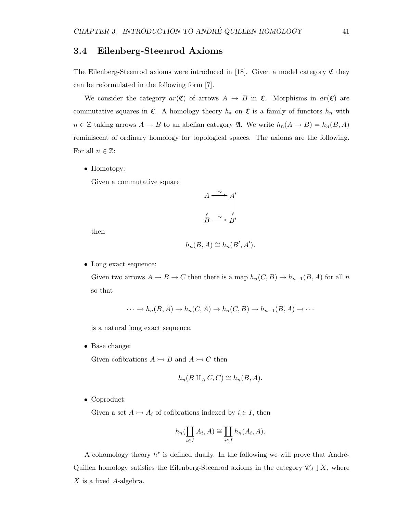#### 3.4 Eilenberg-Steenrod Axioms

The Eilenberg-Steenrod axioms were introduced in [18]. Given a model category  $\mathfrak C$  they can be reformulated in the following form [7].

We consider the category  $ar(\mathfrak{C})$  of arrows  $A \rightarrow B$  in  $\mathfrak{C}$ . Morphisms in  $ar(\mathfrak{C})$  are commutative squares in  $\mathfrak{C}$ . A homology theory  $h_*$  on  $\mathfrak{C}$  is a family of functors  $h_n$  with  $n \in \mathbb{Z}$  taking arrows  $A \to B$  to an abelian category  $\mathfrak{A}$ . We write  $h_n(A \to B) = h_n(B, A)$ reminiscent of ordinary homology for topological spaces. The axioms are the following. For all  $n \in \mathbb{Z}$ :

• Homotopy:

Given a commutative square

$$
A \xrightarrow{\sim} A'
$$
  
\n
$$
B \xrightarrow{\sim} B'
$$

then

$$
h_n(B, A) \cong h_n(B', A').
$$

• Long exact sequence:

Given two arrows  $A \to B \to C$  then there is a map  $h_n(C, B) \to h_{n-1}(B, A)$  for all n so that

$$
\cdots \to h_n(B, A) \to h_n(C, A) \to h_n(C, B) \to h_{n-1}(B, A) \to \cdots
$$

is a natural long exact sequence.

• Base change:

Given cofibrations  $A \rightarrowtail B$  and  $A \rightarrowtail C$  then

$$
h_n(B \amalg_A C, C) \cong h_n(B, A).
$$

• Coproduct:

Given a set  $A \rightarrowtail A_i$  of cofibrations indexed by  $i \in I$ , then

$$
h_n(\coprod_{i\in I} A_i, A) \cong \coprod_{i\in I} h_n(A_i, A).
$$

A cohomology theory  $h^*$  is defined dually. In the following we will prove that André-Quillen homology satisfies the Eilenberg-Steenrod axioms in the category  $\mathscr{C}_A \downarrow X$ , where  $X$  is a fixed  $A$ -algebra.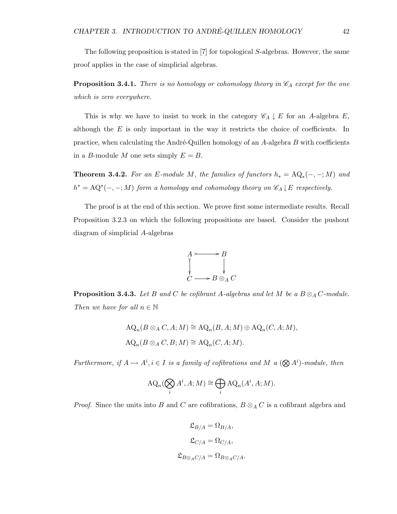The following proposition is stated in [7] for topological S-algebras. However, the same proof applies in the case of simplicial algebras.

**Proposition 3.4.1.** There is no homology or cohomology theory in  $\mathscr{C}_A$  except for the one which is zero everywhere.

This is why we have to insist to work in the category  $\mathscr{C}_A \downarrow E$  for an A-algebra E, although the  $E$  is only important in the way it restricts the choice of coefficients. In practice, when calculating the André-Quillen homology of an  $A$ -algebra  $B$  with coefficients in a B-module M one sets simply  $E = B$ .

**Theorem 3.4.2.** For an E-module M, the families of functors  $h_* = AQ_*(-, -; M)$  and  $h^* = \mathrm{AQ}^*(-,-;M)$  form a homology and cohomology theory on  $\mathscr{C}_A \downarrow E$  respectively.

The proof is at the end of this section. We prove first some intermediate results. Recall Proposition 3.2.3 on which the following propositions are based. Consider the pushout diagram of simplicial A-algebras



**Proposition 3.4.3.** Let B and C be cofibrant A-algebras and let M be a  $B \otimes_A C$ -module. Then we have for all  $n \in \mathbb{N}$ 

$$
AQ_n(B \otimes_A C, A; M) \cong AQ_n(B, A; M) \oplus AQ_n(C, A; M),
$$
  

$$
AQ_n(B \otimes_A C, B; M) \cong AQ_n(C, A; M).
$$

Furthermore, if  $A \rightarrowtail A^i, i \in I$  is a family of cofibrations and M a  $(\bigotimes A^i)$ -module, then

$$
\mathrm{AQ}_n(\bigotimes_i A^i, A; M) \cong \bigoplus_i \mathrm{AQ}_n(A^i, A; M).
$$

*Proof.* Since the units into B and C are cofibrations,  $B \otimes_A C$  is a cofibrant algebra and

$$
\mathfrak{L}_{B/A} = \Omega_{B/A},
$$
  

$$
\mathfrak{L}_{C/A} = \Omega_{C/A},
$$
  

$$
\mathfrak{L}_{B \otimes_A C/A} = \Omega_{B \otimes_A C/A}.
$$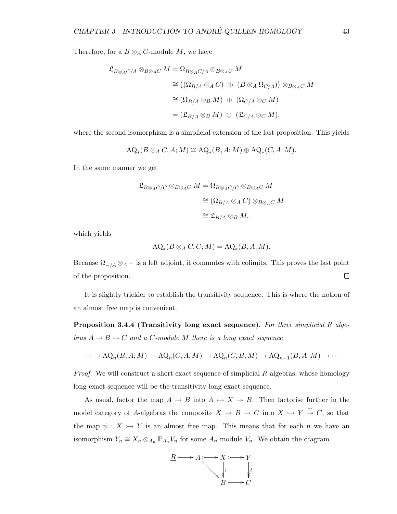Therefore, for a  $B \otimes_A C$ -module M, we have

$$
\mathfrak{L}_{B\otimes_A C/A}\otimes_{B\otimes_A C} M = \Omega_{B\otimes_A C/A}\otimes_{B\otimes_A C} M
$$
  
\n
$$
\cong ((\Omega_{B/A}\otimes_A C)\oplus (B\otimes_A \Omega_{C/A}))\otimes_{B\otimes_A C} M
$$
  
\n
$$
\cong (\Omega_{B/A}\otimes_B M)\oplus (\Omega_{C/A}\otimes_C M)
$$
  
\n
$$
= (\mathfrak{L}_{B/A}\otimes_B M)\oplus (\mathfrak{L}_{C/A}\otimes_C M),
$$

where the second isomorphism is a simplicial extension of the last proposition. This yields

$$
AQ_*(B\otimes_A C, A; M)\cong AQ_*(B, A; M)\oplus AQ_*(C, A; M).
$$

In the same manner we get

$$
\mathfrak{L}_{B\otimes_A C/C}\otimes_{B\otimes_A C}M=\Omega_{B\otimes_A C/C}\otimes_{B\otimes_A C}M
$$

$$
\cong (\Omega_{B/A}\otimes_A C)\otimes_{B\otimes_A C}M
$$

$$
\cong \mathfrak{L}_{B/A}\otimes_B M,
$$

which yields

$$
AQ_*(B\otimes_A C, C; M) = AQ_*(B, A; M).
$$

Because  $\Omega_{-}/A \otimes_A -$  is a left adjoint, it commutes with colimits. This proves the last point  $\Box$ of the proposition.

It is slightly trickier to establish the transitivity sequence. This is where the notion of an almost free map is convenient.

Proposition 3.4.4 (Transitivity long exact sequence). For three simplicial R algebras  $A \rightarrow B \rightarrow C$  and a C-module M there is a long exact sequence

$$
\cdots \to \mathrm{AQ}_n(B, A; M) \to \mathrm{AQ}_n(C, A; M) \to \mathrm{AQ}_n(C, B; M) \to \mathrm{AQ}_{n-1}(B, A; M) \to \cdots
$$

*Proof.* We will construct a short exact sequence of simplicial  $R$ -algebras, whose homology long exact sequence will be the transitivity long exact sequence.

As usual, factor the map  $A \to B$  into  $A \to X \to B$ . Then factorise further in the model category of A-algebras the composite  $X \to B \to C$  into  $X \to Y \stackrel{\sim}{\to} C$ , so that the map  $\psi: X \rightarrow Y$  is an almost free map. This means that for each n we have an isomorphism  $Y_n \cong X_n \otimes_{A_n} \mathbb{P}_{A_n} V_n$  for some  $A_n$ -module  $V_n$ . We obtain the diagram

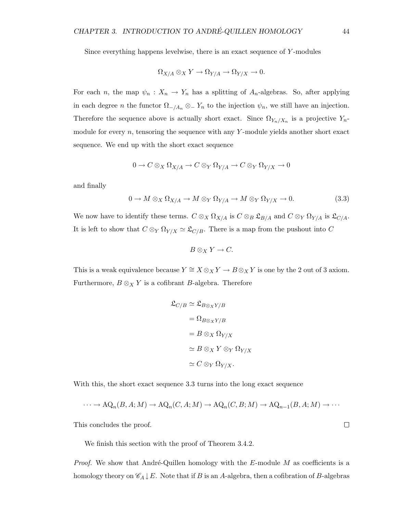Since everything happens levelwise, there is an exact sequence of Y -modules

$$
\Omega_{X/A} \otimes_X Y \to \Omega_{Y/A} \to \Omega_{Y/X} \to 0.
$$

For each n, the map  $\psi_n : X_n \to Y_n$  has a splitting of  $A_n$ -algebras. So, after applying in each degree n the functor  $\Omega_{-}/A_n \otimes_{-} Y_n$  to the injection  $\psi_n$ , we still have an injection. Therefore the sequence above is actually short exact. Since  $\Omega_{Y_n/X_n}$  is a projective  $Y_n$ module for every  $n$ , tensoring the sequence with any Y-module yields another short exact sequence. We end up with the short exact sequence

$$
0 \to C \otimes_X \Omega_{X/A} \to C \otimes_Y \Omega_{Y/A} \to C \otimes_Y \Omega_{Y/X} \to 0
$$

and finally

$$
0 \to M \otimes_X \Omega_{X/A} \to M \otimes_Y \Omega_{Y/A} \to M \otimes_Y \Omega_{Y/X} \to 0. \tag{3.3}
$$

We now have to identify these terms.  $C \otimes_X \Omega_{X/A}$  is  $C \otimes_B \mathfrak{L}_{B/A}$  and  $C \otimes_Y \Omega_{Y/A}$  is  $\mathfrak{L}_{C/A}$ . It is left to show that  $C \otimes_Y \Omega_{Y/X} \simeq \mathfrak{L}_{C/B}$ . There is a map from the pushout into C

$$
B\otimes_X Y\to C.
$$

This is a weak equivalence because  $Y \cong X \otimes_X Y \to B \otimes_X Y$  is one by the 2 out of 3 axiom. Furthermore,  $B \otimes_X Y$  is a cofibrant B-algebra. Therefore

$$
\mathfrak{L}_{C/B} \simeq \mathfrak{L}_{B\otimes_X Y/B}
$$

$$
= \Omega_{B\otimes_X Y/B}
$$

$$
= B \otimes_X \Omega_{Y/X}
$$

$$
\simeq B \otimes_X Y \otimes_Y \Omega_{Y/X}
$$

$$
\simeq C \otimes_Y \Omega_{Y/X}.
$$

With this, the short exact sequence 3.3 turns into the long exact sequence

$$
\cdots \to \mathrm{AQ}_n(B, A; M) \to \mathrm{AQ}_n(C, A; M) \to \mathrm{AQ}_n(C, B; M) \to \mathrm{AQ}_{n-1}(B, A; M) \to \cdots
$$

This concludes the proof.

We finish this section with the proof of Theorem 3.4.2.

*Proof.* We show that André-Quillen homology with the  $E$ -module M as coefficients is a homology theory on  $\mathscr{C}_A \downarrow E$ . Note that if B is an A-algebra, then a cofibration of B-algebras

 $\Box$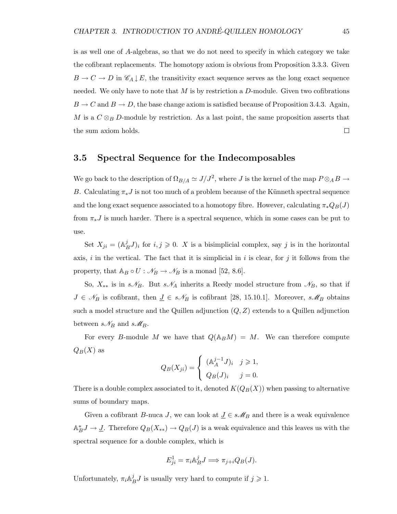is as well one of A-algebras, so that we do not need to specify in which category we take the cofibrant replacements. The homotopy axiom is obvious from Proposition 3.3.3. Given  $B \to C \to D$  in  $\mathscr{C}_A \downarrow E$ , the transitivity exact sequence serves as the long exact sequence needed. We only have to note that  $M$  is by restriction a  $D$ -module. Given two cofibrations  $B \to C$  and  $B \to D$ , the base change axiom is satisfied because of Proposition 3.4.3. Again, M is a  $C \otimes_B D$ -module by restriction. As a last point, the same proposition asserts that the sum axiom holds.  $\Box$ 

#### 3.5 Spectral Sequence for the Indecomposables

We go back to the description of  $\Omega_{B/A} \simeq J/J^2$ , where J is the kernel of the map  $P \otimes_A B \to$ B. Calculating  $\pi_* J$  is not too much of a problem because of the Künneth spectral sequence and the long exact sequence associated to a homotopy fibre. However, calculating  $\pi_* Q_B(J)$ from  $\pi_*J$  is much harder. There is a spectral sequence, which in some cases can be put to use.

Set  $X_{ji} = (\mathbb{A}_I^j)$  $(B^j B^j J)_i$  for  $i, j \geq 0$ . X is a bisimplicial complex, say j is in the horizontal axis, i in the vertical. The fact that it is simplicial in i is clear, for j it follows from the property, that  $A_B \circ U : \mathcal{N}_B \to \mathcal{N}_B$  is a monad [52, 8.6].

So,  $X_{**}$  is in  $s\mathscr{N}_B$ . But  $s\mathscr{N}_A$  inherits a Reedy model structure from  $\mathscr{N}_B$ , so that if  $J \in \mathcal{N}_B$  is cofibrant, then  $J \in s\mathcal{N}_B$  is cofibrant [28, 15.10.1]. Moreover,  $s\mathcal{M}_B$  obtains such a model structure and the Quillen adjunction  $(Q, Z)$  extends to a Quillen adjunction between  $s\mathcal{N}_B$  and  $s\mathcal{M}_B$ .

For every B-module M we have that  $Q(\mathbb{A}_B M) = M$ . We can therefore compute  $Q_B(X)$  as

$$
Q_B(X_{ji}) = \begin{cases} (\mathbb{A}_A^{j-1} J)_i & j \geq 1, \\ Q_B(J)_i & j = 0. \end{cases}
$$

There is a double complex associated to it, denoted  $K(Q_B(X))$  when passing to alternative sums of boundary maps.

Given a cofibrant B-nuca J, we can look at  $\underline{J} \in s\mathcal{M}_B$  and there is a weak equivalence  $\mathbb{A}^*_{B}J \to \underline{J}$ . Therefore  $Q_B(X_{**}) \to Q_B(J)$  is a weak equivalence and this leaves us with the spectral sequence for a double complex, which is

$$
E_{ji}^1 = \pi_i \mathbb{A}_B^j J \Longrightarrow \pi_{j+i} Q_B(J).
$$

Unfortunately,  $\pi_i \mathbb{A}_I^j$  ${}_{B}^{j}J$  is usually very hard to compute if  $j \geqslant 1$ .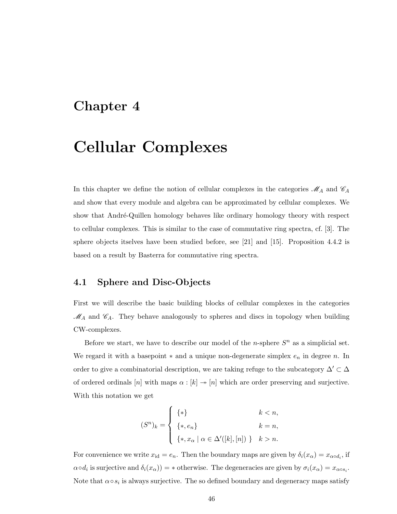### Chapter 4

## Cellular Complexes

In this chapter we define the notion of cellular complexes in the categories  $\mathcal{M}_A$  and  $\mathcal{C}_A$ and show that every module and algebra can be approximated by cellular complexes. We show that André-Quillen homology behaves like ordinary homology theory with respect to cellular complexes. This is similar to the case of commutative ring spectra, cf. [3]. The sphere objects itselves have been studied before, see [21] and [15]. Proposition 4.4.2 is based on a result by Basterra for commutative ring spectra.

#### 4.1 Sphere and Disc-Objects

First we will describe the basic building blocks of cellular complexes in the categories  $\mathcal{M}_A$  and  $\mathcal{C}_A$ . They behave analogously to spheres and discs in topology when building CW-complexes.

Before we start, we have to describe our model of the *n*-sphere  $S<sup>n</sup>$  as a simplicial set. We regard it with a basepoint  $*$  and a unique non-degenerate simplex  $e_n$  in degree n. In order to give a combinatorial description, we are taking refuge to the subcategory  $\Delta' \subset \Delta$ of ordered ordinals  $[n]$  with maps  $\alpha : [k] \rightarrow [n]$  which are order preserving and surjective. With this notation we get

$$
(S^n)_k = \begin{cases} \n\{ * \} & k < n, \\
\{ * , e_n \} & k = n, \\
\{ * , x_\alpha \mid \alpha \in \Delta'([k], [n]) \} & k > n.\n\end{cases}
$$

For convenience we write  $x_{id} = e_n$ . Then the boundary maps are given by  $\delta_i(x_\alpha) = x_{\alpha \circ d_i}$ , if  $\alpha \circ d_i$  is surjective and  $\delta_i(x_\alpha)$  = \* otherwise. The degeneracies are given by  $\sigma_i(x_\alpha) = x_{\alpha \circ s_i}$ . Note that  $\alpha \circ s_i$  is always surjective. The so defined boundary and degeneracy maps satisfy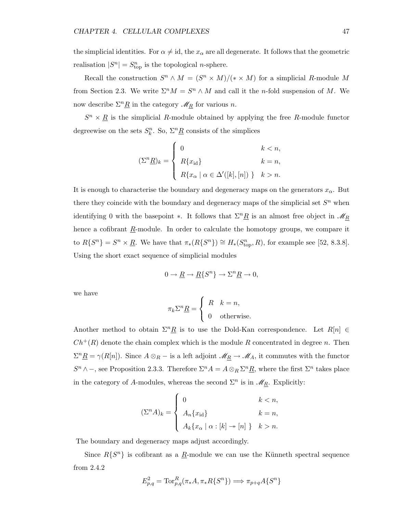the simplicial identities. For  $\alpha \neq id$ , the  $x_{\alpha}$  are all degenerate. It follows that the geometric realisation  $|S^n| = S^n_{\text{top}}$  is the topological *n*-sphere.

Recall the construction  $S^n \wedge M = (S^n \times M)/(* \times M)$  for a simplicial R-module M from Section 2.3. We write  $\Sigma^n M = S^n \wedge M$  and call it the *n*-fold suspension of M. We now describe  $\Sigma^n \underline{R}$  in the category  $\mathscr{M}_R$  for various n.

 $S<sup>n</sup> \times \underline{R}$  is the simplicial R-module obtained by applying the free R-module functor degreewise on the sets  $S_k^n$ . So,  $\Sigma^n \underline{R}$  consists of the simplices

$$
(\Sigma^n \underline{R})_k = \begin{cases} 0 & k < n, \\ R\{x_{\mathrm{id}}\} & k = n, \\ R\{x_\alpha \mid \alpha \in \Delta'([k],[n]) \} & k > n. \end{cases}
$$

It is enough to characterise the boundary and degeneracy maps on the generators  $x_{\alpha}$ . But there they coincide with the boundary and degeneracy maps of the simplicial set  $S<sup>n</sup>$  when identifying 0 with the basepoint ∗. It follows that  $\Sigma^n \underline{R}$  is an almost free object in  $\mathcal{M}_{\underline{R}}$ hence a cofibrant  $\underline{R}$ -module. In order to calculate the homotopy groups, we compare it to  $R\{S^n\} = S^n \times \underline{R}$ . We have that  $\pi_*(R\{S^n\}) \cong H_*(S^n_{\text{top}}, R)$ , for example see [52, 8.3.8]. Using the short exact sequence of simplicial modules

$$
0 \to \underline{R} \to \underline{R} \{ S^n \} \to \Sigma^n \underline{R} \to 0,
$$

we have

$$
\pi_k \Sigma^n \underline{R} = \begin{cases} R & k = n, \\ 0 & \text{otherwise.} \end{cases}
$$

Another method to obtain  $\Sigma^nR$  is to use the Dold-Kan correspondence. Let  $R[n] \in$  $Ch^+(R)$  denote the chain complex which is the module R concentrated in degree n. Then  $\Sigma^n \underline{R} = \gamma(R[n])$ . Since  $A \otimes_R -$  is a left adjoint  $\mathscr{M}_{\underline{R}} \to \mathscr{M}_A$ , it commutes with the functor  $S<sup>n</sup> \wedge -$ , see Proposition 2.3.3. Therefore  $\Sigma<sup>n</sup>A = A \otimes_R \Sigma<sup>n</sup> \underline{R}$ , where the first  $\Sigma<sup>n</sup>$  takes place in the category of A-modules, whereas the second  $\Sigma<sup>n</sup>$  is in  $\mathscr{M}_{R}$ . Explicitly:

$$
(\Sigma^n A)_k = \begin{cases} 0 & k < n, \\ A_n \{x_{\mathrm{id}}\} & k = n, \\ A_k \{x_\alpha \mid \alpha : [k] \to [n] \} & k > n. \end{cases}
$$

The boundary and degeneracy maps adjust accordingly.

Since  $R\{S^n\}$  is cofibrant as a  $\underline{R}$ -module we can use the Künneth spectral sequence from 2.4.2

$$
E^2_{p,q}=\mathrm{Tor}^R_{p,q}(\pi_*A,\pi_*R\{S^n\}) \Longrightarrow \pi_{p+q}A\{S^n\}
$$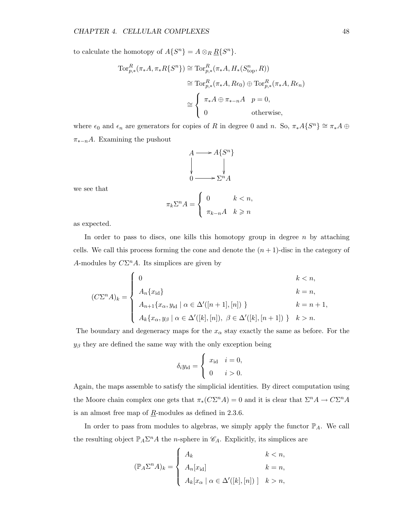to calculate the homotopy of  $A\{S^n\} = A \otimes_R \underline{R}\{S^n\}.$ 

$$
\operatorname{Tor}_{p,*}^R(\pi_*A, \pi_*R\{S^n\}) \cong \operatorname{Tor}_{p,*}^R(\pi_*A, H_*(S^n_{\text{top}}, R))
$$
  
\n
$$
\cong \operatorname{Tor}_{p,*}^R(\pi_*A, R\epsilon_0) \oplus \operatorname{Tor}_{p,*}^R(\pi_*A, R\epsilon_n)
$$
  
\n
$$
\cong \begin{cases} \pi_*A \oplus \pi_{*-n}A & p = 0, \\ 0 & \text{otherwise,} \end{cases}
$$

where  $\epsilon_0$  and  $\epsilon_n$  are generators for copies of R in degree 0 and n. So,  $\pi_*A\{S^n\} \cong \pi_*A \oplus$  $\pi_{*-n}A$ . Examining the pushout

$$
A \longrightarrow A\{S^n\}
$$
  
\n
$$
\downarrow
$$
  
\n
$$
0 \longrightarrow \Sigma^n A
$$

we see that

$$
\pi_k \Sigma^n A = \begin{cases} 0 & k < n, \\ \pi_{k-n} A & k \geq n \end{cases}
$$

as expected.

In order to pass to discs, one kills this homotopy group in degree  $n$  by attaching cells. We call this process forming the cone and denote the  $(n + 1)$ -disc in the category of A-modules by  $C\Sigma^n A$ . Its simplices are given by

$$
(C\Sigma^{n} A)_{k} = \begin{cases} 0 & k < n, \\ A_{n} \{x_{\mathrm{id}}\} & k = n, \\ A_{n+1} \{x_{\alpha}, y_{\mathrm{id}} \mid \alpha \in \Delta'([n+1], [n]) \} & k = n+1, \\ A_{k} \{x_{\alpha}, y_{\beta} \mid \alpha \in \Delta'([k], [n]), \ \beta \in \Delta'([k], [n+1]) \} & k > n. \end{cases}
$$

The boundary and degeneracy maps for the  $x_{\alpha}$  stay exactly the same as before. For the  $y_\beta$  they are defined the same way with the only exception being

$$
\delta_i y_{\rm id} = \begin{cases} x_{\rm id} & i = 0, \\ 0 & i > 0. \end{cases}
$$

Again, the maps assemble to satisfy the simplicial identities. By direct computation using the Moore chain complex one gets that  $\pi_*(C\Sigma^n A) = 0$  and it is clear that  $\Sigma^n A \to C\Sigma^n A$ is an almost free map of  $\underline{R}$ -modules as defined in 2.3.6.

In order to pass from modules to algebras, we simply apply the functor  $\mathbb{P}_A$ . We call the resulting object  $\mathbb{P}_A \Sigma^n A$  the *n*-sphere in  $\mathscr{C}_A$ . Explicitly, its simplices are

$$
(\mathbb{P}_A \Sigma^n A)_k = \begin{cases} A_k & k < n, \\ A_n[x_{\text{id}}] & k = n, \\ A_k[x_\alpha \mid \alpha \in \Delta'([k], [n])] & k > n, \end{cases}
$$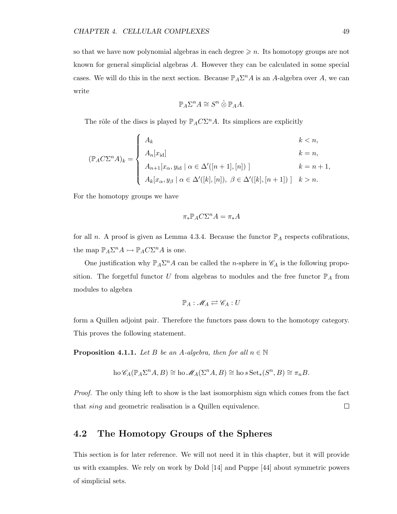so that we have now polynomial algebras in each degree  $\geqslant n$ . Its homotopy groups are not known for general simplicial algebras A. However they can be calculated in some special cases. We will do this in the next section. Because  $\mathbb{P}_A \Sigma^n A$  is an A-algebra over A, we can write

$$
\mathbb{P}_A \Sigma^n A \cong S^n \mathbin{\hat{\otimes}} \mathbb{P}_A A.
$$

The rôle of the discs is played by  $\mathbb{P}_A C \Sigma^n A$ . Its simplices are explicitly

$$
(\mathbb{P}_{A}C\Sigma^{n}A)_{k} = \begin{cases} A_{k} & k < n, \\ A_{n}[x_{\text{id}}] & k = n, \\ A_{n+1}[x_{\alpha}, y_{\text{id}} \mid \alpha \in \Delta'([n+1], [n])] & k = n+1, \\ A_{k}[x_{\alpha}, y_{\beta} \mid \alpha \in \Delta'([k], [n]), \ \beta \in \Delta'([k], [n+1])] & k > n. \end{cases}
$$

For the homotopy groups we have

$$
\pi_* \mathbb{P}_A C \Sigma^n A = \pi_* A
$$

for all n. A proof is given as Lemma 4.3.4. Because the functor  $\mathbb{P}_A$  respects cofibrations, the map  $\mathbb{P}_A \Sigma^n A \rightarrow \mathbb{P}_A C \Sigma^n A$  is one.

One justification why  $\mathbb{P}_A \Sigma^n A$  can be called the *n*-sphere in  $\mathscr{C}_A$  is the following proposition. The forgetful functor U from algebras to modules and the free functor  $\mathbb{P}_A$  from modules to algebra

$$
\mathbb{P}_A: \mathscr{M}_A \rightleftarrows \mathscr{C}_A: U
$$

form a Quillen adjoint pair. Therefore the functors pass down to the homotopy category. This proves the following statement.

**Proposition 4.1.1.** Let B be an A-algebra, then for all  $n \in \mathbb{N}$ 

$$
\text{ho }\mathscr{C}_A(\mathbb{P}_A\Sigma^n A, B) \cong \text{ho }\mathscr{M}_A(\Sigma^n A, B) \cong \text{ho }s\operatorname{Set}_*(S^n, B) \cong \pi_n B.
$$

Proof. The only thing left to show is the last isomorphism sign which comes from the fact that sing and geometric realisation is a Quillen equivalence.  $\Box$ 

#### 4.2 The Homotopy Groups of the Spheres

This section is for later reference. We will not need it in this chapter, but it will provide us with examples. We rely on work by Dold [14] and Puppe [44] about symmetric powers of simplicial sets.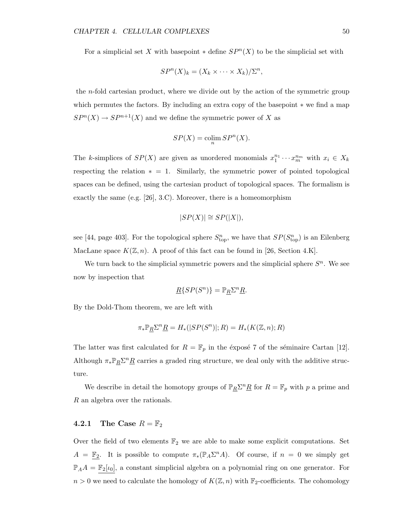For a simplicial set X with basepoint  $*$  define  $SP<sup>n</sup>(X)$  to be the simplicial set with

$$
SP^{n}(X)_{k} = (X_{k} \times \cdots \times X_{k})/\Sigma^{n},
$$

the n-fold cartesian product, where we divide out by the action of the symmetric group which permutes the factors. By including an extra copy of the basepoint ∗ we find a map  $SP<sup>n</sup>(X) \rightarrow SP<sup>n+1</sup>(X)$  and we define the symmetric power of X as

$$
SP(X) = \operatorname{colim}_{n} SP^{n}(X).
$$

The k-simplices of  $SP(X)$  are given as unordered monomials  $x_1^{n_1} \cdots x_m^{n_m}$  with  $x_i \in X_k$ respecting the relation  $* = 1$ . Similarly, the symmetric power of pointed topological spaces can be defined, using the cartesian product of topological spaces. The formalism is exactly the same (e.g. [26], 3.C). Moreover, there is a homeomorphism

$$
|SP(X)| \cong SP(|X|),
$$

see [44, page 403]. For the topological sphere  $S_{\text{top}}^n$ , we have that  $SP(S_{\text{top}}^n)$  is an Eilenberg MacLane space  $K(\mathbb{Z}, n)$ . A proof of this fact can be found in [26, Section 4.K].

We turn back to the simplicial symmetric powers and the simplicial sphere  $S<sup>n</sup>$ . We see now by inspection that

$$
\underline{R}\{SP(S^n)\} = \mathbb{P}_{\underline{R}}\Sigma^n \underline{R}.
$$

By the Dold-Thom theorem, we are left with

$$
\pi_* \mathbb{P}_R \Sigma^n \underline{R} = H_*(|SP(S^n)|; R) = H_*(K(\mathbb{Z}, n); R)
$$

The latter was first calculated for  $R = \mathbb{F}_p$  in the éxposé 7 of the séminaire Cartan [12]. Although  $\pi_* \mathbb{P}_R \Sigma^n \underline{R}$  carries a graded ring structure, we deal only with the additive structure.

We describe in detail the homotopy groups of  $\mathbb{P}_R \Sigma^n \underline{R}$  for  $R = \mathbb{F}_p$  with p a prime and R an algebra over the rationals.

#### **4.2.1** The Case  $R = \mathbb{F}_2$

Over the field of two elements  $\mathbb{F}_2$  we are able to make some explicit computations. Set  $A = \mathbb{F}_2$ . It is possible to compute  $\pi_*(\mathbb{P}_A \Sigma^n A)$ . Of course, if  $n = 0$  we simply get  $\mathbb{P}_A A = \mathbb{F}_2[\iota_0],$  a constant simplicial algebra on a polynomial ring on one generator. For  $n > 0$  we need to calculate the homology of  $K(\mathbb{Z}, n)$  with  $\mathbb{F}_2$ -coefficients. The cohomology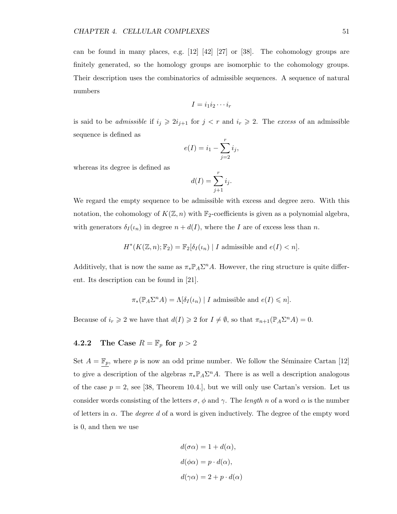can be found in many places, e.g. [12] [42] [27] or [38]. The cohomology groups are finitely generated, so the homology groups are isomorphic to the cohomology groups. Their description uses the combinatorics of admissible sequences. A sequence of natural numbers

$$
I=i_1i_2\cdots i_r
$$

is said to be *admissible* if  $i_j \geq 2i_{j+1}$  for  $j < r$  and  $i_r \geq 2$ . The excess of an admissible sequence is defined as

$$
e(I) = i_1 - \sum_{j=2}^r i_j,
$$

whereas its degree is defined as

$$
d(I) = \sum_{j+1}^{r} i_j.
$$

We regard the empty sequence to be admissible with excess and degree zero. With this notation, the cohomology of  $K(\mathbb{Z}, n)$  with  $\mathbb{F}_2$ -coefficients is given as a polynomial algebra, with generators  $\delta_I(\iota_n)$  in degree  $n + d(I)$ , where the I are of excess less than n.

$$
H^*(K(\mathbb{Z}, n); \mathbb{F}_2) = \mathbb{F}_2[\delta_I(\iota_n) | I \text{ admissible and } e(I) < n].
$$

Additively, that is now the same as  $\pi_* \mathbb{P}_A \Sigma^n A$ . However, the ring structure is quite different. Its description can be found in [21].

$$
\pi_*(\mathbb{P}_A \Sigma^n A) = \Lambda[\delta_I(\iota_n) | I \text{ admissible and } e(I) \leq n].
$$

Because of  $i_r \geq 2$  we have that  $d(I) \geq 2$  for  $I \neq \emptyset$ , so that  $\pi_{n+1}(\mathbb{P}_A \Sigma^n A) = 0$ .

#### 4.2.2 The Case  $R = \mathbb{F}_p$  for  $p > 2$

Set  $A = \mathbb{F}_p$ , where p is now an odd prime number. We follow the Séminaire Cartan [12] to give a description of the algebras  $\pi_* \mathbb{P}_A \Sigma^n A$ . There is as well a description analogous of the case  $p = 2$ , see [38, Theorem 10.4.], but we will only use Cartan's version. Let us consider words consisting of the letters  $\sigma$ ,  $\phi$  and  $\gamma$ . The length n of a word  $\alpha$  is the number of letters in  $\alpha$ . The *degree d* of a word is given inductively. The degree of the empty word is 0, and then we use

$$
d(\sigma \alpha) = 1 + d(\alpha),
$$
  
\n
$$
d(\phi \alpha) = p \cdot d(\alpha),
$$
  
\n
$$
d(\gamma \alpha) = 2 + p \cdot d(\alpha)
$$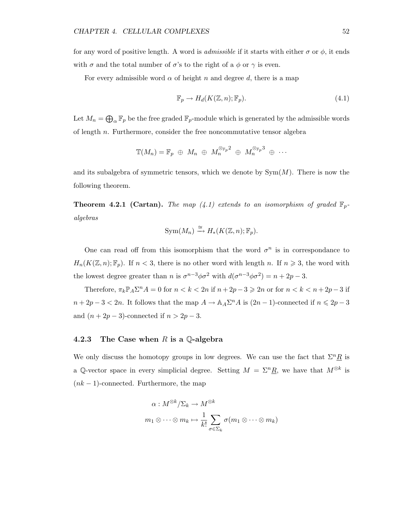for any word of positive length. A word is *admissible* if it starts with either  $\sigma$  or  $\phi$ , it ends with  $\sigma$  and the total number of  $\sigma$ 's to the right of a  $\phi$  or  $\gamma$  is even.

For every admissible word  $\alpha$  of height n and degree d, there is a map

$$
\mathbb{F}_p \to H_d(K(\mathbb{Z}, n); \mathbb{F}_p). \tag{4.1}
$$

Let  $M_n = \bigoplus_{\alpha} \mathbb{F}_p$  be the free graded  $\mathbb{F}_p$ -module which is generated by the admissible words of length n. Furthermore, consider the free noncommutative tensor algebra

$$
\mathbb{T}(M_n) = \mathbb{F}_p \oplus M_n \oplus M_n^{\otimes_{\mathbb{F}_p} 2} \oplus M_n^{\otimes_{\mathbb{F}_p} 3} \oplus \cdots
$$

and its subalgebra of symmetric tensors, which we denote by  $Sym(M)$ . There is now the following theorem.

**Theorem 4.2.1 (Cartan).** The map (4.1) extends to an isomorphism of graded  $\mathbb{F}_p$ algebras

$$
\text{Sym}(M_n) \xrightarrow{\cong} H_*(K(\mathbb{Z}, n); \mathbb{F}_p).
$$

One can read off from this isomorphism that the word  $\sigma^n$  is in correspondance to  $H_n(K(\mathbb{Z}, n); \mathbb{F}_p)$ . If  $n < 3$ , there is no other word with length n. If  $n \geq 3$ , the word with the lowest degree greater than *n* is  $\sigma^{n-3}\phi\sigma^2$  with  $d(\sigma^{n-3}\phi\sigma^2) = n + 2p - 3$ .

Therefore,  $\pi_k \mathbb{P}_A \Sigma^n A = 0$  for  $n < k < 2n$  if  $n + 2p - 3 \geq 2n$  or for  $n < k < n + 2p - 3$  if  $n+2p-3 < 2n$ . It follows that the map  $A \to \mathbb{A}_A \Sigma^n A$  is  $(2n-1)$ -connected if  $n \leq 2p-3$ and  $(n+2p-3)$ -connected if  $n > 2p-3$ .

#### 4.2.3 The Case when  $R$  is a  $\mathbb Q$ -algebra

We only discuss the homotopy groups in low degrees. We can use the fact that  $\Sigma^n R$  is a Q-vector space in every simplicial degree. Setting  $M = \sum^n \underline{R}$ , we have that  $M^{\otimes k}$  is  $(nk-1)$ -connected. Furthermore, the map

$$
\alpha: M^{\otimes k}/\Sigma_k \to M^{\otimes k}
$$
  

$$
m_1 \otimes \cdots \otimes m_k \mapsto \frac{1}{k!} \sum_{\sigma \in \Sigma_k} \sigma(m_1 \otimes \cdots \otimes m_k)
$$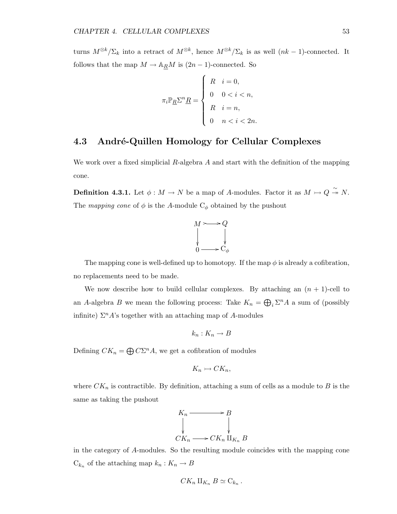turns  $M^{\otimes k}/\Sigma_k$  into a retract of  $M^{\otimes k}$ , hence  $M^{\otimes k}/\Sigma_k$  is as well  $(nk-1)$ -connected. It follows that the map  $M \to \mathbb{A}_R M$  is  $(2n-1)$ -connected. So

$$
\pi_i \mathbb{P}_{\underline{R}} \Sigma^n \underline{R} = \begin{cases} R & i = 0, \\ 0 & 0 < i < n, \\ R & i = n, \\ 0 & n < i < 2n. \end{cases}
$$

#### 4.3 André-Quillen Homology for Cellular Complexes

We work over a fixed simplicial R-algebra A and start with the definition of the mapping cone.

**Definition 4.3.1.** Let  $\phi : M \to N$  be a map of A-modules. Factor it as  $M \rightarrow Q \stackrel{\sim}{\rightarrow} N$ . The mapping cone of  $\phi$  is the A-module  $C_{\phi}$  obtained by the pushout



The mapping cone is well-defined up to homotopy. If the map  $\phi$  is already a cofibration, no replacements need to be made.

We now describe how to build cellular complexes. By attaching an  $(n + 1)$ -cell to an A-algebra B we mean the following process: Take  $K_n = \bigoplus_i \Sigma^n A$  a sum of (possibly infinite)  $\Sigma^n A$ 's together with an attaching map of A-modules

$$
k_n: K_n \to B
$$

Defining  $CK_n = \bigoplus C\Sigma^n A$ , we get a cofibration of modules

$$
K_n \rightarrowtail CK_n,
$$

where  $CK_n$  is contractible. By definition, attaching a sum of cells as a module to B is the same as taking the pushout



in the category of A-modules. So the resulting module coincides with the mapping cone  $C_{k_n}$  of the attaching map  $k_n: K_n \to B$ 

$$
CK_n\amalg_{K_n}B\simeq C_{k_n}.
$$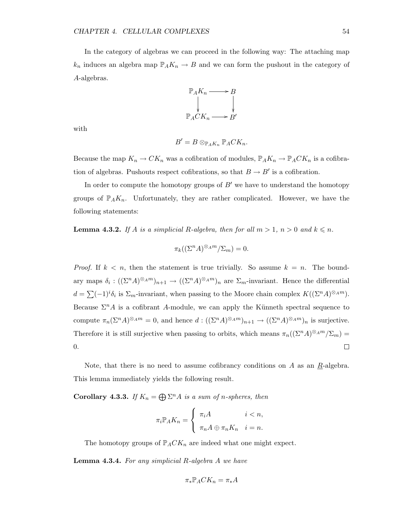In the category of algebras we can proceed in the following way: The attaching map  $k_n$  induces an algebra map  $\mathbb{P}_A K_n \to B$  and we can form the pushout in the category of A-algebras.



with

$$
B'=B\otimes_{\mathbb{P}_A K_n}\mathbb{P}_A C K_n.
$$

Because the map  $K_n \to CK_n$  was a cofibration of modules,  $\mathbb{P}_A K_n \to \mathbb{P}_A C K_n$  is a cofibration of algebras. Pushouts respect cofibrations, so that  $B \to B'$  is a cofibration.

In order to compute the homotopy groups of  $B'$  we have to understand the homotopy groups of  $\mathbb{P}_A K_n$ . Unfortunately, they are rather complicated. However, we have the following statements:

**Lemma 4.3.2.** If A is a simplicial R-algebra, then for all  $m > 1$ ,  $n > 0$  and  $k \le n$ .

$$
\pi_k((\Sigma^n A)^{\otimes_A m}/\Sigma_m) = 0.
$$

*Proof.* If  $k < n$ , then the statement is true trivially. So assume  $k = n$ . The boundary maps  $\delta_i: ((\Sigma^n A)^{\otimes_A m})_{n+1} \to ((\Sigma^n A)^{\otimes_A m})_n$  are  $\Sigma_m$ -invariant. Hence the differential  $d = \sum (-1)^i \delta_i$  is  $\Sigma_m$ -invariant, when passing to the Moore chain complex  $K((\Sigma^n A)^{\otimes_A m})$ . Because  $\Sigma^n A$  is a cofibrant A-module, we can apply the Künneth spectral sequence to compute  $\pi_n(\Sigma^n A)^{\otimes_A m} = 0$ , and hence  $d: ((\Sigma^n A)^{\otimes_A m})_{n+1} \to ((\Sigma^n A)^{\otimes_A m})_n$  is surjective. Therefore it is still surjective when passing to orbits, which means  $\pi_n((\Sigma^n A)^{\otimes_A m}/\Sigma_m)$ 0.  $\Box$ 

Note, that there is no need to assume cofibrancy conditions on A as an  $R$ -algebra. This lemma immediately yields the following result.

**Corollary 4.3.3.** If  $K_n = \bigoplus \Sigma^n A$  is a sum of n-spheres, then

$$
\pi_i \mathbb{P}_A K_n = \begin{cases} \pi_i A & i < n, \\ \pi_n A \oplus \pi_n K_n & i = n. \end{cases}
$$

The homotopy groups of  $\mathbb{P}_A C K_n$  are indeed what one might expect.

**Lemma 4.3.4.** For any simplicial R-algebra  $A$  we have

$$
\pi_*\mathbb P_ACK_n=\pi_*A
$$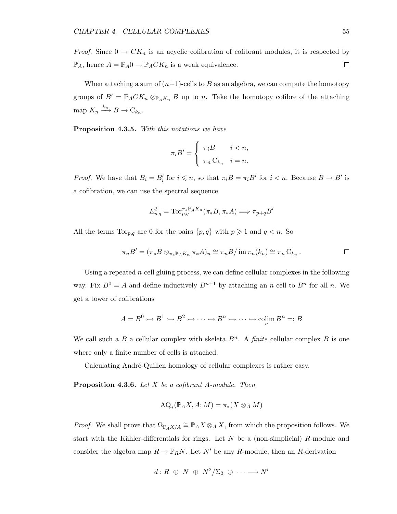*Proof.* Since  $0 \to CK_n$  is an acyclic cofibration of cofibrant modules, it is respected by  $\mathbb{P}_A$ , hence  $A = \mathbb{P}_A 0 \to \mathbb{P}_A C K_n$  is a weak equivalence.  $\Box$ 

When attaching a sum of  $(n+1)$ -cells to B as an algebra, we can compute the homotopy groups of  $B' = \mathbb{P}_A C K_n \otimes_{\mathbb{P}_A K_n} B$  up to n. Take the homotopy cofibre of the attaching map  $K_n \xrightarrow{k_n} B \to C_{k_n}$ .

Proposition 4.3.5. With this notations we have

$$
\pi_i B' = \begin{cases} \pi_i B & i < n, \\ \pi_n C_{k_n} & i = n. \end{cases}
$$

*Proof.* We have that  $B_i = B'_i$  for  $i \leq n$ , so that  $\pi_i B = \pi_i B'$  for  $i < n$ . Because  $B \to B'$  is a cofibration, we can use the spectral sequence

$$
E_{p,q}^2 = \text{Tor}_{p,q}^{\pi_* \mathbb{P}_A K_n}(\pi_* B, \pi_* A) \Longrightarrow \pi_{p+q} B'
$$

All the terms  $\text{Tor}_{p,q}$  are 0 for the pairs  $\{p,q\}$  with  $p \geq 1$  and  $q < n$ . So

$$
\pi_n B' = (\pi_* B \otimes_{\pi_* \mathbb{P}_A K_n} \pi_* A)_n \cong \pi_n B / \operatorname{im} \pi_n(k_n) \cong \pi_n C_{k_n} .
$$

Using a repeated  $n$ -cell gluing process, we can define cellular complexes in the following way. Fix  $B^0 = A$  and define inductively  $B^{n+1}$  by attaching an *n*-cell to  $B^n$  for all *n*. We get a tower of cofibrations

$$
A = B^0 \rightarrowtail B^1 \rightarrowtail B^2 \rightarrowtail \cdots \rightarrowtail B^n \rightarrowtail \cdots \rightarrowtail \text{colim}_{n} B^n =: B
$$

We call such a B a cellular complex with skeleta  $B<sup>n</sup>$ . A *finite* cellular complex B is one where only a finite number of cells is attached.

Calculating André-Quillen homology of cellular complexes is rather easy.

**Proposition 4.3.6.** Let  $X$  be a cofibrant A-module. Then

$$
\mathrm{AQ}_*(\mathbb{P}_A X, A; M) = \pi_*(X \otimes_A M)
$$

*Proof.* We shall prove that  $\Omega_{\mathbb{P}_A X/A} \cong \mathbb{P}_A X \otimes_A X$ , from which the proposition follows. We start with the Kähler-differentials for rings. Let  $N$  be a (non-simplicial) R-module and consider the algebra map  $R \to \mathbb{P}_R N$ . Let  $N'$  be any R-module, then an R-derivation

$$
d: R \oplus N \oplus N^2/\Sigma_2 \oplus \cdots \longrightarrow N'
$$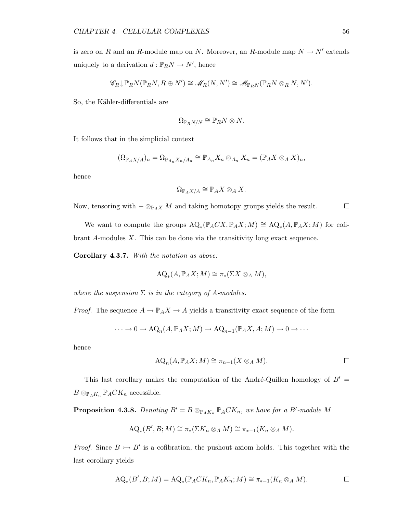is zero on R and an R-module map on N. Moreover, an R-module map  $N \to N'$  extends uniquely to a derivation  $d : \mathbb{P}_R N \to N'$ , hence

$$
\mathscr{C}_R\downarrow \mathbb{P}_RN(\mathbb{P}_RN,R\oplus N')\cong \mathscr{M}_R(N,N')\cong \mathscr{M}_{\mathbb{P}_RN}(\mathbb{P}_RN\otimes_R N,N').
$$

So, the Kähler-differentials are

$$
\Omega_{\mathbb{P}_RN/N}\cong \mathbb{P}_RN\otimes N.
$$

It follows that in the simplicial context

$$
(\Omega_{\mathbb{P}_A X/A})_n = \Omega_{\mathbb{P}_{A_n} X_n/A_n} \cong \mathbb{P}_{A_n} X_n \otimes_{A_n} X_n = (\mathbb{P}_A X \otimes_A X)_n,
$$

hence

$$
\Omega_{\mathbb{P}_A X/A} \cong \mathbb{P}_A X \otimes_A X.
$$

Now, tensoring with  $-\otimes_{\mathbb{P}_AX} M$  and taking homotopy groups yields the result.  $\Box$ 

We want to compute the groups  $AQ_*(\mathbb{P}_A CX, \mathbb{P}_A X; M) \cong AQ_*(A, \mathbb{P}_A X; M)$  for cofibrant A-modules X. This can be done via the transitivity long exact sequence.

Corollary 4.3.7. With the notation as above:

$$
AQ_*(A, \mathbb{P}_A X; M) \cong \pi_*(\Sigma X \otimes_A M),
$$

where the suspension  $\Sigma$  is in the category of A-modules.

*Proof.* The sequence  $A \to \mathbb{P}_A X \to A$  yields a transitivity exact sequence of the form

$$
\cdots \to 0 \to \mathrm{AQ}_n(A, \mathbb{P}_A X; M) \to \mathrm{AQ}_{n-1}(\mathbb{P}_A X, A; M) \to 0 \to \cdots
$$

hence

$$
AQ_n(A, \mathbb{P}_A X; M) \cong \pi_{n-1}(X \otimes_A M).
$$

This last corollary makes the computation of the André-Quillen homology of  $B' =$  $B \otimes_{\mathbb{P}_A K_n} \mathbb{P}_A C K_n$  accessible.

**Proposition 4.3.8.** Denoting  $B' = B \otimes_{\mathbb{P}_{A}K_n} \mathbb{P}_{A}CK_n$ , we have for a  $B'$ -module M

$$
AQ_*(B',B;M) \cong \pi_*(\Sigma K_n \otimes_A M) \cong \pi_{*-1}(K_n \otimes_A M).
$$

*Proof.* Since  $B \rightarrow B'$  is a cofibration, the pushout axiom holds. This together with the last corollary yields

$$
AQ_*(B',B;M) = AQ_*(\mathbb{P}_A C K_n, \mathbb{P}_A K_n;M) \cong \pi_{*-1}(K_n \otimes_A M).
$$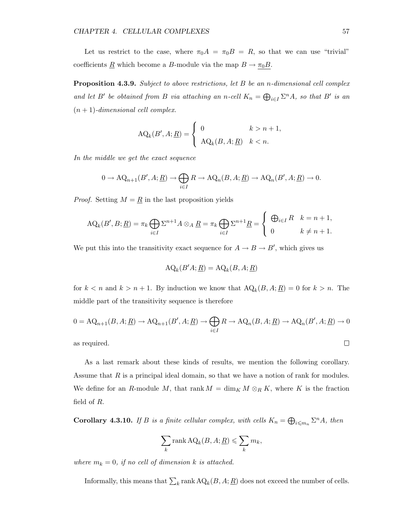Let us restrict to the case, where  $\pi_0 A = \pi_0 B = R$ , so that we can use "trivial" coefficients <u>R</u> which become a B-module via the map  $B \to \pi_0 B$ .

**Proposition 4.3.9.** Subject to above restrictions, let B be an *n*-dimensional cell complex and let B' be obtained from B via attaching an n-cell  $K_n = \bigoplus_{i \in I} \Sigma^n A$ , so that B' is an  $(n + 1)$ -dimensional cell complex.

$$
\text{AQ}_k(B', A; \underline{R}) = \begin{cases} 0 & k > n+1, \\ \text{AQ}_k(B, A; \underline{R}) & k < n. \end{cases}
$$

In the middle we get the exact sequence

$$
0 \to \mathrm{AQ}_{n+1}(B', A; \underline{R}) \to \bigoplus_{i \in I} R \to \mathrm{AQ}_n(B, A; \underline{R}) \to \mathrm{AQ}_n(B', A; \underline{R}) \to 0.
$$

*Proof.* Setting  $M = \underline{R}$  in the last proposition yields

$$
AQ_k(B', B; \underline{R}) = \pi_k \bigoplus_{i \in I} \Sigma^{n+1} A \otimes_A \underline{R} = \pi_k \bigoplus_{i \in I} \Sigma^{n+1} \underline{R} = \begin{cases} \bigoplus_{i \in I} R & k = n+1, \\ 0 & k \neq n+1. \end{cases}
$$

We put this into the transitivity exact sequence for  $A \rightarrow B \rightarrow B'$ , which gives us

$$
AQ_k(B'A; \underline{R}) = AQ_k(B, A; \underline{R})
$$

for  $k < n$  and  $k > n + 1$ . By induction we know that  $A Q_k(B, A; \underline{R}) = 0$  for  $k > n$ . The middle part of the transitivity sequence is therefore

$$
0 = \mathrm{AQ}_{n+1}(B, A; \underline{R}) \to \mathrm{AQ}_{n+1}(B', A; \underline{R}) \to \bigoplus_{i \in I} R \to \mathrm{AQ}_n(B, A; \underline{R}) \to \mathrm{AQ}_n(B', A; \underline{R}) \to 0
$$
as required.

as required.

As a last remark about these kinds of results, we mention the following corollary. Assume that  $R$  is a principal ideal domain, so that we have a notion of rank for modules. We define for an R-module M, that rank  $M = \dim_K M \otimes_R K$ , where K is the fraction field of R.

**Corollary 4.3.10.** If B is a finite cellular complex, with cells  $K_n = \bigoplus_{i \leq m_n} \Sigma^n A$ , then

$$
\sum_{k} \text{rank} \,\mathbf{AQ}_{k}(B, A; \underline{R}) \leqslant \sum_{k} m_{k},
$$

where  $m_k = 0$ , if no cell of dimension k is attached.

Informally, this means that  $\sum_k \text{rank } AQ_k(B, A; \underline{R})$  does not exceed the number of cells.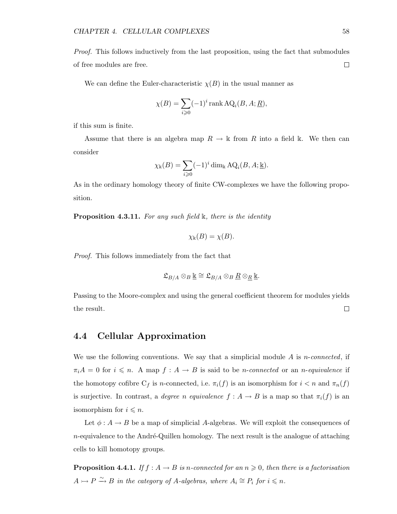Proof. This follows inductively from the last proposition, using the fact that submodules of free modules are free.  $\Box$ 

We can define the Euler-characteristic  $\chi(B)$  in the usual manner as

$$
\chi(B) = \sum_{i \geq 0} (-1)^i \operatorname{rank} \operatorname{AQ}_i(B, A; \underline{R}),
$$

if this sum is finite.

Assume that there is an algebra map  $R \to \mathbb{k}$  from R into a field k. We then can consider

$$
\chi_{\mathbb{k}}(B) = \sum_{i \geq 0} (-1)^i \dim_{\mathbb{k}} \mathrm{AQ}_i(B, A; \underline{\mathbb{k}}).
$$

As in the ordinary homology theory of finite CW-complexes we have the following proposition.

**Proposition 4.3.11.** For any such field  $\mathbb{k}$ , there is the identity

$$
\chi_{\mathbb{k}}(B) = \chi(B).
$$

Proof. This follows immediately from the fact that

$$
\mathfrak{L}_{B/A}\otimes_B \underline{\Bbbk} \cong \mathfrak{L}_{B/A}\otimes_B \underline{R}\otimes_{\underline{R}} \underline{\Bbbk}.
$$

Passing to the Moore-complex and using the general coefficient theorem for modules yields  $\Box$ the result.

#### 4.4 Cellular Approximation

We use the following conventions. We say that a simplicial module  $A$  is *n*-connected, if  $\pi_i A = 0$  for  $i \leq n$ . A map  $f : A \to B$  is said to be *n*-connected or an *n*-equivalence if the homotopy cofibre  $C_f$  is n-connected, i.e.  $\pi_i(f)$  is an isomorphism for  $i < n$  and  $\pi_n(f)$ is surjective. In contrast, a degree n equivalence  $f : A \to B$  is a map so that  $\pi_i(f)$  is an isomorphism for  $i \leq n$ .

Let  $\phi: A \to B$  be a map of simplicial A-algebras. We will exploit the consequences of  $n$ -equivalence to the André-Quillen homology. The next result is the analogue of attaching cells to kill homotopy groups.

**Proposition 4.4.1.** If  $f : A \to B$  is n-connected for an  $n \geq 0$ , then there is a factorisation  $A \rightarrowtail P \xrightarrow{\sim} B$  in the category of A-algebras, where  $A_i \cong P_i$  for  $i \leq n$ .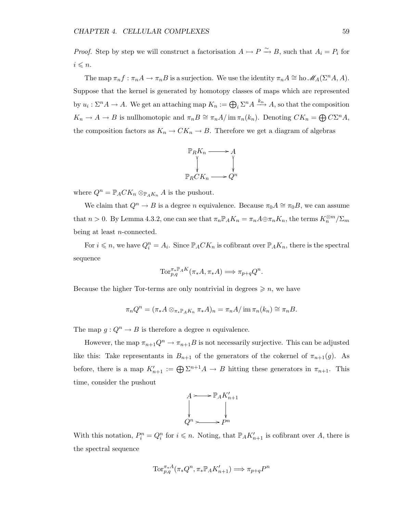*Proof.* Step by step we will construct a factorisation  $A \rightarrowtail P \overset{\sim}{\rightarrow} B$ , such that  $A_i = P_i$  for  $i \leq n$ .

The map  $\pi_n f : \pi_n A \to \pi_n B$  is a surjection. We use the identity  $\pi_n A \cong$  ho  $\mathscr{M}_A(\Sigma^n A, A)$ . Suppose that the kernel is generated by homotopy classes of maps which are represented by  $u_i: \Sigma^n A \to A$ . We get an attaching map  $K_n := \bigoplus_i \Sigma^n A \xrightarrow{k_n} A$ , so that the composition  $K_n \to A \to B$  is nullhomotopic and  $\pi_n B \cong \pi_n A / \text{im } \pi_n(k_n)$ . Denoting  $CK_n = \bigoplus C\Sigma^n A$ , the composition factors as  $K_n \to CK_n \to B$ . Therefore we get a diagram of algebras



where  $Q^n = \mathbb{P}_A C K_n \otimes_{\mathbb{P}_A K_n} A$  is the pushout.

We claim that  $Q^n \to B$  is a degree n equivalence. Because  $\pi_0 A \cong \pi_0 B$ , we can assume that  $n > 0$ . By Lemma 4.3.2, one can see that  $\pi_n \mathbb{P}_A K_n = \pi_n A \oplus \pi_n K_n$ , the terms  $K_n^{\otimes m}/\Sigma_m$ being at least n-connected.

For  $i \leq n$ , we have  $Q_i^n = A_i$ . Since  $\mathbb{P}_A C K_n$  is cofibrant over  $\mathbb{P}_A K_n$ , there is the spectral sequence

$$
\text{Tor}_{p,q}^{\pi_* \mathbb{P}_A K}(\pi_* A, \pi_* A) \Longrightarrow \pi_{p+q} Q^n.
$$

Because the higher Tor-terms are only nontrivial in degrees  $\geqslant n$ , we have

$$
\pi_n Q^n = (\pi_* A \otimes_{\pi_* \mathbb{P}_A K_n} \pi_* A)_n = \pi_n A / \operatorname{im} \pi_n(k_n) \cong \pi_n B.
$$

The map  $g: Q^n \to B$  is therefore a degree n equivalence.

However, the map  $\pi_{n+1}Q^n \to \pi_{n+1}B$  is not necessarily surjective. This can be adjusted like this: Take representants in  $B_{n+1}$  of the generators of the cokernel of  $\pi_{n+1}(g)$ . As before, there is a map  $K'_{n+1} := \bigoplus \Sigma^{n+1} A \to B$  hitting these generators in  $\pi_{n+1}$ . This time, consider the pushout



With this notation,  $P_i^n = Q_i^n$  for  $i \leq n$ . Noting, that  $\mathbb{P}_A K'_{n+1}$  is cofibrant over A, there is the spectral sequence

$$
\text{Tor}_{p,q}^{\pi_*A}(\pi_*Q^n, \pi_*\mathbb{P}_A K_{n+1}') \Longrightarrow \pi_{p+q}P^n
$$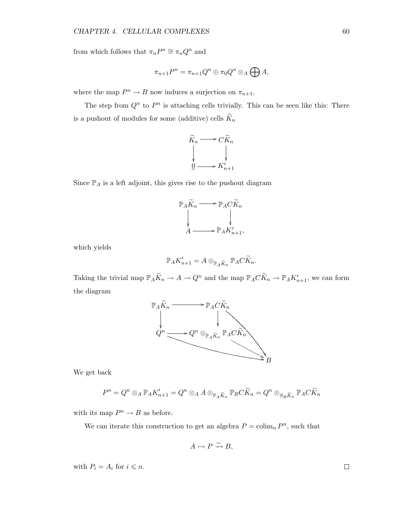from which follows that  $\pi_n P^n \cong \pi_n Q^n$  and

$$
\pi_{n+1}P^n=\pi_{n+1}Q^n\oplus \pi_0Q^n\otimes_A\bigoplus A,
$$

where the map  $P^n \to B$  now induces a surjection on  $\pi_{n+1}$ .

The step from  $Q^n$  to  $P^n$  is attaching cells trivially. This can be seen like this: There is a pushout of modules for some (additive) cells  $K_n$ 



Since  $\mathbb{P}_A$  is a left adjoint, this gives rise to the pushout diagram



which yields

$$
\mathbb{P}_A K'_{n+1} = A \otimes_{\mathbb{P}_A \widetilde{K}_n} \mathbb{P}_A C \widetilde{K}_n.
$$

Taking the trivial map  $\mathbb{P}_A \widetilde{K}_n \to A \to Q^n$  and the map  $\mathbb{P}_A C \widetilde{K}_n \to \mathbb{P}_A K'_{n+1}$ , we can form the diagram



We get back

$$
P^{n} = Q^{n} \otimes_{A} \mathbb{P}_{A} K'_{n+1} = Q^{n} \otimes_{A} A \otimes_{\mathbb{P}_{A} \widetilde{K}_{n}} \mathbb{P}_{R} C \widetilde{K}_{n} = Q^{n} \otimes_{S_{R} \widetilde{K}_{n}} \mathbb{P}_{A} C \widetilde{K}_{n}
$$

with its map  $P^n \to B$  as before.

We can iterate this construction to get an algebra  $P = \operatorname{colim}_n P^n$ , such that

$$
A \rightarrowtail P \xrightarrow{\sim} B,
$$

with  $P_i = A_i$  for  $i \leq n$ .

 $\Box$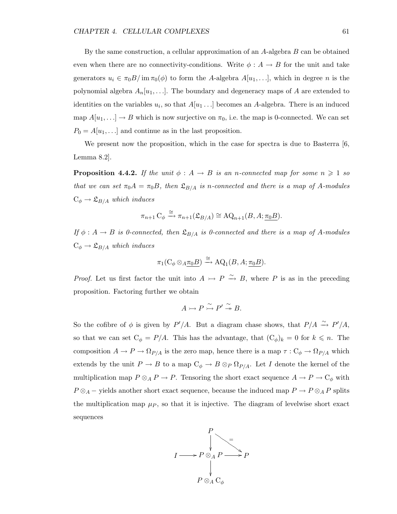By the same construction, a cellular approximation of an A-algebra B can be obtained even when there are no connectivity-conditions. Write  $\phi : A \to B$  for the unit and take generators  $u_i \in \pi_0 B / \text{im } \pi_0(\phi)$  to form the A-algebra  $A[u_1, \ldots],$  which in degree n is the polynomial algebra  $A_n[u_1,\ldots]$ . The boundary and degeneracy maps of A are extended to identities on the variables  $u_i$ , so that  $A[u_1 \dots]$  becomes an A-algebra. There is an induced map  $A[u_1, \ldots] \to B$  which is now surjective on  $\pi_0$ , i.e. the map is 0-connected. We can set  $P_0 = A[u_1, \ldots]$  and continue as in the last proposition.

We present now the proposition, which in the case for spectra is due to Basterra [6, Lemma 8.2].

**Proposition 4.4.2.** If the unit  $\phi : A \rightarrow B$  is an n-connected map for some  $n \geq 1$  so that we can set  $\pi_0 A = \pi_0 B$ , then  $\mathfrak{L}_{B/A}$  is n-connected and there is a map of A-modules  $C_{\phi} \rightarrow \mathfrak{L}_{B/A}$  which induces

$$
\pi_{n+1} \mathcal{C}_{\phi} \xrightarrow{\cong} \pi_{n+1}(\mathfrak{L}_{B/A}) \cong \mathcal{A} \mathcal{Q}_{n+1}(B, A; \underline{\pi_0 B}).
$$

If  $\phi: A \to B$  is 0-connected, then  $\mathfrak{L}_{B/A}$  is 0-connected and there is a map of A-modules  $C_{\phi} \rightarrow \mathfrak{L}_{B/A}$  which induces

$$
\pi_1(\mathcal{C}_{\phi} \otimes_{A \underline{\pi_0} B}) \xrightarrow{\cong} \mathrm{AQ}_1(B, A; \underline{\pi_0} B).
$$

*Proof.* Let us first factor the unit into  $A \rightarrow P \stackrel{\sim}{\rightarrow} B$ , where P is as in the preceding proposition. Factoring further we obtain

$$
A \rightarrowtail P \overset{\sim}{\rightarrowtail} P' \overset{\sim}{\twoheadrightarrow} B.
$$

So the cofibre of  $\phi$  is given by  $P'/A$ . But a diagram chase shows, that  $P/A \stackrel{\sim}{\rightarrow} P'/A$ , so that we can set  $C_{\phi} = P/A$ . This has the advantage, that  $(C_{\phi})_k = 0$  for  $k \leq n$ . The composition  $A \to P \to \Omega_{P/A}$  is the zero map, hence there is a map  $\tau : C_{\phi} \to \Omega_{P/A}$  which extends by the unit  $P \to B$  to a map  $C_{\phi} \to B \otimes_{P} \Omega_{P/A}$ . Let I denote the kernel of the multiplication map  $P \otimes_A P \to P$ . Tensoring the short exact sequence  $A \to P \to C_{\phi}$  with  $P \otimes_A -$  yields another short exact sequence, because the induced map  $P \to P \otimes_A P$  splits the multiplication map  $\mu$ , so that it is injective. The diagram of levelwise short exact sequences

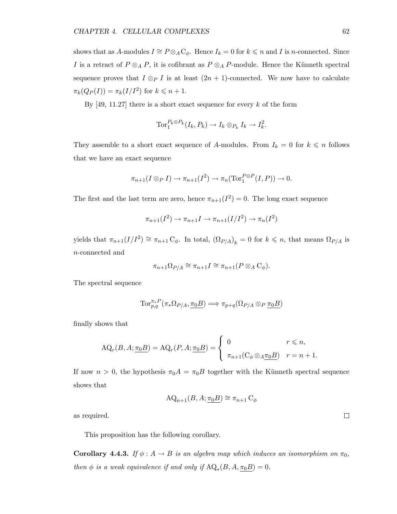shows that as A-modules  $I \cong P \otimes_A \mathbb{C}_{\phi}$ . Hence  $I_k = 0$  for  $k \leq n$  and I is n-connected. Since I is a retract of  $P \otimes_A P$ , it is cofibrant as  $P \otimes_A P$ -module. Hence the Künneth spectral sequence proves that  $I \otimes_{P} I$  is at least  $(2n + 1)$ -connected. We now have to calculate  $\pi_k(Q_P(I)) = \pi_k(I/I^2)$  for  $k \leq n+1$ .

By  $[49, 11.27]$  there is a short exact sequence for every k of the form

$$
\operatorname{Tor}\nolimits_1^{P_k \otimes P_k} (I_k, P_k) \to I_k \otimes_{P_k} I_k \to I_k^2.
$$

They assemble to a short exact sequence of A-modules. From  $I_k = 0$  for  $k \leq n$  follows that we have an exact sequence

$$
\pi_{n+1}(I \otimes_P I) \to \pi_{n+1}(I^2) \to \pi_n(\text{Tor}_1^{P \otimes P}(I, P)) \to 0.
$$

The first and the last term are zero, hence  $\pi_{n+1}(I^2) = 0$ . The long exact sequence

$$
\pi_{n+1}(I^2) \to \pi_{n+1}I \to \pi_{n+1}(I/I^2) \to \pi_n(I^2)
$$

yields that  $\pi_{n+1}(I/I^2) \cong \pi_{n+1} C_{\phi}$ . In total,  $(\Omega_{P/A})_k = 0$  for  $k \leq n$ , that means  $\Omega_{P/A}$  is n-connected and

$$
\pi_{n+1}\Omega_{P/A} \cong \pi_{n+1}I \cong \pi_{n+1}(P \otimes_A \mathrm{C}_{\phi}).
$$

The spectral sequence

$$
\text{Tor}_{p,q}^{\pi_*P}(\pi_*\Omega_{P/A},\underline{\pi_0B}) \Longrightarrow \pi_{p+q}(\Omega_{P/A}\otimes_P \underline{\pi_0B})
$$

finally shows that

$$
\text{AQ}_r(B, A; \underline{\pi_0 B}) = \text{AQ}_r(P, A; \underline{\pi_0 B}) = \begin{cases} 0 & r \leq n, \\ \pi_{n+1}(\mathcal{C}_\phi \otimes_A \underline{\pi_0 B}) & r = n+1. \end{cases}
$$

If now  $n > 0$ , the hypothesis  $\pi_0 A = \pi_0 B$  together with the Künneth spectral sequence shows that

$$
AQ_{n+1}(B, A; \underline{\pi_0 B}) \cong \pi_{n+1} C_{\phi}
$$

as required.

This proposition has the following corollary.

**Corollary 4.4.3.** If  $\phi : A \to B$  is an algebra map which induces an isomorphism on  $\pi_0$ , then  $\phi$  is a weak equivalence if and only if  $AQ_*(B, A, \underline{\pi_0 B}) = 0$ .

 $\Box$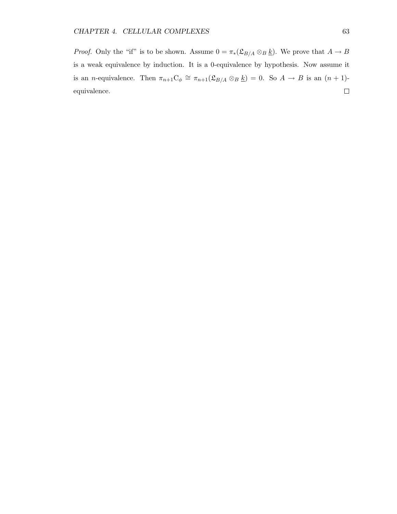*Proof.* Only the "if" is to be shown. Assume  $0 = \pi_*(\mathfrak{L}_{B/A} \otimes_B \underline{k})$ . We prove that  $A \to B$ is a weak equivalence by induction. It is a 0-equivalence by hypothesis. Now assume it is an *n*-equivalence. Then  $\pi_{n+1}C_{\phi} \cong \pi_{n+1}(\mathfrak{L}_{B/A} \otimes_B \underline{k}) = 0$ . So  $A \to B$  is an  $(n+1)$ - $\Box$ equivalence.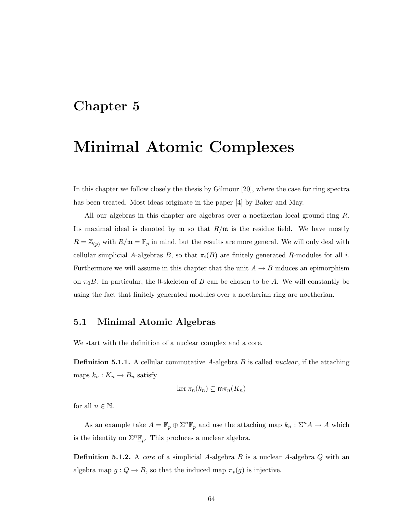### Chapter 5

### Minimal Atomic Complexes

In this chapter we follow closely the thesis by Gilmour [20], where the case for ring spectra has been treated. Most ideas originate in the paper [4] by Baker and May.

All our algebras in this chapter are algebras over a noetherian local ground ring R. Its maximal ideal is denoted by  $\mathfrak{m}$  so that  $R/\mathfrak{m}$  is the residue field. We have mostly  $R = \mathbb{Z}_{(p)}$  with  $R/\mathfrak{m} = \mathbb{F}_p$  in mind, but the results are more general. We will only deal with cellular simplicial A-algebras B, so that  $\pi_i(B)$  are finitely generated R-modules for all i. Furthermore we will assume in this chapter that the unit  $A \rightarrow B$  induces an epimorphism on  $\pi_0$ B. In particular, the 0-skeleton of B can be chosen to be A. We will constantly be using the fact that finitely generated modules over a noetherian ring are noetherian.

#### 5.1 Minimal Atomic Algebras

We start with the definition of a nuclear complex and a core.

**Definition 5.1.1.** A cellular commutative A-algebra B is called *nuclear*, if the attaching maps  $k_n : K_n \to B_n$  satisfy

$$
\ker \pi_n(k_n) \subseteq \mathfrak{m}\pi_n(K_n)
$$

for all  $n \in \mathbb{N}$ .

As an example take  $A = \mathbb{F}_p \oplus \Sigma^n \mathbb{F}_p$  and use the attaching map  $k_n : \Sigma^n A \to A$  which is the identity on  $\Sigma^n \underline{\mathbb{F}}_p$ . This produces a nuclear algebra.

**Definition 5.1.2.** A core of a simplicial A-algebra B is a nuclear A-algebra Q with an algebra map  $g: Q \to B$ , so that the induced map  $\pi_*(g)$  is injective.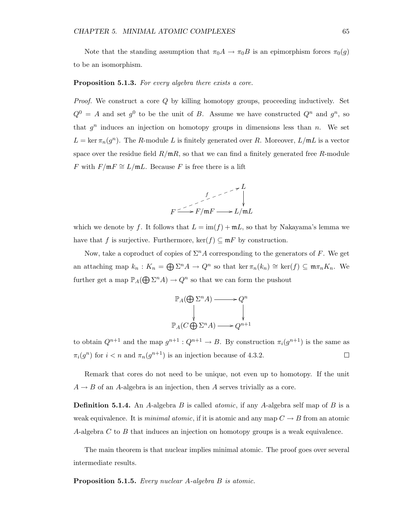Note that the standing assumption that  $\pi_0 A \to \pi_0 B$  is an epimorphism forces  $\pi_0(g)$ to be an isomorphism.

#### Proposition 5.1.3. For every algebra there exists a core.

*Proof.* We construct a core  $Q$  by killing homotopy groups, proceeding inductively. Set  $Q^0 = A$  and set  $g^0$  to be the unit of B. Assume we have constructed  $Q^n$  and  $g^n$ , so that  $g^n$  induces an injection on homotopy groups in dimensions less than n. We set  $L = \ker \pi_n(g^n)$ . The R-module L is finitely generated over R. Moreover,  $L/\mathfrak{m}L$  is a vector space over the residue field  $R/\mathfrak{m}R$ , so that we can find a finitely generated free R-module *F* with  $F/\mathfrak{m} F \cong L/\mathfrak{m} L$ . Because *F* is free there is a lift



which we denote by f. It follows that  $L = \text{im}(f) + \text{m}L$ , so that by Nakayama's lemma we have that f is surjective. Furthermore,  $\ker(f) \subseteq mF$  by construction.

Now, take a coproduct of copies of  $\Sigma^n A$  corresponding to the generators of F. We get an attaching map  $k_n : K_n = \bigoplus \Sigma^n A \to Q^n$  so that ker  $\pi_n(k_n) \cong \ker(f) \subseteq \mathfrak{m}\pi_n K_n$ . We further get a map  $\mathbb{P}_A(\bigoplus \Sigma^n A) \to Q^n$  so that we can form the pushout

$$
\mathbb{P}_A(\bigoplus \Sigma^n A) \longrightarrow Q^n
$$
  
\n
$$
\downarrow \qquad \qquad \downarrow
$$
  
\n
$$
\mathbb{P}_A(C \bigoplus \Sigma^n A) \longrightarrow Q^{n+1}
$$

to obtain  $Q^{n+1}$  and the map  $g^{n+1}: Q^{n+1} \to B$ . By construction  $\pi_i(g^{n+1})$  is the same as  $\pi_i(g^n)$  for  $i < n$  and  $\pi_n(g^{n+1})$  is an injection because of 4.3.2.  $\Box$ 

Remark that cores do not need to be unique, not even up to homotopy. If the unit  $A \rightarrow B$  of an A-algebra is an injection, then A serves trivially as a core.

**Definition 5.1.4.** An A-algebra B is called *atomic*, if any A-algebra self map of B is a weak equivalence. It is minimal atomic, if it is atomic and any map  $C \to B$  from an atomic A-algebra  $C$  to  $B$  that induces an injection on homotopy groups is a weak equivalence.

The main theorem is that nuclear implies minimal atomic. The proof goes over several intermediate results.

Proposition 5.1.5. Every nuclear A-algebra B is atomic.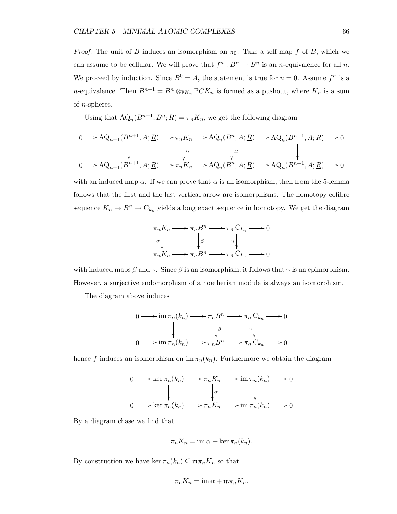*Proof.* The unit of B induces an isomorphism on  $\pi_0$ . Take a self map f of B, which we can assume to be cellular. We will prove that  $f^n : B^n \to B^n$  is an *n*-equivalence for all *n*. We proceed by induction. Since  $B^0 = A$ , the statement is true for  $n = 0$ . Assume  $f^n$  is a n-equivalence. Then  $B^{n+1} = B^n \otimes_{\mathbb{P}K_n} \mathbb{P}CK_n$  is formed as a pushout, where  $K_n$  is a sum of  $n$ -spheres.

Using that  $AQ_n(B^{n+1}, B^n; \underline{R}) = \pi_n K_n$ , we get the following diagram

$$
0 \longrightarrow \mathrm{AQ}_{n+1}(B^{n+1}, A; \underline{R}) \longrightarrow \pi_n K_n \longrightarrow \mathrm{AQ}_n(B^n, A; \underline{R}) \longrightarrow \mathrm{AQ}_n(B^{n+1}, A; \underline{R}) \longrightarrow 0
$$
  

$$
\downarrow \alpha \qquad \qquad \downarrow \cong \qquad \qquad \downarrow
$$
  

$$
0 \longrightarrow \mathrm{AQ}_{n+1}(B^{n+1}, A; \underline{R}) \longrightarrow \pi_n K_n \longrightarrow \mathrm{AQ}_n(B^n, A; \underline{R}) \longrightarrow \mathrm{AQ}_n(B^{n+1}, A; \underline{R}) \longrightarrow 0
$$

with an induced map  $\alpha$ . If we can prove that  $\alpha$  is an isomorphism, then from the 5-lemma follows that the first and the last vertical arrow are isomorphisms. The homotopy cofibre sequence  $K_n \to B^n \to \mathbb{C}_{k_n}$  yields a long exact sequence in homotopy. We get the diagram

$$
\pi_n K_n \longrightarrow \pi_n B^n \longrightarrow \pi_n C_{k_n} \longrightarrow 0
$$
  
\n
$$
\alpha \downarrow \qquad \qquad \beta \qquad \gamma \downarrow
$$
  
\n
$$
\pi_n K_n \longrightarrow \pi_n B^n \longrightarrow \pi_n C_{k_n} \longrightarrow 0
$$

with induced maps  $\beta$  and  $\gamma$ . Since  $\beta$  is an isomorphism, it follows that  $\gamma$  is an epimorphism. However, a surjective endomorphism of a noetherian module is always an isomorphism.

The diagram above induces

$$
0 \longrightarrow \operatorname{im} \pi_n(k_n) \longrightarrow \pi_n B^n \longrightarrow \pi_n C_{k_n} \longrightarrow 0
$$
  

$$
\downarrow \qquad \qquad \downarrow \qquad \qquad \downarrow
$$
  

$$
0 \longrightarrow \operatorname{im} \pi_n(k_n) \longrightarrow \pi_n B^n \longrightarrow \pi_n C_{k_n} \longrightarrow 0
$$

hence f induces an isomorphism on im  $\pi_n(k_n)$ . Furthermore we obtain the diagram

$$
0 \longrightarrow \ker \pi_n(k_n) \longrightarrow \pi_n K_n \longrightarrow \operatorname{im} \pi_n(k_n) \longrightarrow 0
$$
  

$$
\downarrow \alpha \qquad \qquad \downarrow
$$
  

$$
0 \longrightarrow \ker \pi_n(k_n) \longrightarrow \pi_n K_n \longrightarrow \operatorname{im} \pi_n(k_n) \longrightarrow 0
$$

By a diagram chase we find that

$$
\pi_n K_n = \operatorname{im} \alpha + \ker \pi_n(k_n).
$$

By construction we have ker  $\pi_n(k_n) \subseteq \mathfrak{m}\pi_n K_n$  so that

$$
\pi_n K_n = \operatorname{im} \alpha + \mathfrak{m} \pi_n K_n.
$$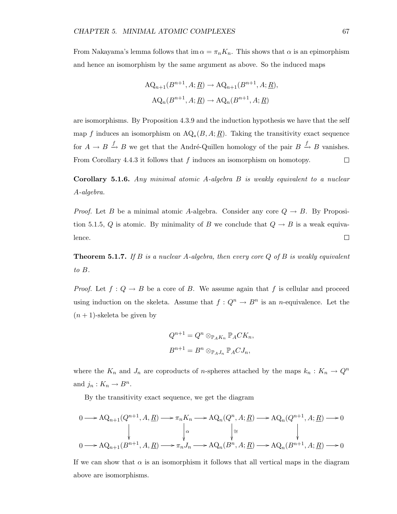From Nakayama's lemma follows that im  $\alpha = \pi_n K_n$ . This shows that  $\alpha$  is an epimorphism and hence an isomorphism by the same argument as above. So the induced maps

$$
AQ_{n+1}(B^{n+1}, A; \underline{R}) \to AQ_{n+1}(B^{n+1}, A; \underline{R}),
$$
  

$$
AQ_n(B^{n+1}, A; \underline{R}) \to AQ_n(B^{n+1}, A; \underline{R})
$$

are isomorphisms. By Proposition 4.3.9 and the induction hypothesis we have that the self map f induces an isomorphism on  $\text{AQ}_*(B, A; \underline{R})$ . Taking the transitivity exact sequence for  $A \to B \xrightarrow{f} B$  we get that the André-Quillen homology of the pair  $B \xrightarrow{f} B$  vanishes. From Corollary 4.4.3 it follows that  $f$  induces an isomorphism on homotopy.  $\Box$ 

Corollary 5.1.6. Any minimal atomic A-algebra B is weakly equivalent to a nuclear A-algebra.

*Proof.* Let B be a minimal atomic A-algebra. Consider any core  $Q \rightarrow B$ . By Proposition 5.1.5, Q is atomic. By minimality of B we conclude that  $Q \to B$  is a weak equiva- $\Box$ lence.

**Theorem 5.1.7.** If  $B$  is a nuclear  $A$ -algebra, then every core  $Q$  of  $B$  is weakly equivalent to B.

*Proof.* Let  $f: Q \to B$  be a core of B. We assume again that f is cellular and proceed using induction on the skeleta. Assume that  $f: Q^n \to B^n$  is an *n*-equivalence. Let the  $(n + 1)$ -skeleta be given by

$$
Q^{n+1} = Q^n \otimes_{\mathbb{P}_A K_n} \mathbb{P}_A C K_n,
$$
  

$$
B^{n+1} = B^n \otimes_{\mathbb{P}_A J_n} \mathbb{P}_A C J_n,
$$

where the  $K_n$  and  $J_n$  are coproducts of *n*-spheres attached by the maps  $k_n : K_n \to Q^n$ and  $j_n: K_n \to B^n$ .

By the transitivity exact sequence, we get the diagram

$$
0 \longrightarrow \mathrm{AQ}_{n+1}(Q^{n+1}, A, \underline{R}) \longrightarrow \pi_n K_n \longrightarrow \mathrm{AQ}_n(Q^n, A; \underline{R}) \longrightarrow \mathrm{AQ}_n(Q^{n+1}, A; \underline{R}) \longrightarrow 0
$$
  

$$
\downarrow \alpha \qquad \qquad \downarrow \cong \qquad \qquad \downarrow
$$
  

$$
0 \longrightarrow \mathrm{AQ}_{n+1}(B^{n+1}, A, \underline{R}) \longrightarrow \pi_n J_n \longrightarrow \mathrm{AQ}_n(B^n, A; \underline{R}) \longrightarrow \mathrm{AQ}_n(B^{n+1}, A; \underline{R}) \longrightarrow 0
$$

If we can show that  $\alpha$  is an isomorphism it follows that all vertical maps in the diagram above are isomorphisms.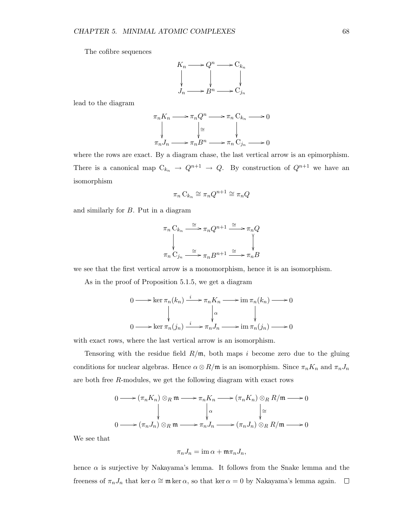The cofibre sequences

$$
K_n \longrightarrow Q^n \longrightarrow C_{k_n}
$$
  
\n
$$
\downarrow \qquad \qquad \downarrow
$$
  
\n
$$
J_n \longrightarrow B^n \longrightarrow C_{j_n}
$$

lead to the diagram

$$
\pi_n K_n \longrightarrow \pi_n Q^n \longrightarrow \pi_n C_{k_n} \longrightarrow 0
$$
\n
$$
\downarrow \cong \qquad \qquad \downarrow
$$
\n
$$
\pi_n J_n \longrightarrow \pi_n B^n \longrightarrow \pi_n C_{j_n} \longrightarrow 0
$$

where the rows are exact. By a diagram chase, the last vertical arrow is an epimorphism. There is a canonical map  $C_{k_n} \to Q^{n+1} \to Q$ . By construction of  $Q^{n+1}$  we have an isomorphism

$$
\pi_n \mathcal{C}_{k_n} \cong \pi_n Q^{n+1} \cong \pi_n Q
$$

and similarly for B. Put in a diagram

$$
\pi_n C_{k_n} \xrightarrow{\cong} \pi_n Q^{n+1} \xrightarrow{\cong} \pi_n Q
$$
\n
$$
\downarrow \qquad \qquad \downarrow
$$
\n
$$
\pi_n C_{j_n} \xrightarrow{\cong} \pi_n B^{n+1} \xrightarrow{\cong} \pi_n B
$$

we see that the first vertical arrow is a monomorphism, hence it is an isomorphism.

As in the proof of Proposition 5.1.5, we get a diagram

$$
0 \longrightarrow \ker \pi_n(k_n) \xrightarrow{i} \pi_n K_n \longrightarrow \operatorname{im} \pi_n(k_n) \longrightarrow 0
$$
  

$$
\downarrow \qquad \qquad \downarrow \qquad \qquad \downarrow
$$
  

$$
0 \longrightarrow \ker \pi_n(j_n) \xrightarrow{i} \pi_n J_n \longrightarrow \operatorname{im} \pi_n(j_n) \longrightarrow 0
$$

with exact rows, where the last vertical arrow is an isomorphism.

Tensoring with the residue field  $R/\mathfrak{m}$ , both maps i become zero due to the gluing conditions for nuclear algebras. Hence  $\alpha \otimes R/\mathfrak{m}$  is an isomorphism. Since  $\pi_n K_n$  and  $\pi_n J_n$ are both free R-modules, we get the following diagram with exact rows

$$
0 \longrightarrow (\pi_n K_n) \otimes_R \mathfrak{m} \longrightarrow \pi_n K_n \longrightarrow (\pi_n K_n) \otimes_R R/\mathfrak{m} \longrightarrow 0
$$
  

$$
\downarrow \alpha \qquad \downarrow \cong
$$
  

$$
0 \longrightarrow (\pi_n J_n) \otimes_R \mathfrak{m} \longrightarrow \pi_n J_n \longrightarrow (\pi_n J_n) \otimes_R R/\mathfrak{m} \longrightarrow 0
$$

We see that

$$
\pi_n J_n = \operatorname{im} \alpha + \mathfrak{m} \pi_n J_n,
$$

hence  $\alpha$  is surjective by Nakayama's lemma. It follows from the Snake lemma and the freeness of  $\pi_n J_n$  that ker  $\alpha \cong \mathfrak{m}$  ker  $\alpha$ , so that ker  $\alpha = 0$  by Nakayama's lemma again.  $\Box$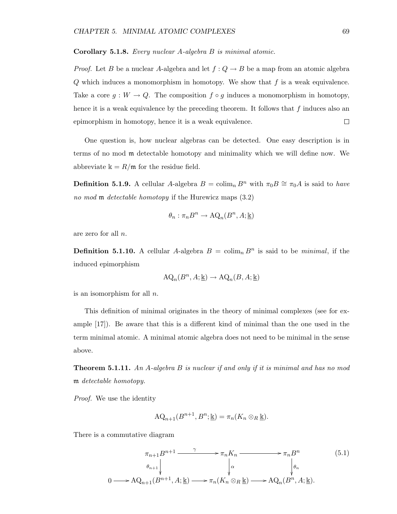Corollary 5.1.8. Every nuclear A-algebra B is minimal atomic.

*Proof.* Let B be a nuclear A-algebra and let  $f: Q \to B$  be a map from an atomic algebra  $Q$  which induces a monomorphism in homotopy. We show that  $f$  is a weak equivalence. Take a core  $g: W \to Q$ . The composition  $f \circ g$  induces a monomorphism in homotopy, hence it is a weak equivalence by the preceding theorem. It follows that  $f$  induces also an epimorphism in homotopy, hence it is a weak equivalence.  $\Box$ 

One question is, how nuclear algebras can be detected. One easy description is in terms of no mod m detectable homotopy and minimality which we will define now. We abbreviate  $\mathbf{k} = R/\mathfrak{m}$  for the residue field.

**Definition 5.1.9.** A cellular A-algebra  $B = \text{colim}_n B^n$  with  $\pi_0 B \cong \pi_0 A$  is said to have no mod **m** detectable homotopy if the Hurewicz maps  $(3.2)$ 

$$
\theta_n : \pi_n B^n \to \mathrm{AQ}_n(B^n,A;\underline{\Bbbk})
$$

are zero for all n.

**Definition 5.1.10.** A cellular A-algebra  $B = \text{colim}_n B^n$  is said to be *minimal*, if the induced epimorphism

$$
\mathrm{AQ}_n(B^n, A; \underline{\mathbb{k}}) \to \mathrm{AQ}_n(B, A; \underline{\mathbb{k}})
$$

is an isomorphism for all n.

This definition of minimal originates in the theory of minimal complexes (see for example [17]). Be aware that this is a different kind of minimal than the one used in the term minimal atomic. A minimal atomic algebra does not need to be minimal in the sense above.

**Theorem 5.1.11.** An A-algebra B is nuclear if and only if it is minimal and has no mod m detectable homotopy.

Proof. We use the identity

0

$$
\mathrm{AQ}_{n+1}(B^{n+1},B^{n};\underline{\mathbb{k}})=\pi_{n}(K_{n}\otimes_{R}\underline{\mathbb{k}}).
$$

There is a commutative diagram

$$
\pi_{n+1}B^{n+1} \xrightarrow{\gamma} \pi_n K_n \xrightarrow{\gamma} \pi_n B^n \qquad (5.1)
$$
\n
$$
\theta_{n+1} \downarrow \qquad \qquad \downarrow \alpha \qquad \qquad \downarrow \theta_n
$$
\n
$$
\longrightarrow \text{AQ}_{n+1}(B^{n+1}, A; \underline{\mathbb{k}}) \longrightarrow \pi_n(K_n \otimes_R \underline{\mathbb{k}}) \longrightarrow \text{AQ}_n(B^n, A; \underline{\mathbb{k}}).
$$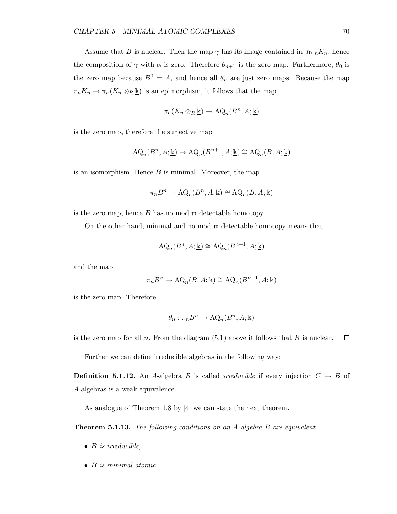Assume that B is nuclear. Then the map  $\gamma$  has its image contained in  $\mathfrak{m}\pi_n K_n$ , hence the composition of  $\gamma$  with  $\alpha$  is zero. Therefore  $\theta_{n+1}$  is the zero map. Furthermore,  $\theta_0$  is the zero map because  $B^0 = A$ , and hence all  $\theta_n$  are just zero maps. Because the map  $\pi_n K_n \to \pi_n(K_n \otimes_R \underline{\mathbb{k}})$  is an epimorphism, it follows that the map

$$
\pi_n(K_n \otimes_R \underline{\mathbb{k}}) \to \mathrm{AQ}_n(B^n, A; \underline{\mathbb{k}})
$$

is the zero map, therefore the surjective map

$$
\mathrm{AQ}_n(B^n,A;\underline{\Bbbk}) \to \mathrm{AQ}_n(B^{n+1},A;\underline{\Bbbk}) \cong \mathrm{AQ}_n(B,A;\underline{\Bbbk})
$$

is an isomorphism. Hence  $B$  is minimal. Moreover, the map

$$
\pi_n B^n \to \mathrm{AQ}_n(B^n, A; \underline{\mathbb{k}}) \cong \mathrm{AQ}_n(B, A; \underline{\mathbb{k}})
$$

is the zero map, hence  $B$  has no mod  $\mathfrak{m}$  detectable homotopy.

On the other hand, minimal and no mod m detectable homotopy means that

$$
AQ_n(B^n, A; \underline{\mathbb{k}}) \cong AQ_n(B^{n+1}, A; \underline{\mathbb{k}})
$$

and the map

$$
\pi_n B^n \to \mathrm{AQ}_n(B, A; \underline{\mathbb{k}}) \cong \mathrm{AQ}_n(B^{n+1}, A; \underline{\mathbb{k}})
$$

is the zero map. Therefore

$$
\theta_n: \pi_n B^n \to \mathrm{AQ}_n(B^n,A;\underline{\Bbbk})
$$

is the zero map for all  $n$ . From the diagram  $(5.1)$  above it follows that  $B$  is nuclear.  $\Box$ 

Further we can define irreducible algebras in the following way:

**Definition 5.1.12.** An A-algebra B is called *irreducible* if every injection  $C \rightarrow B$  of A-algebras is a weak equivalence.

As analogue of Theorem 1.8 by [4] we can state the next theorem.

**Theorem 5.1.13.** The following conditions on an A-algebra B are equivalent

- $\bullet$  B is irreducible,
- B is minimal atomic.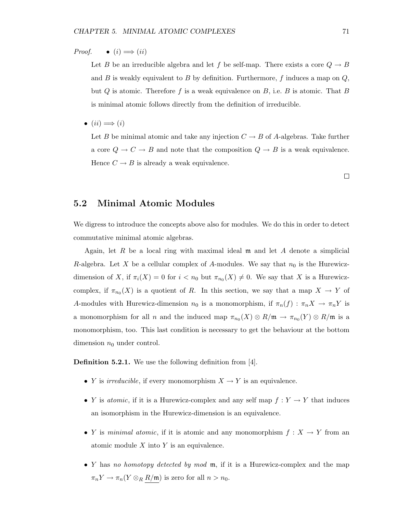*Proof.* •  $(i) \Longrightarrow (ii)$ 

Let B be an irreducible algebra and let f be self-map. There exists a core  $Q \to B$ and  $B$  is weakly equivalent to  $B$  by definition. Furthermore,  $f$  induces a map on  $Q$ , but Q is atomic. Therefore f is a weak equivalence on  $B$ , i.e. B is atomic. That B is minimal atomic follows directly from the definition of irreducible.

•  $(ii) \Longrightarrow (i)$ 

Let B be minimal atomic and take any injection  $C \rightarrow B$  of A-algebras. Take further a core  $Q \to C \to B$  and note that the composition  $Q \to B$  is a weak equivalence. Hence  $C \rightarrow B$  is already a weak equivalence.

 $\Box$ 

### 5.2 Minimal Atomic Modules

We digress to introduce the concepts above also for modules. We do this in order to detect commutative minimal atomic algebras.

Again, let R be a local ring with maximal ideal  $\mathfrak m$  and let A denote a simplicial R-algebra. Let X be a cellular complex of A-modules. We say that  $n_0$  is the Hurewiczdimension of X, if  $\pi_i(X) = 0$  for  $i < n_0$  but  $\pi_{n_0}(X) \neq 0$ . We say that X is a Hurewiczcomplex, if  $\pi_{n_0}(X)$  is a quotient of R. In this section, we say that a map  $X \to Y$  of A-modules with Hurewicz-dimension  $n_0$  is a monomorphism, if  $\pi_n(f) : \pi_n X \to \pi_n Y$  is a monomorphism for all n and the induced map  $\pi_{n_0}(X) \otimes R/\mathfrak{m} \to \pi_{n_0}(Y) \otimes R/\mathfrak{m}$  is a monomorphism, too. This last condition is necessary to get the behaviour at the bottom dimension  $n_0$  under control.

Definition 5.2.1. We use the following definition from [4].

- Y is *irreducible*, if every monomorphism  $X \to Y$  is an equivalence.
- Y is *atomic*, if it is a Hurewicz-complex and any self map  $f: Y \to Y$  that induces an isomorphism in the Hurewicz-dimension is an equivalence.
- Y is minimal atomic, if it is atomic and any monomorphism  $f: X \to Y$  from an atomic module  $X$  into  $Y$  is an equivalence.
- Y has no homotopy detected by mod  $\mathfrak{m}$ , if it is a Hurewicz-complex and the map  $\pi_n Y \to \pi_n(Y \otimes_R R/\mathfrak{m})$  is zero for all  $n > n_0$ .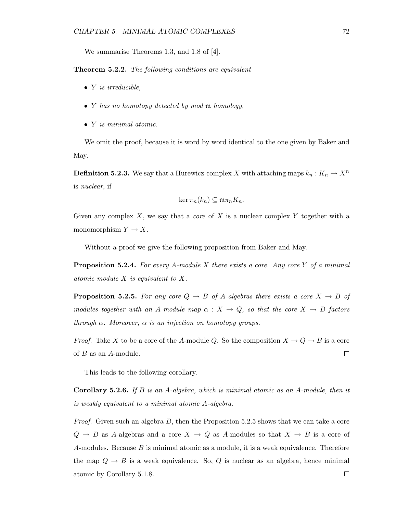We summarise Theorems 1.3, and 1.8 of [4].

Theorem 5.2.2. The following conditions are equivalent

- $\bullet$  *Y* is irreducible,
- Y has no homotopy detected by mod m homology,
- Y is minimal atomic.

We omit the proof, because it is word by word identical to the one given by Baker and May.

**Definition 5.2.3.** We say that a Hurewicz-complex X with attaching maps  $k_n : K_n \to X^n$ is nuclear, if

$$
\ker \pi_n(k_n) \subseteq \mathfrak{m}\pi_n K_n.
$$

Given any complex X, we say that a *core* of X is a nuclear complex Y together with a monomorphism  $Y \to X$ .

Without a proof we give the following proposition from Baker and May.

**Proposition 5.2.4.** For every A-module X there exists a core. Any core Y of a minimal atomic module X is equivalent to X.

**Proposition 5.2.5.** For any core  $Q \rightarrow B$  of A-algebras there exists a core  $X \rightarrow B$  of modules together with an A-module map  $\alpha : X \to Q$ , so that the core  $X \to B$  factors through  $\alpha$ . Moreover,  $\alpha$  is an injection on homotopy groups.

*Proof.* Take X to be a core of the A-module Q. So the composition  $X \to Q \to B$  is a core of B as an A-module.  $\Box$ 

This leads to the following corollary.

**Corollary 5.2.6.** If B is an A-algebra, which is minimal atomic as an A-module, then it is weakly equivalent to a minimal atomic A-algebra.

*Proof.* Given such an algebra  $B$ , then the Proposition 5.2.5 shows that we can take a core  $Q \rightarrow B$  as A-algebras and a core  $X \rightarrow Q$  as A-modules so that  $X \rightarrow B$  is a core of A-modules. Because  $B$  is minimal atomic as a module, it is a weak equivalence. Therefore the map  $Q \to B$  is a weak equivalence. So, Q is nuclear as an algebra, hence minimal atomic by Corollary 5.1.8. $\Box$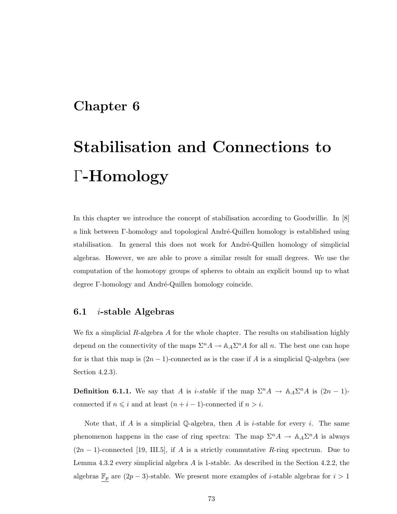### Chapter 6

# Stabilisation and Connections to Γ-Homology

In this chapter we introduce the concept of stabilisation according to Goodwillie. In [8] a link between Γ-homology and topological André-Quillen homology is established using stabilisation. In general this does not work for André-Quillen homology of simplicial algebras. However, we are able to prove a similar result for small degrees. We use the computation of the homotopy groups of spheres to obtain an explicit bound up to what degree Γ-homology and André-Quillen homology coincide.

### 6.1 *i*-stable Algebras

We fix a simplicial R-algebra A for the whole chapter. The results on stabilisation highly depend on the connectivity of the maps  $\Sigma^n A \to A_A \Sigma^n A$  for all n. The best one can hope for is that this map is  $(2n - 1)$ -connected as is the case if A is a simplicial Q-algebra (see Section 4.2.3).

**Definition 6.1.1.** We say that A is *i-stable* if the map  $\Sigma^n A \to A_A \Sigma^n A$  is  $(2n - 1)$ connected if  $n \leq i$  and at least  $(n + i - 1)$ -connected if  $n > i$ .

Note that, if A is a simplicial Q-algebra, then A is *i*-stable for every *i*. The same phenomenon happens in the case of ring spectra: The map  $\Sigma^n A \to \mathbb{A}_A \Sigma^n A$  is always  $(2n-1)$ -connected [19, III.5], if A is a strictly commutative R-ring spectrum. Due to Lemma 4.3.2 every simplicial algebra A is 1-stable. As described in the Section 4.2.2, the algebras  $\underline{\mathbb{F}_p}$  are  $(2p-3)$ -stable. We present more examples of *i*-stable algebras for  $i > 1$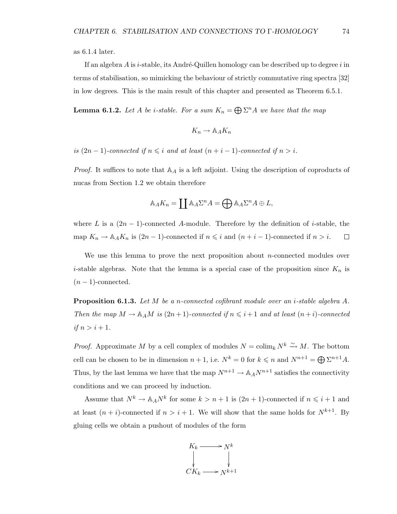as 6.1.4 later.

If an algebra A is i-stable, its André-Quillen homology can be described up to degree i in terms of stabilisation, so mimicking the behaviour of strictly commutative ring spectra [32] in low degrees. This is the main result of this chapter and presented as Theorem 6.5.1.

**Lemma 6.1.2.** Let A be *i*-stable. For a sum  $K_n = \bigoplus \Sigma^n A$  we have that the map

$$
K_n \to \mathbb{A}_A K_n
$$

is  $(2n-1)$ -connected if  $n \leq i$  and at least  $(n+i-1)$ -connected if  $n > i$ .

*Proof.* It suffices to note that  $\mathbb{A}_A$  is a left adjoint. Using the description of coproducts of nucas from Section 1.2 we obtain therefore

$$
\mathbb{A}_A K_n = \coprod \mathbb{A}_A \Sigma^n A = \bigoplus \mathbb{A}_A \Sigma^n A \oplus L,
$$

where L is a  $(2n-1)$ -connected A-module. Therefore by the definition of i-stable, the map  $K_n \to \mathbb{A}_A K_n$  is  $(2n-1)$ -connected if  $n \leq i$  and  $(n+i-1)$ -connected if  $n > i$ .  $\Box$ 

We use this lemma to prove the next proposition about  $n$ -connected modules over *i*-stable algebras. Note that the lemma is a special case of the proposition since  $K_n$  is  $(n-1)$ -connected.

**Proposition 6.1.3.** Let M be a n-connected cofibrant module over an *i*-stable algebra A. Then the map  $M \to \mathbb{A}_A M$  is  $(2n+1)$ -connected if  $n \leq i+1$  and at least  $(n+i)$ -connected if  $n > i + 1$ .

*Proof.* Approximate M by a cell complex of modules  $N = \text{colim}_k N^k \stackrel{\sim}{\rightarrow} M$ . The bottom cell can be chosen to be in dimension  $n+1$ , i.e.  $N^k = 0$  for  $k \leq n$  and  $N^{n+1} = \bigoplus \Sigma^{n+1} A$ . Thus, by the last lemma we have that the map  $N^{n+1} \to \mathbb{A}_A N^{n+1}$  satisfies the connectivity conditions and we can proceed by induction.

Assume that  $N^k \to A_A N^k$  for some  $k > n + 1$  is  $(2n + 1)$ -connected if  $n \leq i + 1$  and at least  $(n + i)$ -connected if  $n > i + 1$ . We will show that the same holds for  $N^{k+1}$ . By gluing cells we obtain a pushout of modules of the form

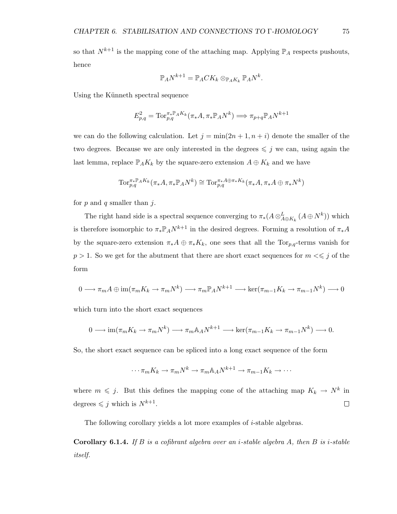so that  $N^{k+1}$  is the mapping cone of the attaching map. Applying  $\mathbb{P}_A$  respects pushouts, hence

$$
\mathbb{P}_A N^{k+1} = \mathbb{P}_A C K_k \otimes_{\mathbb{P}_A K_k} \mathbb{P}_A N^k.
$$

Using the Künneth spectral sequence

$$
E_{p,q}^2 = \text{Tor}_{p,q}^{\pi_* \mathbb{P}_A K_k}(\pi_* A, \pi_* \mathbb{P}_A N^k) \Longrightarrow \pi_{p+q} \mathbb{P}_A N^{k+1}
$$

we can do the following calculation. Let  $j = \min(2n + 1, n + i)$  denote the smaller of the two degrees. Because we are only interested in the degrees  $\leq j$  we can, using again the last lemma, replace  $\mathbb{P}_A K_k$  by the square-zero extension  $A \oplus K_k$  and we have

$$
\text{Tor}_{p,q}^{\pi_{*}\mathbb{P}_{A}K_{k}}(\pi_{*}A,\pi_{*}\mathbb{P}_{A}N^{k})\cong \text{Tor}_{p,q}^{\pi_{*}A\oplus\pi_{*}K_{k}}(\pi_{*}A,\pi_{*}A\oplus\pi_{*}N^{k})
$$

for  $p$  and  $q$  smaller than  $j$ .

The right hand side is a spectral sequence converging to  $\pi_*(A \otimes_{A \oplus K_k}^L (A \oplus N^k))$  which is therefore isomorphic to  $\pi_* \mathbb{P}_A N^{k+1}$  in the desired degrees. Forming a resolution of  $\pi_* A$ by the square-zero extension  $\pi_*A \oplus \pi_*K_k$ , one sees that all the Tor<sub>p,q</sub>-terms vanish for  $p>1.$  So we get for the abutment that there are short exact sequences for  $m<\leqslant j$  of the form

$$
0 \longrightarrow \pi_m A \oplus \text{im}(\pi_m K_k \to \pi_m N^k) \longrightarrow \pi_m \mathbb{P}_A N^{k+1} \longrightarrow \text{ker}(\pi_{m-1} K_k \to \pi_{m-1} N^k) \longrightarrow 0
$$

which turn into the short exact sequences

$$
0 \longrightarrow \text{im}(\pi_m K_k \to \pi_m N^k) \longrightarrow \pi_m \mathbb{A}_A N^{k+1} \longrightarrow \text{ker}(\pi_{m-1} K_k \to \pi_{m-1} N^k) \longrightarrow 0.
$$

So, the short exact sequence can be spliced into a long exact sequence of the form

$$
\cdots \pi_m K_k \to \pi_m N^k \to \pi_m \mathbb{A}_A N^{k+1} \to \pi_{m-1} K_k \to \cdots
$$

where  $m \leq j$ . But this defines the mapping cone of the attaching map  $K_k \to N^k$  in degrees  $\leqslant j$  which is  $N^{k+1}$ .  $\Box$ 

The following corollary yields a lot more examples of  $i$ -stable algebras.

**Corollary 6.1.4.** If B is a cofibrant algebra over an *i*-stable algebra A, then B is *i*-stable itself.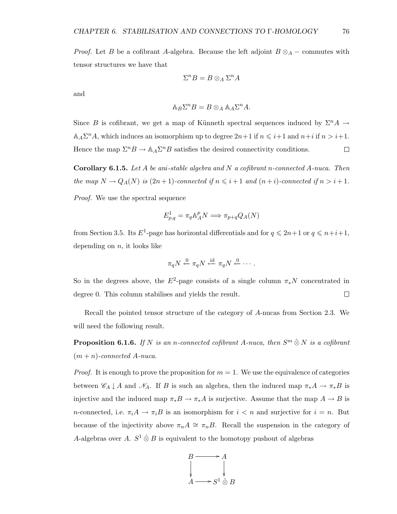*Proof.* Let B be a cofibrant A-algebra. Because the left adjoint  $B \otimes_A -$  commutes with tensor structures we have that

$$
\Sigma^n B = B \otimes_A \Sigma^n A
$$

and

$$
\mathbb{A}_B \Sigma^n B = B \otimes_A \mathbb{A}_A \Sigma^n A.
$$

Since B is cofibrant, we get a map of Künneth spectral sequences induced by  $\Sigma^n A \to$  $\mathbb{A}_A \Sigma^n A$ , which induces an isomorphism up to degree  $2n+1$  if  $n \leq i+1$  and  $n+i$  if  $n > i+1$ . Hence the map  $\Sigma^n B \to \mathbb{A}_A \Sigma^n B$  satisfies the desired connectivity conditions.  $\Box$ 

**Corollary 6.1.5.** Let A be ani-stable algebra and N a cofibrant n-connected A-nuca. Then the map  $N \to Q_A(N)$  is  $(2n+1)$ -connected if  $n \leq i+1$  and  $(n+i)$ -connected if  $n > i+1$ . Proof. We use the spectral sequence

$$
E^1_{p,q} = \pi_q \mathbb{A}_A^p N \Longrightarrow \pi_{p+q} Q_A(N)
$$

from Section 3.5. Its  $E^1$ -page has horizontal differentials and for  $q \leq 2n+1$  or  $q \leq n+i+1$ , depending on  $n$ , it looks like

$$
\pi_q N \stackrel{0}{\leftarrow} \pi_q N \stackrel{\text{id}}{\leftarrow} \pi_q N \stackrel{0}{\leftarrow} \cdots.
$$

So in the degrees above, the  $E^2$ -page consists of a single column  $\pi_* N$  concentrated in  $\Box$ degree 0. This column stabilises and yields the result.

Recall the pointed tensor structure of the category of A-nucas from Section 2.3. We will need the following result.

**Proposition 6.1.6.** If N is an n-connected cofibrant A-nuca, then  $S^m \hat{\otimes} N$  is a cofibrant  $(m + n)$ -connected A-nuca.

*Proof.* It is enough to prove the proposition for  $m = 1$ . We use the equivalence of categories between  $\mathscr{C}_A \downarrow A$  and  $\mathscr{N}_A$ . If B is such an algebra, then the induced map  $\pi_* A \to \pi_* B$  is injective and the induced map  $\pi_* B \to \pi_* A$  is surjective. Assume that the map  $A \to B$  is n-connected, i.e.  $\pi_i A \to \pi_i B$  is an isomorphism for  $i < n$  and surjective for  $i = n$ . But because of the injectivity above  $\pi_n A \cong \pi_n B$ . Recall the suspension in the category of A-algebras over A.  $S^1 \hat{\otimes} B$  is equivalent to the homotopy pushout of algebras

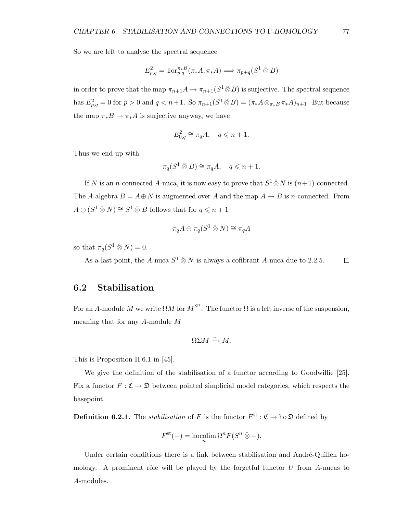So we are left to analyse the spectral sequence

$$
E_{p,q}^2 = \text{Tor}_{p,q}^{\pi *B}(\pi_*A, \pi_*A) \Longrightarrow \pi_{p+q}(S^1 \hat{\otimes} B)
$$

in order to prove that the map  $\pi_{n+1}A \to \pi_{n+1}(S^1 \hat{\otimes} B)$  is surjective. The spectral sequence has  $E_{p,q}^2 = 0$  for  $p > 0$  and  $q < n+1$ . So  $\pi_{n+1}(S^1 \hat{\otimes} B) = (\pi_* A \otimes_{\pi_* B} \pi_* A)_{n+1}$ . But because the map  $\pi_* B \to \pi_* A$  is surjective anyway, we have

$$
E_{0,q}^2 \cong \pi_q A, \quad q \leqslant n+1.
$$

Thus we end up with

$$
\pi_q(S^1 \mathbin{\hat{\otimes}} B) \cong \pi_q A, \quad q \leqslant n+1.
$$

If N is an n-connected A-nuca, it is now easy to prove that  $S^1 \hat{\otimes} N$  is  $(n+1)$ -connected. The A-algebra  $B = A \oplus N$  is augmented over A and the map  $A \rightarrow B$  is n-connected. From  $A \oplus (S^1 \hat{\otimes} N) \cong S^1 \hat{\otimes} B$  follows that for  $q \leq n+1$ 

$$
\pi_q A \oplus \pi_q (S^1 \mathbin{\hat{\otimes}} N) \cong \pi_q A
$$

so that  $\pi_q(S^1 \mathbin{\hat{\otimes}} N) = 0$ .

As a last point, the A-nuca  $S^1 \hat{\otimes} N$  is always a cofibrant A-nuca due to 2.2.5.  $\Box$ 

### 6.2 Stabilisation

For an A-module M we write  $\Omega M$  for  $M^{S^1}$ . The functor  $\Omega$  is a left inverse of the suspension, meaning that for any A-module M

$$
\Omega\Sigma M \xrightarrow{\sim} M.
$$

This is Proposition II.6.1 in [45].

We give the definition of the stabilisation of a functor according to Goodwillie [25]. Fix a functor  $F: \mathfrak{C} \to \mathfrak{D}$  between pointed simplicial model categories, which respects the basepoint.

**Definition 6.2.1.** The *stabilisation* of F is the functor  $F^{\text{st}} : \mathfrak{C} \to \text{ho } \mathfrak{D}$  defined by

$$
F^{\rm st}(-) = \operatorname*{hocolim}_{n} \Omega^{n} F(S^{n} \hat{\otimes} -).
$$

Under certain conditions there is a link between stabilisation and André-Quillen homology. A prominent rôle will be played by the forgetful functor  $U$  from A-nucas to A-modules.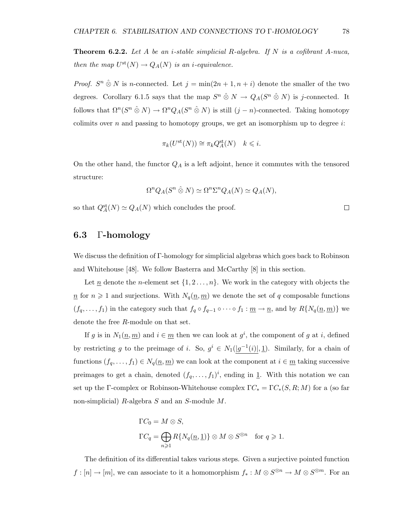**Theorem 6.2.2.** Let A be an *i*-stable simplicial R-algebra. If N is a cofibrant A-nuca, then the map  $U^{st}(N) \to Q_A(N)$  is an *i*-equivalence.

*Proof.*  $S^n \hat{\otimes} N$  is n-connected. Let  $j = \min(2n + 1, n + i)$  denote the smaller of the two degrees. Corollary 6.1.5 says that the map  $S^n \otimes N \to Q_A(S^n \otimes N)$  is j-connected. It follows that  $\Omega^n(S^n \otimes N) \to \Omega^n Q_A(S^n \otimes N)$  is still  $(j - n)$ -connected. Taking homotopy colimits over n and passing to homotopy groups, we get an isomorphism up to degree  $i$ :

$$
\pi_k(U^{\text{st}}(N)) \cong \pi_k Q_A^{\text{st}}(N) \quad k \leqslant i.
$$

On the other hand, the functor  $Q_A$  is a left adjoint, hence it commutes with the tensored structure:

$$
\Omega^n Q_A(S^n \hat{\otimes} N) \simeq \Omega^n \Sigma^n Q_A(N) \simeq Q_A(N),
$$

so that  $Q_A^{\text{st}}(N) \simeq Q_A(N)$  which concludes the proof.

### 6.3 Γ-homology

We discuss the definition of Γ-homology for simplicial algebras which goes back to Robinson and Whitehouse [48]. We follow Basterra and McCarthy [8] in this section.

Let  $\underline{n}$  denote the *n*-element set  $\{1, 2, ..., n\}$ . We work in the category with objects the  $n \geq 1$  and surjections. With  $N_q(n, m)$  we denote the set of q composable functions  $(f_q, \ldots, f_1)$  in the category such that  $f_q \circ f_{q-1} \circ \cdots \circ f_1 : \underline{m} \to \underline{n}$ , and by  $R\{N_q(\underline{n}, \underline{m})\}$  we denote the free R-module on that set.

If g is in  $N_1(\underline{n}, \underline{m})$  and  $i \in \underline{m}$  then we can look at  $g^i$ , the component of g at i, defined by restricting g to the preimage of i. So,  $g^i \in N_1(|g^{-1}(i)|, \underline{1})$ . Similarly, for a chain of functions  $(f_q, \ldots, f_1) \in N_q(\underline{n}, \underline{m})$  we can look at the component at  $i \in \underline{m}$  taking successive preimages to get a chain, denoted  $(f_q, \ldots, f_1)^i$ , ending in 1. With this notation we can set up the Γ-complex or Robinson-Whitehouse complex  $\Gamma C_* = \Gamma C_*(S, R; M)$  for a (so far non-simplicial) R-algebra S and an S-module M.

$$
\Gamma C_0 = M \otimes S,
$$
  
\n
$$
\Gamma C_q = \bigoplus_{n \geq 1} R\{N_q(\underline{n}, \underline{1})\} \otimes M \otimes S^{\otimes n} \text{ for } q \geq 1.
$$

The definition of its differential takes various steps. Given a surjective pointed function  $f: [n] \to [m]$ , we can associate to it a homomorphism  $f_*: M \otimes S^{\otimes n} \to M \otimes S^{\otimes m}$ . For an

 $\Box$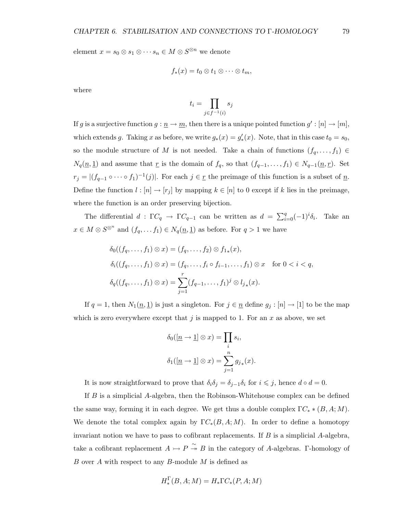element  $x = s_0 \otimes s_1 \otimes \cdots s_n \in M \otimes S^{\otimes n}$  we denote

$$
f_*(x) = t_0 \otimes t_1 \otimes \cdots \otimes t_m,
$$

where

$$
t_i = \prod_{j \in f^{-1}(i)} s_j
$$

If g is a surjective function  $g: \underline{n} \to \underline{m}$ , then there is a unique pointed function  $g' : [n] \to [m]$ , which extends g. Taking x as before, we write  $g_*(x) = g'_*(x)$ . Note, that in this case  $t_0 = s_0$ , so the module structure of M is not needed. Take a chain of functions  $(f_q, \ldots, f_1) \in$  $N_q(\underline{n}, \underline{1})$  and assume that  $\underline{r}$  is the domain of  $f_q$ , so that  $(f_{q-1}, \ldots, f_1) \in N_{q-1}(\underline{n}, \underline{r})$ . Set  $r_j = |(f_{q-1} \circ \cdots \circ f_1)^{-1}(j)|$ . For each  $j \in \underline{r}$  the preimage of this function is a subset of  $\underline{n}$ . Define the function  $l : [n] \rightarrow [r_j]$  by mapping  $k \in [n]$  to 0 except if k lies in the preimage, where the function is an order preserving bijection.

The differential  $d: \Gamma C_q \to \Gamma C_{q-1}$  can be written as  $d = \sum_{i=0}^q (-1)^i \delta_i$ . Take an  $x \in M \otimes S^{\otimes^n}$  and  $(f_q, \ldots, f_1) \in N_q(\underline{n}, \underline{1})$  as before. For  $q > 1$  we have

$$
\delta_0((f_q, \ldots, f_1) \otimes x) = (f_q, \ldots, f_2) \otimes f_{1*}(x),
$$
  
\n
$$
\delta_i((f_q, \ldots, f_1) \otimes x) = (f_q, \ldots, f_i \circ f_{i-1}, \ldots, f_1) \otimes x \text{ for } 0 < i < q,
$$
  
\n
$$
\delta_q((f_q, \ldots, f_1) \otimes x) = \sum_{j=1}^r (f_{q-1}, \ldots, f_1)^j \otimes l_{j*}(x).
$$

If  $q = 1$ , then  $N_1(\underline{n}, \underline{1})$  is just a singleton. For  $j \in \underline{n}$  define  $g_j : [n] \to [1]$  to be the map which is zero everywhere except that j is mapped to 1. For an  $x$  as above, we set

$$
\delta_0([\underline{n} \to \underline{1}] \otimes x) = \prod_i s_i,
$$
  

$$
\delta_1([\underline{n} \to \underline{1}] \otimes x) = \sum_{j=1}^n g_{j*}(x).
$$

It is now straightforward to prove that  $\delta_i \delta_j = \delta_{j-1} \delta_i$  for  $i \leq j$ , hence  $d \circ d = 0$ .

If B is a simplicial A-algebra, then the Robinson-Whitehouse complex can be defined the same way, forming it in each degree. We get thus a double complex  $\Gamma C_* * (B, A; M)$ . We denote the total complex again by  $\Gamma C_*(B, A; M)$ . In order to define a homotopy invariant notion we have to pass to cofibrant replacements. If  $B$  is a simplicial  $A$ -algebra, take a cofibrant replacement  $A \rightarrow P \stackrel{\sim}{\rightarrow} B$  in the category of A-algebras. Γ-homology of B over A with respect to any B-module M is defined as

$$
H^{\Gamma}_{*}(B, A; M) = H_{*}\Gamma C_{*}(P, A; M)
$$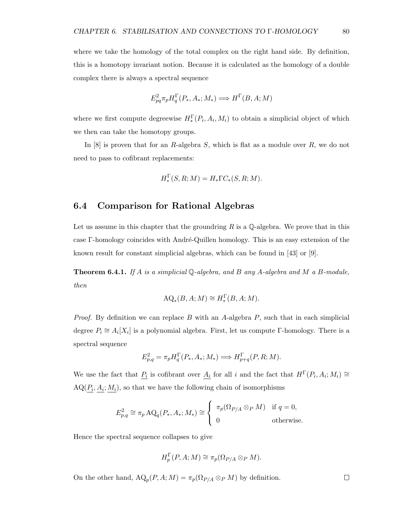where we take the homology of the total complex on the right hand side. By definition, this is a homotopy invariant notion. Because it is calculated as the homology of a double complex there is always a spectral sequence

$$
E_{pq}^2 \pi_p H_q^{\Gamma}(P_*, A_*; M_*) \Longrightarrow H^{\Gamma}(B, A; M)
$$

where we first compute degreewise  $H_*^{\Gamma}(P_i, A_i, M_i)$  to obtain a simplicial object of which we then can take the homotopy groups.

In  $[8]$  is proven that for an R-algebra S, which is flat as a module over R, we do not need to pass to cofibrant replacements:

$$
H^{\Gamma}_{*}(S, R; M) = H_{*} \Gamma C_{*}(S, R; M).
$$

#### 6.4 Comparison for Rational Algebras

Let us assume in this chapter that the groundring  $R$  is a  $\mathbb Q$ -algebra. We prove that in this case Γ-homology coincides with Andr´e-Quillen homology. This is an easy extension of the known result for constant simplicial algebras, which can be found in [43] or [9].

**Theorem 6.4.1.** If A is a simplicial Q-algebra, and B any A-algebra and M a B-module, then

$$
\mathrm{AQ}_*(B, A; M) \cong H_*^{\Gamma}(B, A; M).
$$

*Proof.* By definition we can replace B with an A-algebra  $P$ , such that in each simplicial degree  $P_i \cong A_i[X_i]$  is a polynomial algebra. First, let us compute Γ-homology. There is a spectral sequence

$$
E^2_{p,q} = \pi_p H^{\Gamma}_q(P_*,A_*;M_*) \Longrightarrow H^{\Gamma}_{p+q}(P,R;M).
$$

We use the fact that  $P_i$  is cofibrant over  $A_i$  for all i and the fact that  $H^{\Gamma}(P_i, A_i; M_i) \cong$  $AQ(\underline{P_i}, \underline{A_i}; \underline{M_i})$ , so that we have the following chain of isomorphisms

$$
E_{p,q}^2 \cong \pi_p \operatorname{AQ}_q(P_*, A_*; M_*) \cong \begin{cases} \pi_p(\Omega_{P/A} \otimes_P M) & \text{if } q = 0, \\ 0 & \text{otherwise.} \end{cases}
$$

Hence the spectral sequence collapses to give

$$
H_p^{\Gamma}(P, A; M) \cong \pi_p(\Omega_{P/A} \otimes_P M).
$$

On the other hand,  $\text{AQ}_p(P, A; M) = \pi_p(\Omega_{P/A} \otimes_P M)$  by definition.

 $\Box$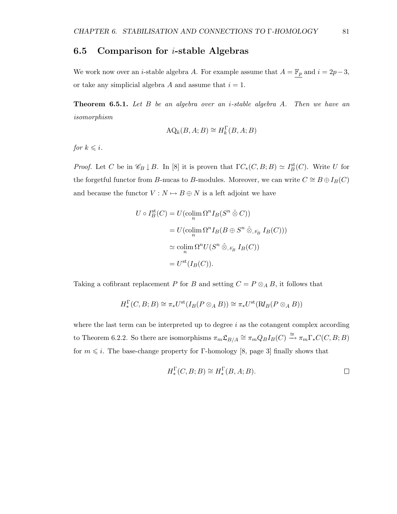### 6.5 Comparison for  $i$ -stable Algebras

We work now over an *i*-stable algebra A. For example assume that  $A = \mathbb{F}_p$  and  $i = 2p-3$ , or take any simplicial algebra A and assume that  $i = 1$ .

**Theorem 6.5.1.** Let  $B$  be an algebra over an *i*-stable algebra  $A$ . Then we have an isomorphism

$$
\text{AQ}_k(B, A; B) \cong H_k^{\Gamma}(B, A; B)
$$

for  $k \leq i$ .

*Proof.* Let C be in  $\mathscr{C}_B \downarrow B$ . In [8] it is proven that  $\Gamma C_*(C, B; B) \simeq I_B^{\text{st}}(C)$ . Write U for the forgetful functor from B-nucas to B-modules. Moreover, we can write  $C \cong B \oplus I_B(C)$ and because the functor  $V : N \mapsto B \oplus N$  is a left adjoint we have

$$
U \circ I_B^{\text{st}}(C) = U(\operatorname{colim}_{n} \Omega^{n} I_B(S^{n} \hat{\otimes} C))
$$
  
=  $U(\operatorname{colim}_{n} \Omega^{n} I_B(B \oplus S^{n} \hat{\otimes}_{\mathscr{N}_B} I_B(C)))$   
 $\simeq \operatorname{colim}_{n} \Omega^{n} U(S^{n} \hat{\otimes}_{\mathscr{N}_B} I_B(C))$   
=  $U^{\text{st}}(I_B(C)).$ 

Taking a cofibrant replacement P for B and setting  $C = P \otimes_A B$ , it follows that

$$
H^{\Gamma}_{*}(C, B; B) \cong \pi_{*}U^{\text{st}}(I_{B}(P \otimes_{A} B)) \cong \pi_{*}U^{\text{st}}(\text{R}I_{B}(P \otimes_{A} B))
$$

where the last term can be interpreted up to degree  $i$  as the cotangent complex according to Theorem 6.2.2. So there are isomorphisms  $\pi_m \mathfrak{L}_{B/A} \cong \pi_m Q_B I_B(C) \xrightarrow{\cong} \pi_m \Gamma_* C(C, B; B)$ for  $m \leq i$ . The base-change property for Γ-homology [8, page 3] finally shows that

$$
H_*^{\Gamma}(C, B; B) \cong H_*^{\Gamma}(B, A; B).
$$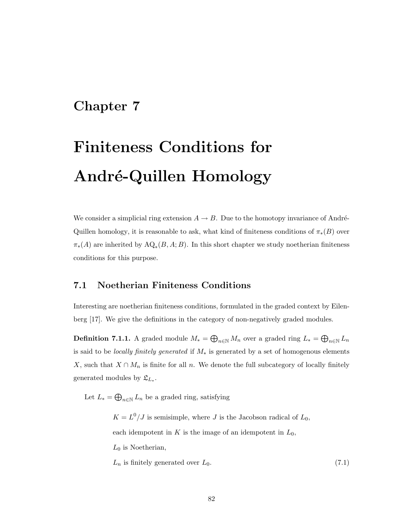### Chapter 7

# Finiteness Conditions for André-Quillen Homology

We consider a simplicial ring extension  $A \to B$ . Due to the homotopy invariance of André-Quillen homology, it is reasonable to ask, what kind of finiteness conditions of  $\pi_*(B)$  over  $\pi_*(A)$  are inherited by  $\mathrm{AQ}_*(B, A; B)$ . In this short chapter we study noetherian finiteness conditions for this purpose.

### 7.1 Noetherian Finiteness Conditions

Interesting are noetherian finiteness conditions, formulated in the graded context by Eilenberg [17]. We give the definitions in the category of non-negatively graded modules.

**Definition 7.1.1.** A graded module  $M_* = \bigoplus_{n \in \mathbb{N}} M_n$  over a graded ring  $L_* = \bigoplus_{n \in \mathbb{N}} L_n$ is said to be locally finitely generated if M<sup>∗</sup> is generated by a set of homogenous elements X, such that  $X \cap M_n$  is finite for all n. We denote the full subcategory of locally finitely generated modules by  $\mathfrak{L}_{L_*}.$ 

Let  $L_* = \bigoplus_{n \in \mathbb{N}} L_n$  be a graded ring, satisfying

 $K = L^0/J$  is semisimple, where J is the Jacobson radical of  $L_0$ , each idempotent in K is the image of an idempotent in  $L_0$ ,  $L_0$  is Noetherian,  $L_n$  is finitely generated over  $L_0$ .  $(7.1)$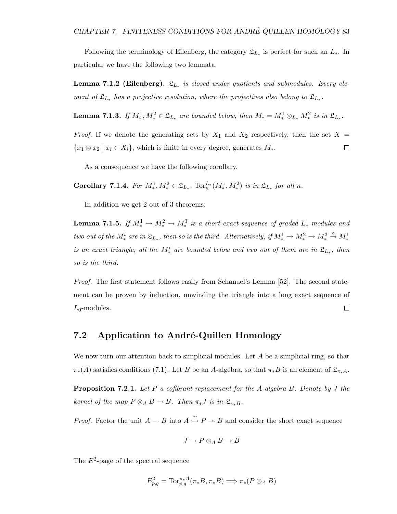Following the terminology of Eilenberg, the category  $\mathfrak{L}_{L_*}$  is perfect for such an  $L_*$ . In particular we have the following two lemmata.

**Lemma 7.1.2 (Eilenberg).**  $\mathfrak{L}_{L_*}$  is closed under quotients and submodules. Every element of  $\mathfrak{L}_{L*}$  has a projective resolution, where the projectives also belong to  $\mathfrak{L}_{L*}$ .

**Lemma 7.1.3.** If  $M_*^1, M_*^2 \in \mathfrak{L}_{L_*}$  are bounded below, then  $M_* = M_*^1 \otimes_{L_*} M_*^2$  is in  $\mathfrak{L}_{L_*}$ .

*Proof.* If we denote the generating sets by  $X_1$  and  $X_2$  respectively, then the set  $X =$  $\{x_1 \otimes x_2 \mid x_i \in X_i\}$ , which is finite in every degree, generates  $M_*$ .  $\Box$ 

As a consequence we have the following corollary.

Corollary 7.1.4. For  $M_*^1, M_*^2 \in \mathfrak{L}_{L_*}$ ,  $\text{Tor}_n^{L*}(M_*^1, M_*^2)$  is in  $\mathfrak{L}_{L_*}$  for all n.

In addition we get 2 out of 3 theorems:

**Lemma 7.1.5.** If  $M_*^1 \to M_*^2 \to M_*^3$  is a short exact sequence of graded  $L_*$ -modules and two out of the  $M_*^i$  are in  $\mathfrak{L}_{L_*}$ , then so is the third. Alternatively, if  $M_*^1 \to M_*^2 \to M_*^3 \stackrel{\circ}{\to} M_*^1$ is an exact triangle, all the  $M^i_*$  are bounded below and two out of them are in  $\mathfrak{L}_{L_*}$ , then so is the third.

*Proof.* The first statement follows easily from Schanuel's Lemma [52]. The second statement can be proven by induction, unwinding the triangle into a long exact sequence of  $L_0$ -modules.  $\Box$ 

#### 7.2 Application to André-Quillen Homology

We now turn our attention back to simplicial modules. Let  $A$  be a simplicial ring, so that  $\pi_*(A)$  satisfies conditions (7.1). Let B be an A-algebra, so that  $\pi_*B$  is an element of  $\mathfrak{L}_{\pi_*A}$ .

**Proposition 7.2.1.** Let P a cofibrant replacement for the A-algebra B. Denote by J the kernel of the map  $P \otimes_A B \to B$ . Then  $\pi_* J$  is in  $\mathfrak{L}_{\pi_* B}$ .

*Proof.* Factor the unit  $A \to B$  into  $A \stackrel{\sim}{\to} P \twoheadrightarrow B$  and consider the short exact sequence

$$
J\to P\otimes_A B\to B
$$

The  $E^2$ -page of the spectral sequence

$$
E_{p,q}^2 = \text{Tor}_{p,q}^{\pi_*A}(\pi_*B, \pi_*B) \Longrightarrow \pi_*(P \otimes_A B)
$$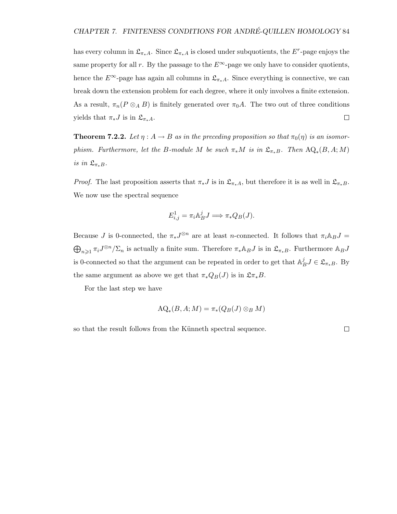has every column in  $\mathfrak{L}_{\pi_*A}$ . Since  $\mathfrak{L}_{\pi_*A}$  is closed under subquotients, the  $E^r$ -page enjoys the same property for all r. By the passage to the  $E^{\infty}$ -page we only have to consider quotients, hence the  $E^{\infty}$ -page has again all columns in  $\mathfrak{L}_{\pi_*A}$ . Since everything is connective, we can break down the extension problem for each degree, where it only involves a finite extension. As a result,  $\pi_n(P \otimes_A B)$  is finitely generated over  $\pi_0 A$ . The two out of three conditions yields that  $\pi_* J$  is in  $\mathfrak{L}_{\pi_* A}$ .  $\Box$ 

**Theorem 7.2.2.** Let  $\eta : A \to B$  as in the preceding proposition so that  $\pi_0(\eta)$  is an isomorphism. Furthermore, let the B-module M be such  $\pi_* M$  is in  $\mathfrak{L}_{\pi_* B}$ . Then  $\mathrm{AQ}_*(B, A; M)$ is in  $\mathfrak{L}_{\pi_*B}$ .

*Proof.* The last proposition asserts that  $\pi_* J$  is in  $\mathfrak{L}_{\pi_* A}$ , but therefore it is as well in  $\mathfrak{L}_{\pi_* B}$ . We now use the spectral sequence

$$
E_{i,j}^1 = \pi_i \mathbb{A}_B^j J \Longrightarrow \pi_* Q_B(J).
$$

Because J is 0-connected, the  $\pi_* J^{\otimes n}$  are at least n-connected. It follows that  $\pi_i \mathbb{A}_B J =$  $\bigoplus_{n\geqslant 1}\pi_iJ^{\otimes n}/\Sigma_n$  is actually a finite sum. Therefore  $\pi_*\mathbb{A}_BJ$  is in  $\mathfrak{L}_{\pi_*B}$ . Furthermore  $\mathbb{A}_BJ$ is 0-connected so that the argument can be repeated in order to get that  $\mathbb{A}_P^j$  ${}_{B}^{j}J\in\mathfrak{L}_{\pi_{*}B}$ . By the same argument as above we get that  $\pi_*Q_B(J)$  is in  $\mathfrak{L}\pi_*B$ .

For the last step we have

$$
\mathrm{AQ}_*(B, A; M) = \pi_*(Q_B(J) \otimes_B M)
$$

so that the result follows from the Künneth spectral sequence.

 $\Box$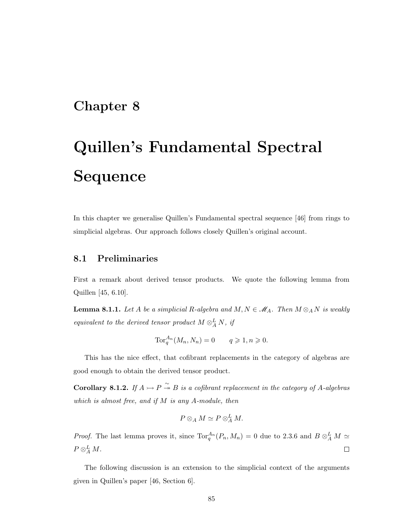### Chapter 8

# Quillen's Fundamental Spectral Sequence

In this chapter we generalise Quillen's Fundamental spectral sequence [46] from rings to simplicial algebras. Our approach follows closely Quillen's original account.

### 8.1 Preliminaries

First a remark about derived tensor products. We quote the following lemma from Quillen [45, 6.10].

**Lemma 8.1.1.** Let A be a simplicial R-algebra and  $M, N \in M_A$ . Then  $M \otimes_A N$  is weakly equivalent to the derived tensor product  $M \otimes_A^L N$ , if

$$
\operatorname{Tor}_q^{A_n}(M_n, N_n) = 0 \qquad q \geqslant 1, n \geqslant 0.
$$

This has the nice effect, that cofibrant replacements in the category of algebras are good enough to obtain the derived tensor product.

**Corollary 8.1.2.** If  $A \rightarrow P \stackrel{\sim}{\rightarrow} B$  is a cofibrant replacement in the category of A-algebras which is almost free, and if  $M$  is any  $A$ -module, then

$$
P\otimes_A M \simeq P\otimes_A^L M.
$$

*Proof.* The last lemma proves it, since  $\text{Tor}_q^{A_n}(P_n, M_n) = 0$  due to 2.3.6 and  $B \otimes_A^L M \simeq$  $P\otimes_A^LM.$  $\Box$ 

The following discussion is an extension to the simplicial context of the arguments given in Quillen's paper [46, Section 6].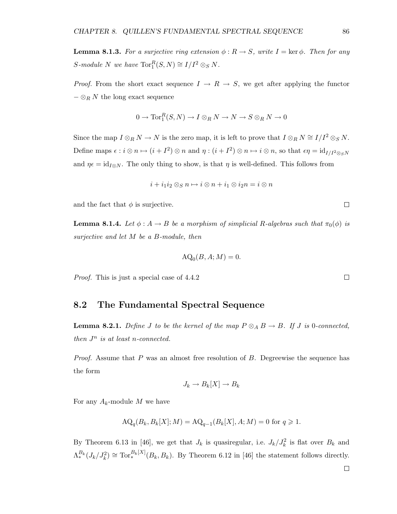**Lemma 8.1.3.** For a surjective ring extension  $\phi : R \to S$ , write  $I = \text{ker }\phi$ . Then for any S-module N we have  $\text{Tor}_1^R(S, N) \cong I/I^2 \otimes_S N$ .

*Proof.* From the short exact sequence  $I \rightarrow R \rightarrow S$ , we get after applying the functor  $-\otimes_R N$  the long exact sequence

$$
0 \to \operatorname{Tor}^R_1(S, N) \to I \otimes_R N \to N \to S \otimes_R N \to 0
$$

Since the map  $I \otimes_R N \to N$  is the zero map, it is left to prove that  $I \otimes_R N \cong I/I^2 \otimes_S N$ . Define maps  $\epsilon : i \otimes n \mapsto (i + I^2) \otimes n$  and  $\eta : (i + I^2) \otimes n \mapsto i \otimes n$ , so that  $\epsilon \eta = id_{I/I^2 \otimes_S N}$ and  $\eta \epsilon = \mathrm{id}_{I\otimes N}$ . The only thing to show, is that  $\eta$  is well-defined. This follows from

$$
i + i_1 i_2 \otimes_S n \mapsto i \otimes n + i_1 \otimes i_2 n = i \otimes n
$$

and the fact that  $\phi$  is surjective.

**Lemma 8.1.4.** Let  $\phi : A \to B$  be a morphism of simplicial R-algebras such that  $\pi_0(\phi)$  is surjective and let M be a B-module, then

$$
\mathrm{AQ}_0(B, A; M) = 0.
$$

Proof. This is just a special case of 4.4.2

#### 8.2 The Fundamental Spectral Sequence

**Lemma 8.2.1.** Define J to be the kernel of the map  $P \otimes_A B \to B$ . If J is 0-connected, then  $J^n$  is at least n-connected.

*Proof.* Assume that P was an almost free resolution of B. Degreewise the sequence has the form

$$
J_k \to B_k[X] \to B_k
$$

For any  $A_k$ -module M we have

$$
AQ_q(B_k, B_k[X]; M) = AQ_{q-1}(B_k[X], A; M) = 0 \text{ for } q \ge 1.
$$

By Theorem 6.13 in [46], we get that  $J_k$  is quasiregular, i.e.  $J_k/J_k^2$  is flat over  $B_k$  and  $\Lambda_*^{B_k}(J_k/J_k^2) \cong \text{Tor}_*^{B_k[X]}(B_k, B_k)$ . By Theorem 6.12 in [46] the statement follows directly.

 $\Box$ 

 $\Box$ 

 $\Box$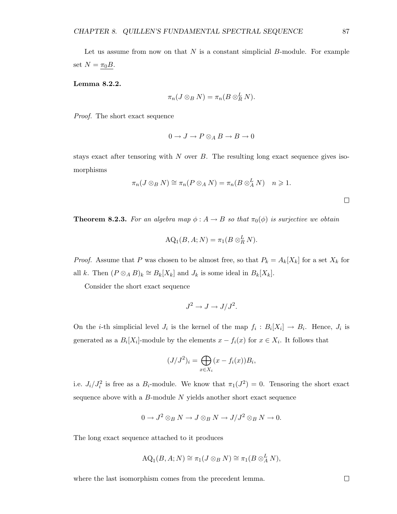Let us assume from now on that  $N$  is a constant simplicial  $B$ -module. For example set  $N = \pi_0 B$ .

Lemma 8.2.2.

$$
\pi_n(J\otimes_B N)=\pi_n(B\otimes_R^L N).
$$

Proof. The short exact sequence

$$
0 \to J \to P \otimes_A B \to B \to 0
$$

stays exact after tensoring with  $N$  over  $B$ . The resulting long exact sequence gives isomorphisms

$$
\pi_n(J\otimes_B N)\cong \pi_n(P\otimes_A N)=\pi_n(B\otimes_A^L N)\quad n\geqslant 1.
$$

**Theorem 8.2.3.** For an algebra map  $\phi : A \to B$  so that  $\pi_0(\phi)$  is surjective we obtain

$$
\mathrm{AQ}_1(B, A; N) = \pi_1(B \otimes_R^L N).
$$

*Proof.* Assume that P was chosen to be almost free, so that  $P_k = A_k[X_k]$  for a set  $X_k$  for all k. Then  $(P \otimes_A B)_k \cong B_k[X_k]$  and  $J_k$  is some ideal in  $B_k[X_k]$ .

Consider the short exact sequence

$$
J^2 \to J \to J/J^2.
$$

On the *i*-th simplicial level  $J_i$  is the kernel of the map  $f_i : B_i[X_i] \to B_i$ . Hence,  $J_i$  is generated as a  $B_i[X_i]$ -module by the elements  $x - f_i(x)$  for  $x \in X_i$ . It follows that

$$
(J/J2)i = \bigoplus_{x \in X_i} (x - f_i(x))B_i,
$$

i.e.  $J_i/J_i^2$  is free as a  $B_i$ -module. We know that  $\pi_1(J^2) = 0$ . Tensoring the short exact sequence above with a  $B$ -module  $N$  yields another short exact sequence

$$
0 \to J^2 \otimes_B N \to J \otimes_B N \to J/J^2 \otimes_B N \to 0.
$$

The long exact sequence attached to it produces

$$
AQ_1(B, A; N) \cong \pi_1(J \otimes_B N) \cong \pi_1(B \otimes_A^L N),
$$

where the last isomorphism comes from the precedent lemma.

 $\Box$ 

 $\Box$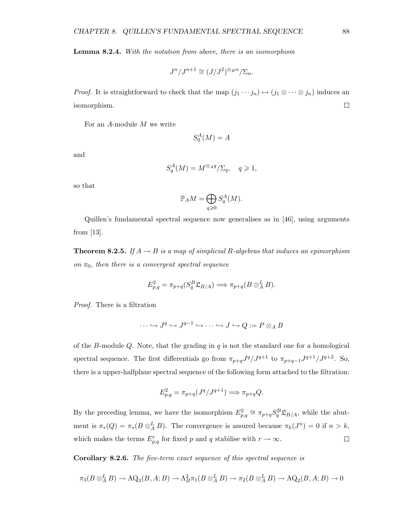Lemma 8.2.4. With the notation from above, there is an isomorphism

$$
J^n/J^{n+1} \cong (J/J^2)^{\otimes_B n}/\Sigma_n.
$$

*Proof.* It is straightforward to check that the map  $(j_1 \cdots j_n) \mapsto (j_1 \otimes \cdots \otimes j_n)$  induces an  $\Box$ isomorphism.

For an A-module M we write

$$
S_0^A(M) = A
$$

and

$$
S_q^A(M) = M^{\otimes_A q} / \Sigma_q, \quad q \geqslant 1,
$$

so that

$$
\mathbb{P}_AM = \bigoplus_{q \geqslant 0} S_q^A(M).
$$

Quillen's fundamental spectral sequence now generalises as in [46], using arguments from [13].

**Theorem 8.2.5.** If  $A \rightarrow B$  is a map of simplicial R-algebras that induces an epimorphism on  $\pi_0$ , then there is a convergent spectral sequence

$$
E_{p,q}^2 = \pi_{p+q}(S_q^B \mathfrak{L}_{B/A}) \Longrightarrow \pi_{p+q}(B\otimes_A^L B).
$$

Proof. There is a filtration

$$
\cdots \hookrightarrow J^q \hookrightarrow J^{q-1} \hookrightarrow \cdots \hookrightarrow J \hookrightarrow Q := P \otimes_A B
$$

of the B-module  $Q$ . Note, that the grading in  $q$  is not the standard one for a homological spectral sequence. The first differentials go from  $\pi_{p+q}J^q/J^{q+1}$  to  $\pi_{p+q-1}J^{q+1}/J^{q+2}$ . So, there is a upper-halfplane spectral sequence of the following form attached to the filtration:

$$
E_{p,q}^2 = \pi_{p+q}(J^q/J^{q+1}) \Longrightarrow \pi_{p+q}Q.
$$

By the preceding lemma, we have the isomorphism  $E_{p,q}^2 \cong \pi_{p+q} S_q^B \mathfrak{L}_{B/A}$ , while the abutment is  $\pi_*(Q) = \pi_*(B \otimes_A^L B)$ . The convergence is assured because  $\pi_k(J^n) = 0$  if  $n > k$ , which makes the terms  $E_{p,q}^r$  for fixed p and q stabilise with  $r \to \infty$ .  $\Box$ 

Corollary 8.2.6. The five-term exact sequence of this spectral sequence is

$$
\pi_3(B\otimes_A^L B)\to \mathrm{AQ}_3(B,A;B)\to \Lambda_B^2\pi_1(B\otimes_A^L B)\to \pi_2(B\otimes_A^L B)\to \mathrm{AQ}_2(B,A;B)\to 0
$$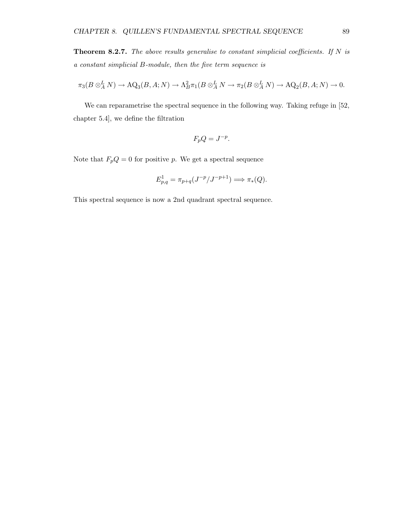**Theorem 8.2.7.** The above results generalise to constant simplicial coefficients. If  $N$  is a constant simplicial B-module, then the five term sequence is

$$
\pi_3(B\otimes^L_A N)\to \mathrm{AQ}_3(B,A;N)\to \Lambda^2_B\pi_1(B\otimes^L_A N\to \pi_2(B\otimes^L_A N)\to \mathrm{AQ}_2(B,A;N)\to 0.
$$

We can reparametrise the spectral sequence in the following way. Taking refuge in [52, chapter 5.4], we define the filtration

$$
F_p Q = J^{-p}.
$$

Note that  $F_pQ = 0$  for positive p. We get a spectral sequence

$$
E_{p,q}^1 = \pi_{p+q}(J^{-p}/J^{-p+1}) \Longrightarrow \pi_*(Q).
$$

This spectral sequence is now a 2nd quadrant spectral sequence.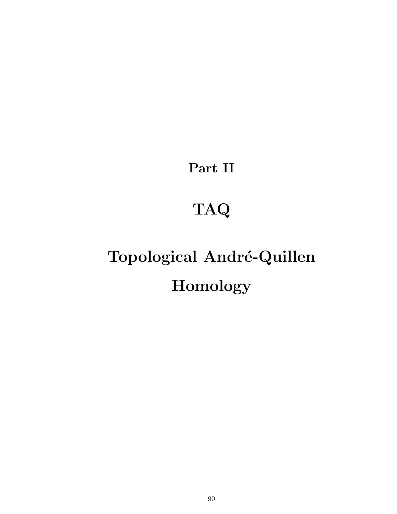Part II

## TAQ

# Topological André-Quillen Homology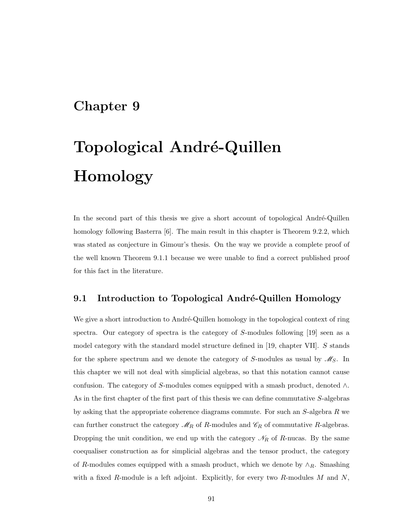### Chapter 9

# Topological André-Quillen Homology

In the second part of this thesis we give a short account of topological André-Quillen homology following Basterra [6]. The main result in this chapter is Theorem 9.2.2, which was stated as conjecture in Gimour's thesis. On the way we provide a complete proof of the well known Theorem 9.1.1 because we were unable to find a correct published proof for this fact in the literature.

### 9.1 Introduction to Topological André-Quillen Homology

We give a short introduction to André-Quillen homology in the topological context of ring spectra. Our category of spectra is the category of S-modules following [19] seen as a model category with the standard model structure defined in [19, chapter VII]. S stands for the sphere spectrum and we denote the category of S-modules as usual by  $\mathcal{M}_S$ . In this chapter we will not deal with simplicial algebras, so that this notation cannot cause confusion. The category of S-modules comes equipped with a smash product, denoted  $\wedge$ . As in the first chapter of the first part of this thesis we can define commutative S-algebras by asking that the appropriate coherence diagrams commute. For such an S-algebra R we can further construct the category  $\mathcal{M}_R$  of R-modules and  $\mathcal{C}_R$  of commutative R-algebras. Dropping the unit condition, we end up with the category  $\mathcal{N}_R$  of R-nucas. By the same coequaliser construction as for simplicial algebras and the tensor product, the category of R-modules comes equipped with a smash product, which we denote by  $\wedge_R$ . Smashing with a fixed  $R$ -module is a left adjoint. Explicitly, for every two  $R$ -modules  $M$  and  $N$ ,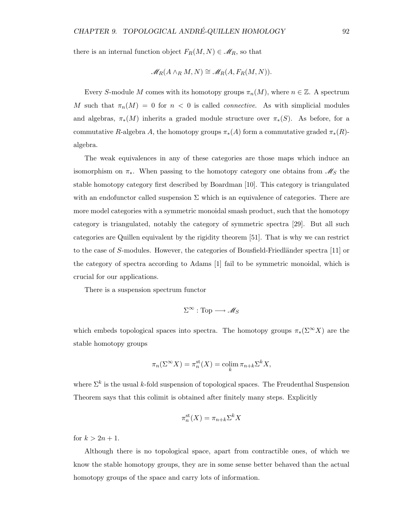there is an internal function object  $F_R(M, N) \in \mathscr{M}_R$ , so that

$$
\mathscr{M}_R(A \wedge_R M, N) \cong \mathscr{M}_R(A, F_R(M, N)).
$$

Every S-module M comes with its homotopy groups  $\pi_n(M)$ , where  $n \in \mathbb{Z}$ . A spectrum M such that  $\pi_n(M) = 0$  for  $n < 0$  is called *connective*. As with simplicial modules and algebras,  $\pi_*(M)$  inherits a graded module structure over  $\pi_*(S)$ . As before, for a commutative R-algebra A, the homotopy groups  $\pi_*(A)$  form a commutative graded  $\pi_*(R)$ algebra.

The weak equivalences in any of these categories are those maps which induce an isomorphism on  $\pi_*$ . When passing to the homotopy category one obtains from  $\mathscr{M}_S$  the stable homotopy category first described by Boardman [10]. This category is triangulated with an endofunctor called suspension  $\Sigma$  which is an equivalence of categories. There are more model categories with a symmetric monoidal smash product, such that the homotopy category is triangulated, notably the category of symmetric spectra [29]. But all such categories are Quillen equivalent by the rigidity theorem [51]. That is why we can restrict to the case of S-modules. However, the categories of Bousfield-Friedländer spectra [11] or the category of spectra according to Adams [1] fail to be symmetric monoidal, which is crucial for our applications.

There is a suspension spectrum functor

$$
\Sigma^\infty : \mathrm{Top} \longrightarrow \mathscr{M}_S
$$

which embeds topological spaces into spectra. The homotopy groups  $\pi_*(\Sigma^{\infty}X)$  are the stable homotopy groups

$$
\pi_n(\Sigma^{\infty} X) = \pi_n^{\text{st}}(X) = \operatorname{colim}_k \pi_{n+k} \Sigma^k X,
$$

where  $\Sigma^k$  is the usual k-fold suspension of topological spaces. The Freudenthal Suspension Theorem says that this colimit is obtained after finitely many steps. Explicitly

$$
\pi_n^{\text{st}}(X) = \pi_{n+k} \Sigma^k X
$$

for  $k > 2n + 1$ .

Although there is no topological space, apart from contractible ones, of which we know the stable homotopy groups, they are in some sense better behaved than the actual homotopy groups of the space and carry lots of information.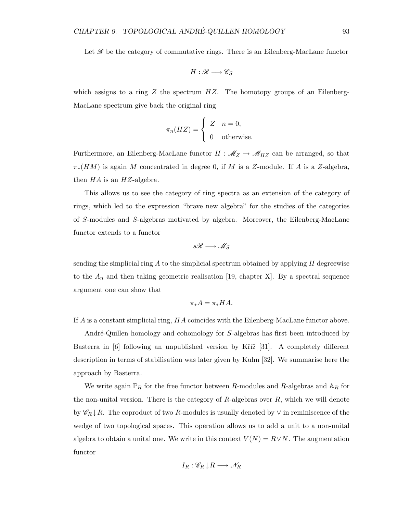Let  $\mathscr R$  be the category of commutative rings. There is an Eilenberg-MacLane functor

$$
H:\mathscr{R}\longrightarrow\mathscr{C}_S
$$

which assigns to a ring  $Z$  the spectrum  $HZ$ . The homotopy groups of an Eilenberg-MacLane spectrum give back the original ring

$$
\pi_n(HZ) = \begin{cases} Z & n = 0, \\ 0 & \text{otherwise.} \end{cases}
$$

Furthermore, an Eilenberg-MacLane functor  $H : \mathcal{M}_Z \to \mathcal{M}_{HZ}$  can be arranged, so that  $\pi_*(HM)$  is again M concentrated in degree 0, if M is a Z-module. If A is a Z-algebra, then  $HA$  is an  $HZ$ -algebra.

This allows us to see the category of ring spectra as an extension of the category of rings, which led to the expression "brave new algebra" for the studies of the categories of S-modules and S-algebras motivated by algebra. Moreover, the Eilenberg-MacLane functor extends to a functor

$$
s\mathscr{R}\longrightarrow\mathscr{M}_S
$$

sending the simplicial ring  $A$  to the simplicial spectrum obtained by applying  $H$  degreewise to the  $A_n$  and then taking geometric realisation [19, chapter X]. By a spectral sequence argument one can show that

$$
\pi_*A=\pi_*HA.
$$

If A is a constant simplicial ring, HA coincides with the Eilenberg-MacLane functor above.

André-Quillen homology and cohomology for S-algebras has first been introduced by Basterra in  $\left[6\right]$  following an unpublished version by Kříž  $\left[31\right]$ . A completely different description in terms of stabilisation was later given by Kuhn [32]. We summarise here the approach by Basterra.

We write again  $\mathbb{P}_R$  for the free functor between R-modules and R-algebras and  $\mathbb{A}_R$  for the non-unital version. There is the category of  $R$ -algebras over  $R$ , which we will denote by  $\mathscr{C}_R \downarrow R$ . The coproduct of two R-modules is usually denoted by  $\vee$  in reminiscence of the wedge of two topological spaces. This operation allows us to add a unit to a non-unital algebra to obtain a unital one. We write in this context  $V(N) = R \vee N$ . The augmentation functor

$$
I_R: \mathscr{C}_R \downarrow R \longrightarrow \mathscr{N}_R
$$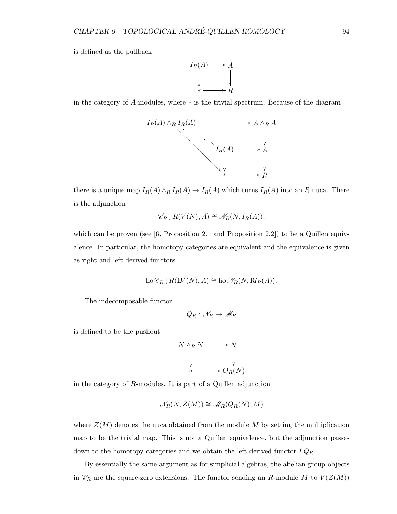is defined as the pullback



in the category of A-modules, where ∗ is the trivial spectrum. Because of the diagram



there is a unique map  $I_R(A) \wedge_R I_R(A) \to I_R(A)$  which turns  $I_R(A)$  into an R-nuca. There is the adjunction

$$
\mathscr{C}_R \downarrow R(V(N), A) \cong \mathscr{N}_R(N, I_R(A)),
$$

which can be proven (see  $[6,$  Proposition 2.1 and Proposition 2.2]) to be a Quillen equivalence. In particular, the homotopy categories are equivalent and the equivalence is given as right and left derived functors

ho 
$$
\mathcal{C}_R \downarrow R(\mathfrak{L}V(N), A) \cong
$$
 ho  $\mathcal{N}_R(N, \mathfrak{N}_R(A)).$ 

The indecomposable functor

$$
Q_R: \mathscr{N}_R \to \mathscr{M}_R
$$

is defined to be the pushout

$$
N \wedge_R N \longrightarrow N
$$
  
\n
$$
\downarrow \qquad \qquad \downarrow
$$
  
\n
$$
\downarrow \qquad \qquad \downarrow
$$
  
\n
$$
\downarrow \qquad \qquad \downarrow
$$
  
\n
$$
\downarrow \qquad \qquad \downarrow
$$
  
\n
$$
\downarrow \qquad \qquad \downarrow
$$
  
\n
$$
\downarrow \qquad \qquad \downarrow
$$
  
\n
$$
\downarrow \qquad \qquad \downarrow
$$
  
\n
$$
\downarrow \qquad \qquad \downarrow
$$
  
\n
$$
\downarrow \qquad \qquad \downarrow
$$

in the category of R-modules. It is part of a Quillen adjunction

$$
\mathcal{N}_R(N, Z(M)) \cong \mathcal{M}_R(Q_R(N), M)
$$

where  $Z(M)$  denotes the nuca obtained from the module M by setting the multiplication map to be the trivial map. This is not a Quillen equivalence, but the adjunction passes down to the homotopy categories and we obtain the left derived functor  $LQ_R$ .

By essentially the same argument as for simplicial algebras, the abelian group objects in  $\mathscr{C}_R$  are the square-zero extensions. The functor sending an R-module M to  $V(Z(M))$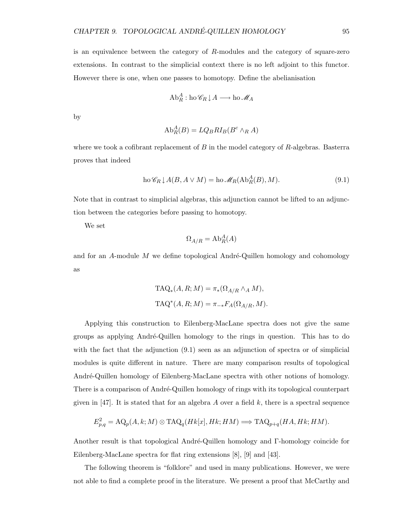is an equivalence between the category of R-modules and the category of square-zero extensions. In contrast to the simplicial context there is no left adjoint to this functor. However there is one, when one passes to homotopy. Define the abelianisation

$$
\text{Ab}_{R}^{A} : \text{ho } \mathscr{C}_{R} \downarrow A \longrightarrow \text{ho } \mathscr{M}_{A}
$$

by

$$
\mathrm{Ab}_{R}^{A}(B) = LQ_{B}R I_{B}(B^{c} \wedge_{R} A)
$$

where we took a cofibrant replacement of  $B$  in the model category of  $R$ -algebras. Basterra proves that indeed

$$
\text{ho}\,\mathcal{C}_R \downarrow A(B, A \vee M) = \text{ho}\,\mathcal{M}_R(\text{Ab}_R^A(B), M). \tag{9.1}
$$

Note that in contrast to simplicial algebras, this adjunction cannot be lifted to an adjunction between the categories before passing to homotopy.

We set

$$
\Omega_{A/R} = \mathrm{Ab}_R^A(A)
$$

and for an  $A$ -module M we define topological André-Quillen homology and cohomology as

$$
TAQ_{*}(A, R; M) = \pi_{*}(\Omega_{A/R} \wedge_{A} M),
$$
  

$$
TAQ^{*}(A, R; M) = \pi_{-*}F_{A}(\Omega_{A/R}, M).
$$

Applying this construction to Eilenberg-MacLane spectra does not give the same groups as applying Andr´e-Quillen homology to the rings in question. This has to do with the fact that the adjunction  $(9.1)$  seen as an adjunction of spectra or of simplicial modules is quite different in nature. There are many comparison results of topological André-Quillen homology of Eilenberg-MacLane spectra with other notions of homology. There is a comparison of André-Quillen homology of rings with its topological counterpart given in [47]. It is stated that for an algebra A over a field k, there is a spectral sequence

$$
E_{p,q}^2 = \mathcal{AQ}_p(A, k; M) \otimes \text{TAQ}_q(Hk[x], Hk; HM) \Longrightarrow \text{TAQ}_{p+q}(HA, Hk; HM).
$$

Another result is that topological André-Quillen homology and Γ-homology coincide for Eilenberg-MacLane spectra for flat ring extensions [8], [9] and [43].

The following theorem is "folklore" and used in many publications. However, we were not able to find a complete proof in the literature. We present a proof that McCarthy and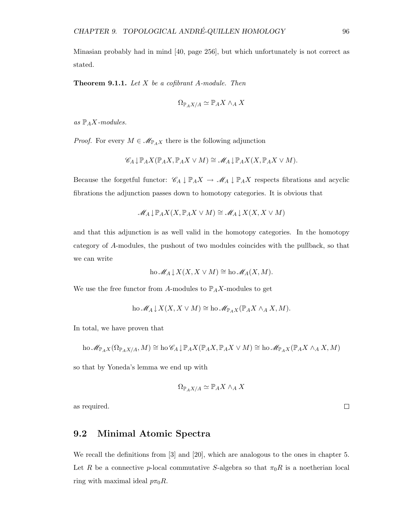Minasian probably had in mind [40, page 256], but which unfortunately is not correct as stated.

**Theorem 9.1.1.** Let  $X$  be a cofibrant A-module. Then

$$
\Omega_{\mathbb{P}_AX/A}\simeq \mathbb{P}_AX\wedge_A X
$$

as  $\mathbb{P}_A X$ -modules.

*Proof.* For every  $M \in \mathcal{M}_{\mathbb{P}_A X}$  there is the following adjunction

$$
\mathscr{C}_A \downarrow \mathbb{P}_A X(\mathbb{P}_A X, \mathbb{P}_A X \vee M) \cong \mathscr{M}_A \downarrow \mathbb{P}_A X(X, \mathbb{P}_A X \vee M).
$$

Because the forgetful functor:  $\mathscr{C}_A \downarrow \mathbb{P}_A X \to \mathscr{M}_A \downarrow \mathbb{P}_A X$  respects fibrations and acyclic fibrations the adjunction passes down to homotopy categories. It is obvious that

$$
\mathscr{M}_A \downarrow \mathbb{P}_A X(X, \mathbb{P}_A X \vee M) \cong \mathscr{M}_A \downarrow X(X, X \vee M)
$$

and that this adjunction is as well valid in the homotopy categories. In the homotopy category of A-modules, the pushout of two modules coincides with the pullback, so that we can write

ho 
$$
\mathcal{M}_A \downarrow X(X, X \vee M) \cong
$$
 ho  $\mathcal{M}_A(X, M)$ .

We use the free functor from A-modules to  $\mathbb{P}_A X$ -modules to get

ho 
$$
\mathcal{M}_A \downarrow X(X, X \vee M) \cong
$$
ho  $\mathcal{M}_{\mathbb{P}_A X}(\mathbb{P}_A X \wedge_A X, M)$ .

In total, we have proven that

$$
\mathrm{ho}\,\mathscr{M}_{\mathbb{P}_AX}(\Omega_{\mathbb{P}_AX/A},M)\cong\mathrm{ho}\,\mathscr{C}_A\downarrow\mathbb{P}_AX(\mathbb{P}_AX,\mathbb{P}_AX\vee M)\cong\mathrm{ho}\,\mathscr{M}_{\mathbb{P}_AX}(\mathbb{P}_AX\wedge_AX,M)
$$

so that by Yoneda's lemma we end up with

$$
\Omega_{\mathbb{P}_A X/A} \simeq \mathbb{P}_A X \wedge_A X
$$

as required.

#### 9.2 Minimal Atomic Spectra

We recall the definitions from [3] and [20], which are analogous to the ones in chapter 5. Let R be a connective p-local commutative S-algebra so that  $\pi_0R$  is a noetherian local ring with maximal ideal  $p\pi_0R$ .

 $\Box$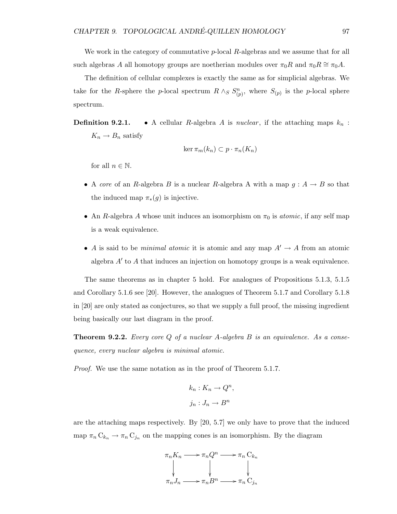We work in the category of commutative  $p$ -local  $R$ -algebras and we assume that for all such algebras A all homotopy groups are noetherian modules over  $\pi_0R$  and  $\pi_0R \cong \pi_0A$ .

The definition of cellular complexes is exactly the same as for simplicial algebras. We take for the R-sphere the p-local spectrum  $R \wedge_S S_{(p)}^n$ , where  $S_{(p)}$  is the p-local sphere spectrum.

**Definition 9.2.1.** • A cellular R-algebra A is nuclear, if the attaching maps  $k_n$ :  $K_n \to B_n$  satisfy

$$
\ker \pi_m(k_n) \subset p \cdot \pi_n(K_n)
$$

for all  $n \in \mathbb{N}$ .

- A core of an R-algebra B is a nuclear R-algebra A with a map  $g : A \to B$  so that the induced map  $\pi_*(g)$  is injective.
- An R-algebra A whose unit induces an isomorphism on  $\pi_0$  is *atomic*, if any self map is a weak equivalence.
- A is said to be *minimal atomic* it is atomic and any map  $A' \rightarrow A$  from an atomic algebra  $A'$  to  $A$  that induces an injection on homotopy groups is a weak equivalence.

The same theorems as in chapter 5 hold. For analogues of Propositions 5.1.3, 5.1.5 and Corollary 5.1.6 see [20]. However, the analogues of Theorem 5.1.7 and Corollary 5.1.8 in [20] are only stated as conjectures, so that we supply a full proof, the missing ingredient being basically our last diagram in the proof.

**Theorem 9.2.2.** Every core  $Q$  of a nuclear  $A$ -algebra  $B$  is an equivalence. As a consequence, every nuclear algebra is minimal atomic.

Proof. We use the same notation as in the proof of Theorem 5.1.7.

$$
k_n: K_n \to Q^n,
$$
  

$$
j_n: J_n \to B^n
$$

are the attaching maps respectively. By [20, 5.7] we only have to prove that the induced map  $\pi_n C_{k_n} \to \pi_n C_{j_n}$  on the mapping cones is an isomorphism. By the diagram

$$
\pi_n K_n \longrightarrow \pi_n Q^n \longrightarrow \pi_n C_{k_n}
$$
\n
$$
\downarrow \qquad \qquad \downarrow \qquad \qquad \downarrow
$$
\n
$$
\pi_n J_n \longrightarrow \pi_n B^n \longrightarrow \pi_n C_{j_n}
$$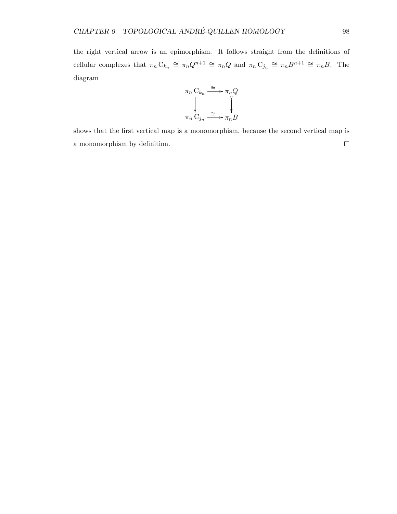the right vertical arrow is an epimorphism. It follows straight from the definitions of cellular complexes that  $\pi_n C_{k_n} \cong \pi_n Q^{n+1} \cong \pi_n Q$  and  $\pi_n C_{j_n} \cong \pi_n B^{n+1} \cong \pi_n B$ . The diagram



shows that the first vertical map is a monomorphism, because the second vertical map is  $\Box$ a monomorphism by definition.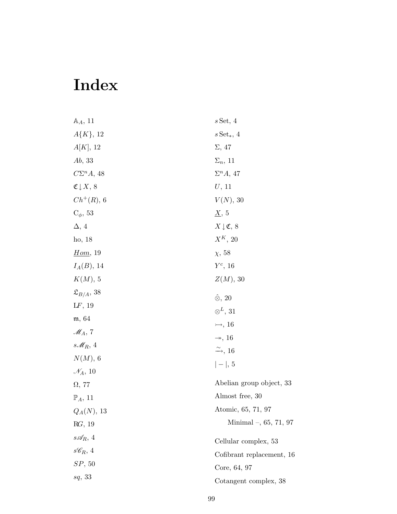## Index

| $\mathbb{A}_A$ , 11                  | $s$ Set, 4                     |
|--------------------------------------|--------------------------------|
| $A\{K\},\,12$                        | $s\operatorname{Set}_*, 4$     |
| A[K], 12                             | $\Sigma$ , 47                  |
| Ab, 33                               | $\Sigma_n$ , 11                |
| $C\Sigma^n A$ , 48                   | $\Sigma^n A$ , 47              |
| $\mathfrak{C} \, \downarrow \, X, 8$ | $U$ , 11                       |
| $Ch^{+}(R), 6$                       | $V(N)$ , 30                    |
| $C_{\phi}$ , 53                      | $\underline{X}$ , 5            |
| $\Delta$ , 4                         | $X \downarrow \mathfrak{C}, 8$ |
| ho, 18                               | $X^K$ , 20                     |
| Hom, 19                              | $\chi$ , 58                    |
| $I_A(B)$ , 14                        | $Y^c$ , 16                     |
| $K(M)$ , 5                           | $Z(M)$ , 30                    |
| $\mathfrak{L}_{B/A}, 38$             | $\hat{\otimes}$ , 20           |
| LF, 19                               | $\otimes^L$ , 31               |
| m, 64                                | $\rightarrow 16$               |
| $\mathscr{M}_A$ , 7                  | $\rightarrow$ , 16             |
| s $\mathcal{M}_R$ , 4                | $\xrightarrow{\sim}$ , 16      |
| $N(M)$ , 6                           | $ - , 5$                       |
| $\mathcal{N}_A$ , 10                 |                                |
| $\Omega$ , 77                        | Abelian group object, 33       |
| $\mathbb{P}_A$ , 11                  | Almost free, 30                |
| $Q_A(N), 13$                         | Atomic, 65, 71, 97             |
| RG, 19                               | Minimal $-$ , 65, 71, 97       |
| $s\mathcal{A}_R$ , 4                 | Cellular complex, 53           |
| $s\mathscr{C}_R$ , 4                 | Cofibrant replacement, 16      |
| SP, 50                               | Core, 64, 97                   |
| sq, 33                               | Cotangent complex, 38          |
|                                      |                                |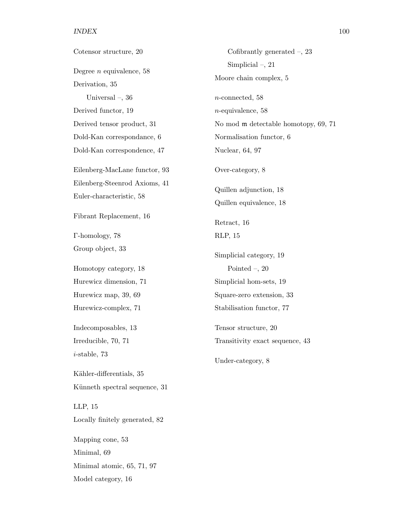#### INDEX 100

| Cotensor structure, 20         | Cofibrantly generated $-$ , 23       |
|--------------------------------|--------------------------------------|
| Degree $n$ equivalence, 58     | Simplicial $-$ , 21                  |
| Derivation, 35                 | Moore chain complex, 5               |
| Universal $-$ , 36             | $n$ -connected, 58                   |
| Derived functor, 19            | $n$ -equivalence, 58                 |
| Derived tensor product, 31     | No mod m detectable homotopy, 69, 71 |
| Dold-Kan correspondance, 6     | Normalisation functor, 6             |
| Dold-Kan correspondence, 47    | Nuclear, 64, 97                      |
| Eilenberg-MacLane functor, 93  | Over-category, 8                     |
| Eilenberg-Steenrod Axioms, 41  | Quillen adjunction, 18               |
| Euler-characteristic, 58       | Quillen equivalence, 18              |
| Fibrant Replacement, 16        | Retract, 16                          |
| T-homology, 78                 | RLP, 15                              |
| Group object, 33               | Simplicial category, 19              |
| Homotopy category, 18          | Pointed $-$ , 20                     |
| Hurewicz dimension, 71         | Simplicial hom-sets, 19              |
| Hurewicz map, 39, 69           | Square-zero extension, 33            |
| Hurewicz-complex, 71           | Stabilisation functor, 77            |
| Indecomposables, 13            | Tensor structure, 20                 |
| Irreducible, 70, 71            | Transitivity exact sequence, 43      |
| $i$ -stable, 73                | Under-category, 8                    |
| Kähler-differentials, 35       |                                      |
| Künneth spectral sequence, 31  |                                      |
| LLP, 15                        |                                      |
| Locally finitely generated, 82 |                                      |
| Mapping cone, 53               |                                      |
| Minimal, 69                    |                                      |
| Minimal atomic, 65, 71, 97     |                                      |
| Model category, 16             |                                      |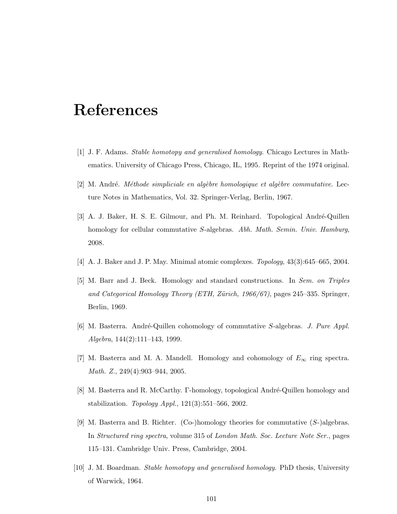### References

- [1] J. F. Adams. Stable homotopy and generalised homology. Chicago Lectures in Mathematics. University of Chicago Press, Chicago, IL, 1995. Reprint of the 1974 original.
- $[2]$  M. André. *Méthode simpliciale en algèbre homologique et algèbre commutative.* Lecture Notes in Mathematics, Vol. 32. Springer-Verlag, Berlin, 1967.
- [3] A. J. Baker, H. S. E. Gilmour, and Ph. M. Reinhard. Topological André-Quillen homology for cellular commutative S-algebras. Abh. Math. Semin. Univ. Hamburg, 2008.
- [4] A. J. Baker and J. P. May. Minimal atomic complexes. Topology, 43(3):645–665, 2004.
- [5] M. Barr and J. Beck. Homology and standard constructions. In Sem. on Triples and Categorical Homology Theory (ETH, Zürich, 1966/67), pages 245–335. Springer, Berlin, 1969.
- [6] M. Basterra. André-Quillen cohomology of commutative S-algebras. J. Pure Appl. Algebra, 144(2):111–143, 1999.
- [7] M. Basterra and M. A. Mandell. Homology and cohomology of  $E_{\infty}$  ring spectra. Math. Z., 249(4):903–944, 2005.
- [8] M. Basterra and R. McCarthy. Γ-homology, topological André-Quillen homology and stabilization. Topology Appl., 121(3):551–566, 2002.
- [9] M. Basterra and B. Richter. (Co-)homology theories for commutative (S-)algebras. In Structured ring spectra, volume 315 of London Math. Soc. Lecture Note Ser., pages 115–131. Cambridge Univ. Press, Cambridge, 2004.
- [10] J. M. Boardman. Stable homotopy and generalised homology. PhD thesis, University of Warwick, 1964.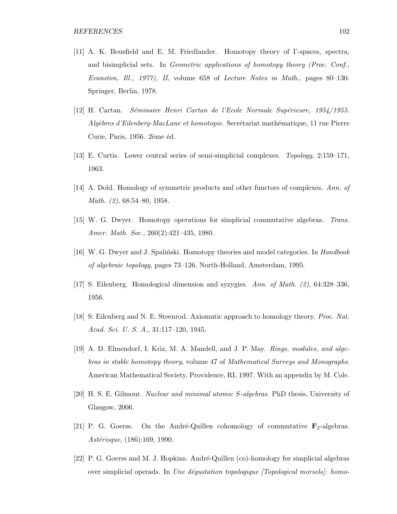- [11] A. K. Bousfield and E. M. Friedlander. Homotopy theory of Γ-spaces, spectra, and bisimplicial sets. In Geometric applications of homotopy theory (Proc. Conf., Evanston, Ill., 1977), II, volume 658 of Lecture Notes in Math., pages 80–130. Springer, Berlin, 1978.
- [12] H. Cartan. Séminaire Henri Cartan de l'Ecole Normale Supérieure, 1954/1955.  $Alq\`{e}bres d'Eilenberg-MacLane et homotopic. Secr\'ețariat mathématique, 11 rue Pierre$ Curie, Paris, 1956. 2ème éd.
- [13] E. Curtis. Lower central series of semi-simplicial complexes. Topology, 2:159–171, 1963.
- [14] A. Dold. Homology of symmetric products and other functors of complexes. Ann. of Math. (2), 68:54–80, 1958.
- [15] W. G. Dwyer. Homotopy operations for simplicial commutative algebras. Trans. Amer. Math. Soc., 260(2):421-435, 1980.
- [16] W. G. Dwyer and J. Spalinski. Homotopy theories and model categories. In *Handbook* of algebraic topology, pages 73–126. North-Holland, Amsterdam, 1995.
- [17] S. Eilenberg. Homological dimension and syzygies. Ann. of Math. (2), 64:328–336, 1956.
- [18] S. Eilenberg and N. E. Steenrod. Axiomatic approach to homology theory. Proc. Nat. Acad. Sci. U. S. A., 31:117–120, 1945.
- [19] A. D. Elmendorf, I. Kriz, M. A. Mandell, and J. P. May. Rings, modules, and algebras in stable homotopy theory, volume 47 of Mathematical Surveys and Monographs. American Mathematical Society, Providence, RI, 1997. With an appendix by M. Cole.
- [20] H. S. E. Gilmour. Nuclear and minimal atomic S-algebras. PhD thesis, University of Glasgow, 2006.
- [21] P. G. Goerss. On the André-Quillen cohomology of commutative  $\mathbf{F}_2$ -algebras.  $Ast\acute{e}risque, (186):169, 1990.$
- [22] P. G. Goerss and M. J. Hopkins. André-Quillen (co)-homology for simplicial algebras over simplicial operads. In Une déquatation topologique  $T_{\text{opological}~morsels}$ : homo-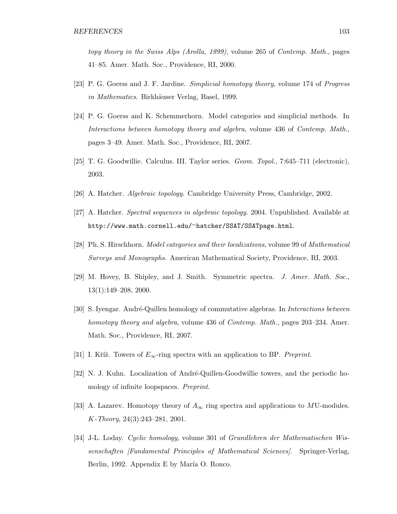topy theory in the Swiss Alps (Arolla, 1999), volume 265 of Contemp. Math., pages 41–85. Amer. Math. Soc., Providence, RI, 2000.

- [23] P. G. Goerss and J. F. Jardine. Simplicial homotopy theory, volume 174 of Progress in Mathematics. Birkhäuser Verlag, Basel, 1999.
- [24] P. G. Goerss and K. Schemmerhorn. Model categories and simplicial methods. In Interactions between homotopy theory and algebra, volume 436 of Contemp. Math., pages 3–49. Amer. Math. Soc., Providence, RI, 2007.
- [25] T. G. Goodwillie. Calculus. III. Taylor series. Geom. Topol., 7:645–711 (electronic), 2003.
- [26] A. Hatcher. Algebraic topology. Cambridge University Press, Cambridge, 2002.
- [27] A. Hatcher. Spectral sequences in algebraic topology. 2004. Unpublished. Available at http://www.math.cornell.edu/∼hatcher/SSAT/SSATpage.html.
- [28] Ph. S. Hirschhorn. Model categories and their localizations, volume 99 of Mathematical Surveys and Monographs. American Mathematical Society, Providence, RI, 2003.
- [29] M. Hovey, B. Shipley, and J. Smith. Symmetric spectra. J. Amer. Math. Soc., 13(1):149–208, 2000.
- [30] S. Iyengar. André-Quillen homology of commutative algebras. In *Interactions between* homotopy theory and algebra, volume 436 of Contemp. Math., pages 203–234. Amer. Math. Soc., Providence, RI, 2007.
- [31] I. Kříž. Towers of  $E_{\infty}$ -ring spectra with an application to BP. Preprint.
- [32] N. J. Kuhn. Localization of André-Quillen-Goodwillie towers, and the periodic homology of infinite loopspaces. Preprint.
- [33] A. Lazarev. Homotopy theory of  $A_{\infty}$  ring spectra and applications to MU-modules. K-Theory, 24(3):243–281, 2001.
- [34] J-L. Loday. Cyclic homology, volume 301 of Grundlehren der Mathematischen Wissenschaften [Fundamental Principles of Mathematical Sciences]. Springer-Verlag, Berlin, 1992. Appendix E by María O. Ronco.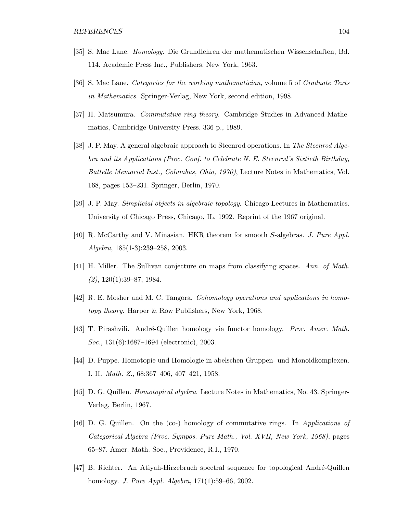- [35] S. Mac Lane. Homology. Die Grundlehren der mathematischen Wissenschaften, Bd. 114. Academic Press Inc., Publishers, New York, 1963.
- [36] S. Mac Lane. Categories for the working mathematician, volume 5 of Graduate Texts in Mathematics. Springer-Verlag, New York, second edition, 1998.
- [37] H. Matsumura. Commutative ring theory. Cambridge Studies in Advanced Mathematics, Cambridge University Press. 336 p., 1989.
- [38] J. P. May. A general algebraic approach to Steenrod operations. In The Steenrod Algebra and its Applications (Proc. Conf. to Celebrate N. E. Steenrod's Sixtieth Birthday, Battelle Memorial Inst., Columbus, Ohio, 1970), Lecture Notes in Mathematics, Vol. 168, pages 153–231. Springer, Berlin, 1970.
- [39] J. P. May. Simplicial objects in algebraic topology. Chicago Lectures in Mathematics. University of Chicago Press, Chicago, IL, 1992. Reprint of the 1967 original.
- [40] R. McCarthy and V. Minasian. HKR theorem for smooth S-algebras. J. Pure Appl. Algebra, 185(1-3):239–258, 2003.
- [41] H. Miller. The Sullivan conjecture on maps from classifying spaces. Ann. of Math.  $(2), 120(1):39-87, 1984.$
- [42] R. E. Mosher and M. C. Tangora. Cohomology operations and applications in homotopy theory. Harper & Row Publishers, New York, 1968.
- [43] T. Pirashvili. André-Quillen homology via functor homology. *Proc. Amer. Math.* Soc., 131(6):1687–1694 (electronic), 2003.
- [44] D. Puppe. Homotopie und Homologie in abelschen Gruppen- und Monoidkomplexen. I. II. Math. Z., 68:367–406, 407–421, 1958.
- [45] D. G. Quillen. Homotopical algebra. Lecture Notes in Mathematics, No. 43. Springer-Verlag, Berlin, 1967.
- [46] D. G. Quillen. On the (co-) homology of commutative rings. In Applications of Categorical Algebra (Proc. Sympos. Pure Math., Vol. XVII, New York, 1968), pages 65–87. Amer. Math. Soc., Providence, R.I., 1970.
- [47] B. Richter. An Atiyah-Hirzebruch spectral sequence for topological André-Quillen homology. J. Pure Appl. Algebra, 171(1):59–66, 2002.